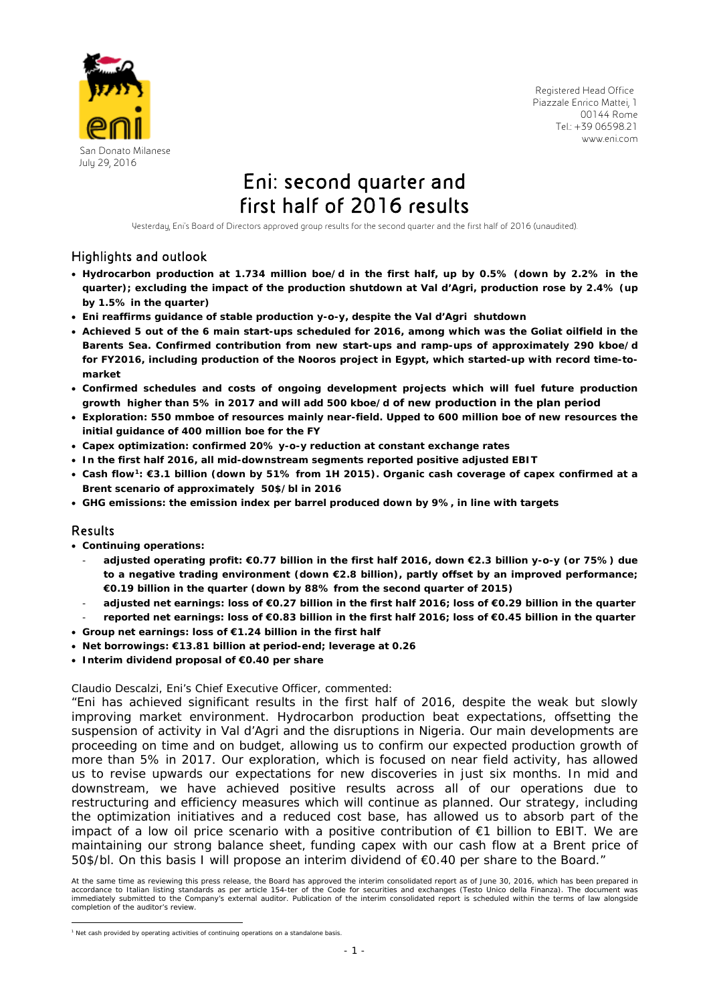

 Registered Head Office Piazzale Enrico Mattei, 1 00144 Rome Tel.: +39 06598.21 www.eni.com

# July 29, 2016<br>**Eni: second quarter and** first half of 2016 results

Yesterday, Eni's Board of Directors approved group results for the second quarter and the first half of 2016 (unaudited).

## Highlights and outlook

- **Hydrocarbon production at 1.734 million boe/d in the first half, up by 0.5% (down by 2.2% in the quarter); excluding the impact of the production shutdown at Val d'Agri, production rose by 2.4% (up by 1.5% in the quarter)**
- **Eni reaffirms guidance of stable production y-o-y, despite the Val d'Agri shutdown**
- **Achieved 5 out of the 6 main start-ups scheduled for 2016, among which was the Goliat oilfield in the Barents Sea. Confirmed contribution from new start-ups and ramp-ups of approximately 290 kboe/d for FY2016, including production of the Nooros project in Egypt, which started-up with record time-tomarket**
- **Confirmed schedules and costs of ongoing development projects which will fuel future production growth higher than 5% in 2017 and will add 500 kboe/d of new production in the plan period**
- **Exploration: 550 mmboe of resources mainly near-field. Upped to 600 million boe of new resources the initial guidance of 400 million boe for the FY**
- **Capex optimization: confirmed 20% y-o-y reduction at constant exchange rates**
- **In the first half 2016, all mid-downstream segments reported positive adjusted EBIT**
- **Cash flow1: €3.1 billion (down by 51% from 1H 2015). Organic cash coverage of capex confirmed at a Brent scenario of approximately 50\$/bl in 2016**
- **GHG emissions: the emission index per barrel produced down by 9%, in line with targets**

## Results

- **Continuing operations:** 
	- **adjusted operating profit: €0.77 billion in the first half 2016, down €2.3 billion y-o-y (or 75%) due to a negative trading environment (down €2.8 billion), partly offset by an improved performance; €0.19 billion in the quarter (down by 88% from the second quarter of 2015)**
	- **adjusted net earnings: loss of €0.27 billion in the first half 2016; loss of €0.29 billion in the quarter**
	- **reported net earnings: loss of €0.83 billion in the first half 2016; loss of €0.45 billion in the quarter**
- **Group net earnings: loss of €1.24 billion in the first half**
- **Net borrowings: €13.81 billion at period-end; leverage at 0.26**
- **Interim dividend proposal of €0.40 per share**

Claudio Descalzi, Eni's Chief Executive Officer*,* commented:

"Eni has achieved significant results in the first half of 2016, despite the weak but slowly improving market environment. Hydrocarbon production beat expectations, offsetting the suspension of activity in Val d'Agri and the disruptions in Nigeria. Our main developments are proceeding on time and on budget, allowing us to confirm our expected production growth of more than 5% in 2017. Our exploration, which is focused on near field activity, has allowed us to revise upwards our expectations for new discoveries in just six months. In mid and downstream, we have achieved positive results across all of our operations due to restructuring and efficiency measures which will continue as planned. Our strategy, including the optimization initiatives and a reduced cost base, has allowed us to absorb part of the impact of a low oil price scenario with a positive contribution of  $\epsilon$ 1 billion to EBIT. We are maintaining our strong balance sheet, funding capex with our cash flow at a Brent price of 50\$/bl. On this basis I will propose an interim dividend of €0.40 per share to the Board."

At the same time as reviewing this press release, the Board has approved the interim consolidated report as of June 30, 2016, which has been prepared in accordance to Italian listing standards as per article 154-ter of the Code for securities and exchanges (Testo Unico della Finanza). The document was immediately submitted to the Company's external auditor. Publication of the interim consolidated report is scheduled within the terms of law alongside completion of the auditor's review.

 1 Net cash provided by operating activities of continuing operations on a standalone basis.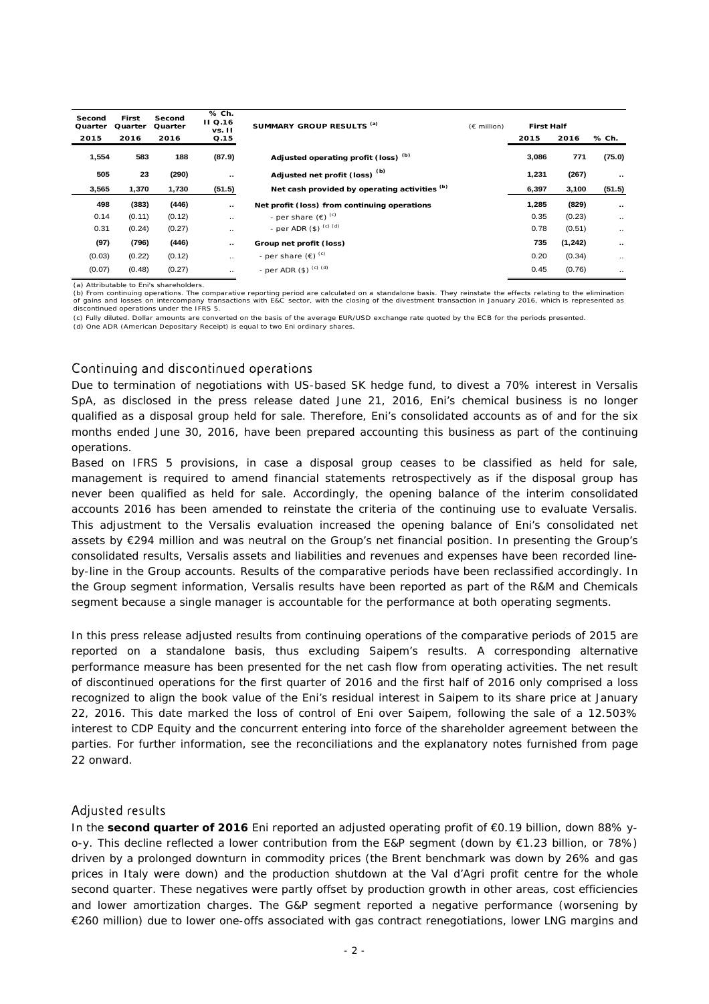| Second<br>Quarter | First<br>Quarter | Second<br>Quarter | % Ch.<br><b>II</b> Q.16<br>vs. II | SUMMARY GROUP RESULTS (a)                     | $(E \text{ million})$ | <b>First Half</b> |          |               |
|-------------------|------------------|-------------------|-----------------------------------|-----------------------------------------------|-----------------------|-------------------|----------|---------------|
| 2015              | 2016             | 2016              | Q.15                              |                                               |                       | 2015              | 2016     | % Ch.         |
| 1,554             | 583              | 188               | (87.9)                            | Adjusted operating profit (loss) (b)          |                       | 3,086             | 771      | (75.0)        |
| 505               | 23               | (290)             |                                   | Adjusted net profit (loss) <sup>(b)</sup>     |                       | 1,231             | (267)    | $\sim$ $\sim$ |
| 3,565             | 1,370            | 1,730             | (51.5)                            | Net cash provided by operating activities (b) |                       | 6,397             | 3,100    | (51.5)        |
| 498               | (383)            | (446)             |                                   | Net profit (loss) from continuing operations  |                       | 1,285             | (829)    | $\sim$ $\sim$ |
| 0.14              | (0.11)           | (0.12)            | $\ddotsc$                         | - per share $(\epsilon)$ <sup>(c)</sup>       |                       | 0.35              | (0.23)   | $\ddotsc$     |
| 0.31              | (0.24)           | (0.27)            | $\ddotsc$                         | - per ADR $(\$)$ $^{(c)}$ $^{(d)}$            |                       | 0.78              | (0.51)   | $\ddotsc$     |
| (97)              | (796)            | (446)             |                                   | Group net profit (loss)                       |                       | 735               | (1, 242) | $\sim$        |
| (0.03)            | (0.22)           | (0.12)            | $\cdot$ .                         | - per share $(\epsilon)$ <sup>(c)</sup>       |                       | 0.20              | (0.34)   | $\ddotsc$     |
| (0.07)            | (0.48)           | (0.27)            | $\ddotsc$                         | - per ADR $(\$)$ $^{(c) (d)}$                 |                       | 0.45              | (0.76)   | $\cdot$ .     |

(a) Attributable to Eni's shareholders.

(b) From continuing operations. The comparative reporting period are calculated on a standalone basis. They reinstate the effects relating to the elimination<br>of gains and losses on intercompany transactions with E&C sector of gains and losses on intercompany transactions with E&C sector, with the closing of the divestment transaction in January 2016, which is represented as<br>discontinued operations under the IFRS 5.

(c) Fully diluted. Dollar amounts are converted on the basis of the average EUR/USD exchange rate quoted by the ECB for the periods presented.

(d) One ADR (American Depositary Receipt) is equal to two Eni ordinary shares.

## Continuing and discontinued operations

Due to termination of negotiations with US-based SK hedge fund, to divest a 70% interest in Versalis SpA, as disclosed in the press release dated June 21, 2016, Eni's chemical business is no longer qualified as a disposal group held for sale. Therefore, Eni's consolidated accounts as of and for the six months ended June 30, 2016, have been prepared accounting this business as part of the continuing operations.

Based on IFRS 5 provisions, in case a disposal group ceases to be classified as held for sale, management is required to amend financial statements retrospectively as if the disposal group has never been qualified as held for sale. Accordingly, the opening balance of the interim consolidated accounts 2016 has been amended to reinstate the criteria of the continuing use to evaluate Versalis. This adjustment to the Versalis evaluation increased the opening balance of Eni's consolidated net assets by €294 million and was neutral on the Group's net financial position. In presenting the Group's consolidated results, Versalis assets and liabilities and revenues and expenses have been recorded lineby-line in the Group accounts. Results of the comparative periods have been reclassified accordingly. In the Group segment information, Versalis results have been reported as part of the R&M and Chemicals segment because a single manager is accountable for the performance at both operating segments.

In this press release adjusted results from continuing operations of the comparative periods of 2015 are reported on a standalone basis, thus excluding Saipem's results. A corresponding alternative performance measure has been presented for the net cash flow from operating activities. The net result of discontinued operations for the first quarter of 2016 and the first half of 2016 only comprised a loss recognized to align the book value of the Eni's residual interest in Saipem to its share price at January 22, 2016. This date marked the loss of control of Eni over Saipem, following the sale of a 12.503% interest to CDP Equity and the concurrent entering into force of the shareholder agreement between the parties. For further information, see the reconciliations and the explanatory notes furnished from page 22 onward.

### Adjusted results

In the **second quarter of 2016** Eni reported an adjusted operating profit of €0.19 billion, down 88% yo-y. This decline reflected a lower contribution from the E&P segment (down by €1.23 billion, or 78%) driven by a prolonged downturn in commodity prices (the Brent benchmark was down by 26% and gas prices in Italy were down) and the production shutdown at the Val d'Agri profit centre for the whole second quarter. These negatives were partly offset by production growth in other areas, cost efficiencies and lower amortization charges. The G&P segment reported a negative performance (worsening by €260 million) due to lower one-offs associated with gas contract renegotiations, lower LNG margins and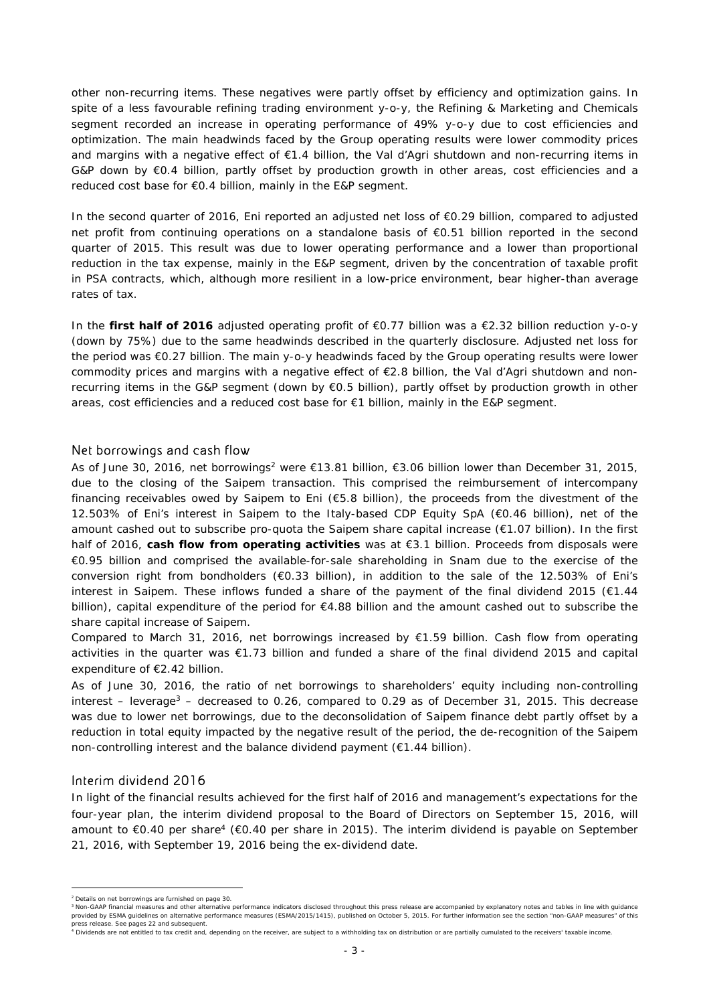other non-recurring items. These negatives were partly offset by efficiency and optimization gains. In spite of a less favourable refining trading environment y-o-y, the Refining & Marketing and Chemicals segment recorded an increase in operating performance of 49% y-o-y due to cost efficiencies and optimization. The main headwinds faced by the Group operating results were lower commodity prices and margins with a negative effect of €1.4 billion, the Val d'Agri shutdown and non-recurring items in G&P down by  $\epsilon$ 0.4 billion, partly offset by production growth in other areas, cost efficiencies and a reduced cost base for €0.4 billion, mainly in the E&P segment.

In the second quarter of 2016, Eni reported an adjusted net loss of €0.29 billion, compared to adjusted net profit from continuing operations on a standalone basis of €0.51 billion reported in the second quarter of 2015. This result was due to lower operating performance and a lower than proportional reduction in the tax expense, mainly in the E&P segment, driven by the concentration of taxable profit in PSA contracts, which, although more resilient in a low-price environment, bear higher-than average rates of tax.

In the **first half of 2016** adjusted operating profit of €0.77 billion was a €2.32 billion reduction y-o-y (down by 75%) due to the same headwinds described in the quarterly disclosure. Adjusted net loss for the period was €0.27 billion. The main y-o-y headwinds faced by the Group operating results were lower commodity prices and margins with a negative effect of €2.8 billion, the Val d'Agri shutdown and nonrecurring items in the G&P segment (down by €0.5 billion), partly offset by production growth in other areas, cost efficiencies and a reduced cost base for €1 billion, mainly in the E&P segment.

### Net borrowings and cash flow

As of June 30, 2016, net borrowings<sup>2</sup> were  $\epsilon$ 13.81 billion,  $\epsilon$ 3.06 billion lower than December 31, 2015, due to the closing of the Saipem transaction. This comprised the reimbursement of intercompany financing receivables owed by Saipem to Eni (€5.8 billion), the proceeds from the divestment of the 12.503% of Eni's interest in Saipem to the Italy-based CDP Equity SpA (€0.46 billion), net of the amount cashed out to subscribe pro-quota the Saipem share capital increase (€1.07 billion). In the first half of 2016, **cash flow from operating activities** was at €3.1 billion. Proceeds from disposals were €0.95 billion and comprised the available-for-sale shareholding in Snam due to the exercise of the conversion right from bondholders (€0.33 billion), in addition to the sale of the 12.503% of Eni's interest in Saipem. These inflows funded a share of the payment of the final dividend 2015 (€1.44 billion), capital expenditure of the period for €4.88 billion and the amount cashed out to subscribe the share capital increase of Saipem.

Compared to March 31, 2016, net borrowings increased by €1.59 billion. Cash flow from operating activities in the quarter was €1.73 billion and funded a share of the final dividend 2015 and capital expenditure of €2.42 billion.

As of June 30, 2016, the ratio of net borrowings to shareholders' equity including non-controlling interest – leverage<sup>3</sup> – decreased to 0.26, compared to 0.29 as of December 31, 2015. This decrease was due to lower net borrowings, due to the deconsolidation of Saipem finance debt partly offset by a reduction in total equity impacted by the negative result of the period, the de-recognition of the Saipem non-controlling interest and the balance dividend payment (€1.44 billion).

### Interim dividend 2016

In light of the financial results achieved for the first half of 2016 and management's expectations for the four-year plan, the interim dividend proposal to the Board of Directors on September 15, 2016, will amount to €0.40 per share<sup>4</sup> (€0.40 per share in 2015). The interim dividend is payable on September 21, 2016, with September 19, 2016 being the ex-dividend date.

 $\overline{a}$ <sup>2</sup> Details on net borrowings are furnished on page 30.

<sup>3</sup> Non-GAAP financial measures and other alternative performance indicators disclosed throughout this press release are accompanied by explanatory notes and tables in line with guidance provided by ESMA guidelines on alternative performance measures (ESMA/2015/1415), published on October 5, 2015. For further information see the section "non-GAAP measures" of this press release. See pages 22 and subsequent

<sup>4</sup> Dividends are not entitled to tax credit and, depending on the receiver, are subject to a withholding tax on distribution or are partially cumulated to the receivers' taxable income.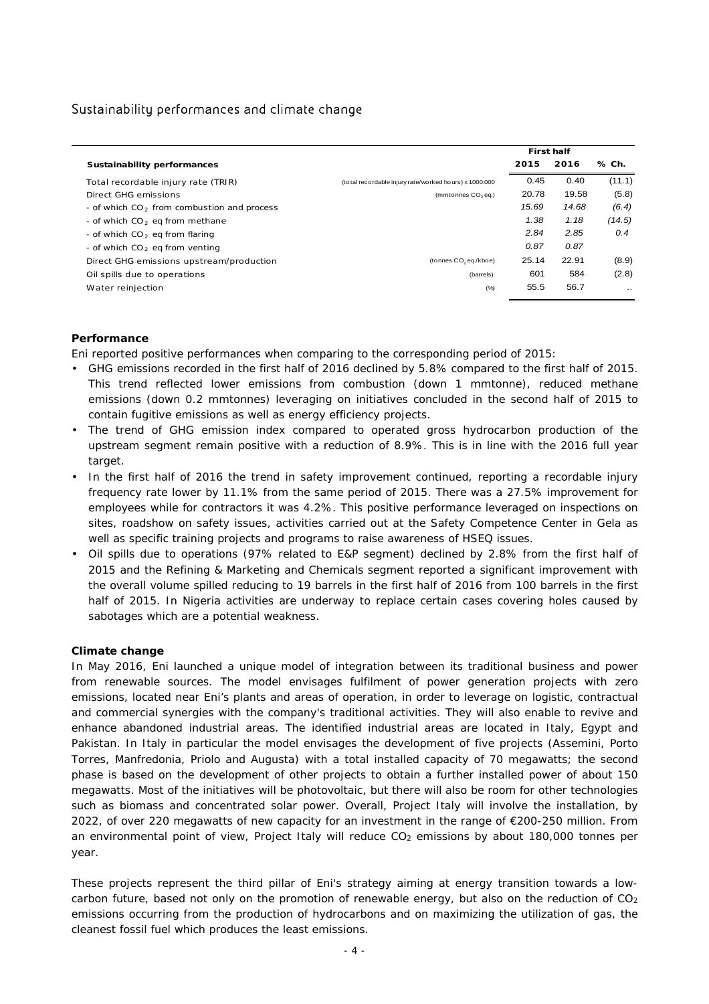## Sustainability performances and climate change

|                                                        |                                                          | <b>First half</b> |       |           |
|--------------------------------------------------------|----------------------------------------------------------|-------------------|-------|-----------|
| Sustainability performances                            |                                                          | 2015              | 2016  | % Ch.     |
| Total recordable injury rate (TRIR)                    | (to tal recordable injury rate/worked hours) x 1.000.000 | 0.45              | 0.40  | (11.1)    |
| Direct GHG emissions                                   | (mmtonnes CO <sub>2</sub> eq.)                           | 20.78             | 19.58 | (5.8)     |
| - of which CO <sub>2</sub> from combustion and process |                                                          | 15.69             | 14.68 | (6.4)     |
| - of which $CO2$ eq from methane                       |                                                          | 1.38              | 1.18  | (14.5)    |
| - of which $CO2$ eq from flaring                       |                                                          | 2.84              | 2.85  | 0.4       |
| - of which $CO2$ eq from venting                       |                                                          | 0.87              | 0.87  |           |
| Direct GHG emissions upstream/production               | (tonnes CO <sub>2</sub> eq./kboe)                        | 25.14             | 22.91 | (8.9)     |
| Oil spills due to operations                           | (barrels)                                                | 601               | 584   | (2.8)     |
| Water reinjection                                      | (%)                                                      | 55.5              | 56.7  | $\ddotsc$ |

### **Performance**

Eni reported positive performances when comparing to the corresponding period of 2015:

- GHG emissions recorded in the first half of 2016 declined by 5.8% compared to the first half of 2015. This trend reflected lower emissions from combustion (down 1 mmtonne), reduced methane emissions (down 0.2 mmtonnes) leveraging on initiatives concluded in the second half of 2015 to contain fugitive emissions as well as energy efficiency projects.
- The trend of GHG emission index compared to operated gross hydrocarbon production of the upstream segment remain positive with a reduction of 8.9%. This is in line with the 2016 full year target.
- In the first half of 2016 the trend in safety improvement continued, reporting a recordable injury frequency rate lower by 11.1% from the same period of 2015. There was a 27.5% improvement for employees while for contractors it was 4.2%. This positive performance leveraged on inspections on sites, roadshow on safety issues, activities carried out at the Safety Competence Center in Gela as well as specific training projects and programs to raise awareness of HSEQ issues.
- Oil spills due to operations (97% related to E&P segment) declined by 2.8% from the first half of 2015 and the Refining & Marketing and Chemicals segment reported a significant improvement with the overall volume spilled reducing to 19 barrels in the first half of 2016 from 100 barrels in the first half of 2015. In Nigeria activities are underway to replace certain cases covering holes caused by sabotages which are a potential weakness.

### **Climate change**

In May 2016, Eni launched a unique model of integration between its traditional business and power from renewable sources. The model envisages fulfilment of power generation projects with zero emissions, located near Eni's plants and areas of operation, in order to leverage on logistic, contractual and commercial synergies with the company's traditional activities. They will also enable to revive and enhance abandoned industrial areas. The identified industrial areas are located in Italy, Egypt and Pakistan. In Italy in particular the model envisages the development of five projects (Assemini, Porto Torres, Manfredonia, Priolo and Augusta) with a total installed capacity of 70 megawatts; the second phase is based on the development of other projects to obtain a further installed power of about 150 megawatts. Most of the initiatives will be photovoltaic, but there will also be room for other technologies such as biomass and concentrated solar power. Overall, Project Italy will involve the installation, by 2022, of over 220 megawatts of new capacity for an investment in the range of €200-250 million. From an environmental point of view, Project Italy will reduce CO<sub>2</sub> emissions by about 180,000 tonnes per year.

These projects represent the third pillar of Eni's strategy aiming at energy transition towards a lowcarbon future, based not only on the promotion of renewable energy, but also on the reduction of  $CO<sub>2</sub>$ emissions occurring from the production of hydrocarbons and on maximizing the utilization of gas, the cleanest fossil fuel which produces the least emissions.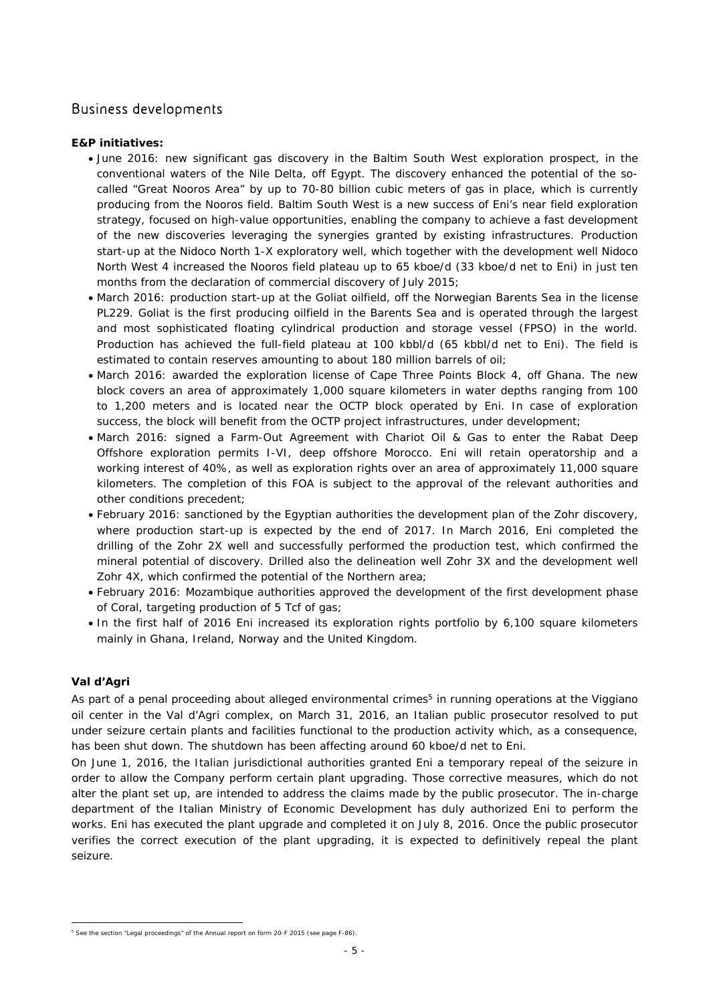## Business developments

### **E&P initiatives:**

- June 2016: new significant gas discovery in the Baltim South West exploration prospect, in the conventional waters of the Nile Delta, off Egypt. The discovery enhanced the potential of the socalled "Great Nooros Area" by up to 70-80 billion cubic meters of gas in place, which is currently producing from the Nooros field. Baltim South West is a new success of Eni's near field exploration strategy, focused on high-value opportunities, enabling the company to achieve a fast development of the new discoveries leveraging the synergies granted by existing infrastructures. Production start-up at the Nidoco North 1-X exploratory well, which together with the development well Nidoco North West 4 increased the Nooros field plateau up to 65 kboe/d (33 kboe/d net to Eni) in just ten months from the declaration of commercial discovery of July 2015;
- March 2016: production start-up at the Goliat oilfield, off the Norwegian Barents Sea in the license PL229. Goliat is the first producing oilfield in the Barents Sea and is operated through the largest and most sophisticated floating cylindrical production and storage vessel (FPSO) in the world. Production has achieved the full-field plateau at 100 kbbl/d (65 kbbl/d net to Eni). The field is estimated to contain reserves amounting to about 180 million barrels of oil;
- March 2016: awarded the exploration license of Cape Three Points Block 4, off Ghana. The new block covers an area of approximately 1,000 square kilometers in water depths ranging from 100 to 1,200 meters and is located near the OCTP block operated by Eni. In case of exploration success, the block will benefit from the OCTP project infrastructures, under development;
- March 2016: signed a Farm-Out Agreement with Chariot Oil & Gas to enter the Rabat Deep Offshore exploration permits I-VI, deep offshore Morocco. Eni will retain operatorship and a working interest of 40%, as well as exploration rights over an area of approximately 11,000 square kilometers. The completion of this FOA is subject to the approval of the relevant authorities and other conditions precedent;
- February 2016: sanctioned by the Egyptian authorities the development plan of the Zohr discovery, where production start-up is expected by the end of 2017. In March 2016, Eni completed the drilling of the Zohr 2X well and successfully performed the production test, which confirmed the mineral potential of discovery. Drilled also the delineation well Zohr 3X and the development well Zohr 4X, which confirmed the potential of the Northern area;
- February 2016: Mozambique authorities approved the development of the first development phase of Coral, targeting production of 5 Tcf of gas;
- In the first half of 2016 Eni increased its exploration rights portfolio by 6,100 square kilometers mainly in Ghana, Ireland, Norway and the United Kingdom.

### **Val d'Agri**

As part of a penal proceeding about alleged environmental crimes<sup>5</sup> in running operations at the Viggiano oil center in the Val d'Agri complex, on March 31, 2016, an Italian public prosecutor resolved to put under seizure certain plants and facilities functional to the production activity which, as a consequence, has been shut down. The shutdown has been affecting around 60 kboe/d net to Eni.

On June 1, 2016, the Italian jurisdictional authorities granted Eni a temporary repeal of the seizure in order to allow the Company perform certain plant upgrading. Those corrective measures, which do not alter the plant set up, are intended to address the claims made by the public prosecutor. The in-charge department of the Italian Ministry of Economic Development has duly authorized Eni to perform the works. Eni has executed the plant upgrade and completed it on July 8, 2016. Once the public prosecutor verifies the correct execution of the plant upgrading, it is expected to definitively repeal the plant seizure.

 5 See the section "Legal proceedings" of the Annual report on form 20-F 2015 (see page F-86).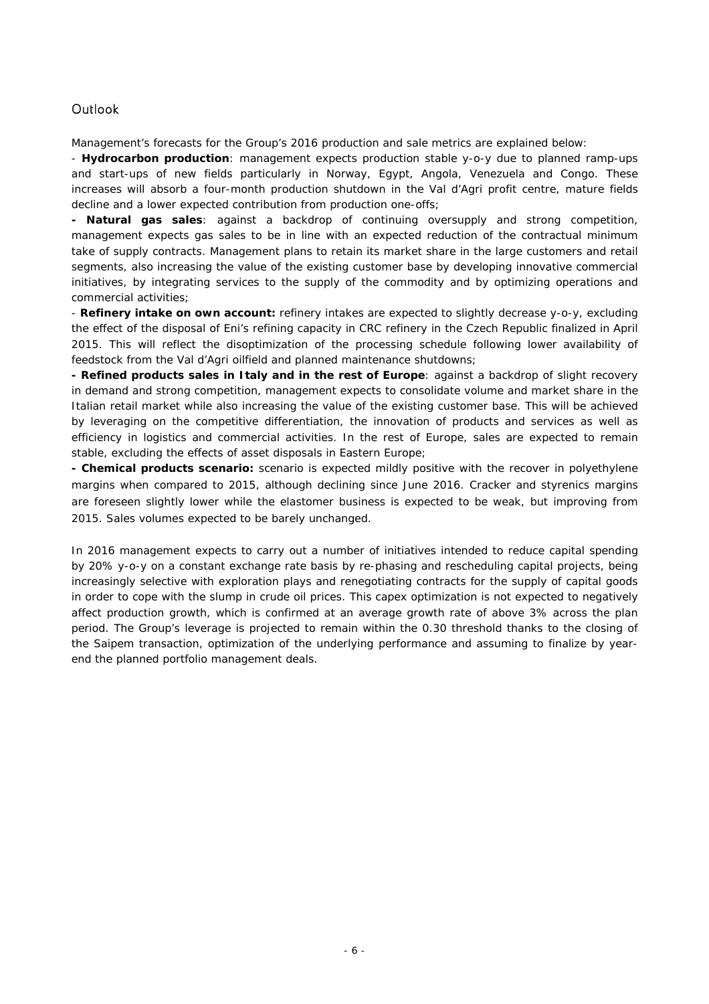## **Outlook**

Management's forecasts for the Group's 2016 production and sale metrics are explained below:

- **Hydrocarbon production**: management expects production stable y-o-y due to planned ramp-ups and start-ups of new fields particularly in Norway, Egypt, Angola, Venezuela and Congo. These increases will absorb a four-month production shutdown in the Val d'Agri profit centre, mature fields decline and a lower expected contribution from production one-offs;

**- Natural gas sales**: against a backdrop of continuing oversupply and strong competition, management expects gas sales to be in line with an expected reduction of the contractual minimum take of supply contracts. Management plans to retain its market share in the large customers and retail segments, also increasing the value of the existing customer base by developing innovative commercial initiatives, by integrating services to the supply of the commodity and by optimizing operations and commercial activities;

- **Refinery intake on own account:** refinery intakes are expected to slightly decrease y-o-y, excluding the effect of the disposal of Eni's refining capacity in CRC refinery in the Czech Republic finalized in April 2015. This will reflect the disoptimization of the processing schedule following lower availability of feedstock from the Val d'Agri oilfield and planned maintenance shutdowns;

**- Refined products sales in Italy and in the rest of Europe**: against a backdrop of slight recovery in demand and strong competition, management expects to consolidate volume and market share in the Italian retail market while also increasing the value of the existing customer base. This will be achieved by leveraging on the competitive differentiation, the innovation of products and services as well as efficiency in logistics and commercial activities. In the rest of Europe, sales are expected to remain stable, excluding the effects of asset disposals in Eastern Europe;

**- Chemical products scenario:** scenario is expected mildly positive with the recover in polyethylene margins when compared to 2015, although declining since June 2016. Cracker and styrenics margins are foreseen slightly lower while the elastomer business is expected to be weak, but improving from 2015. Sales volumes expected to be barely unchanged.

In 2016 management expects to carry out a number of initiatives intended to reduce capital spending by 20% y-o-y on a constant exchange rate basis by re-phasing and rescheduling capital projects, being increasingly selective with exploration plays and renegotiating contracts for the supply of capital goods in order to cope with the slump in crude oil prices. This capex optimization is not expected to negatively affect production growth, which is confirmed at an average growth rate of above 3% across the plan period. The Group's leverage is projected to remain within the 0.30 threshold thanks to the closing of the Saipem transaction, optimization of the underlying performance and assuming to finalize by yearend the planned portfolio management deals.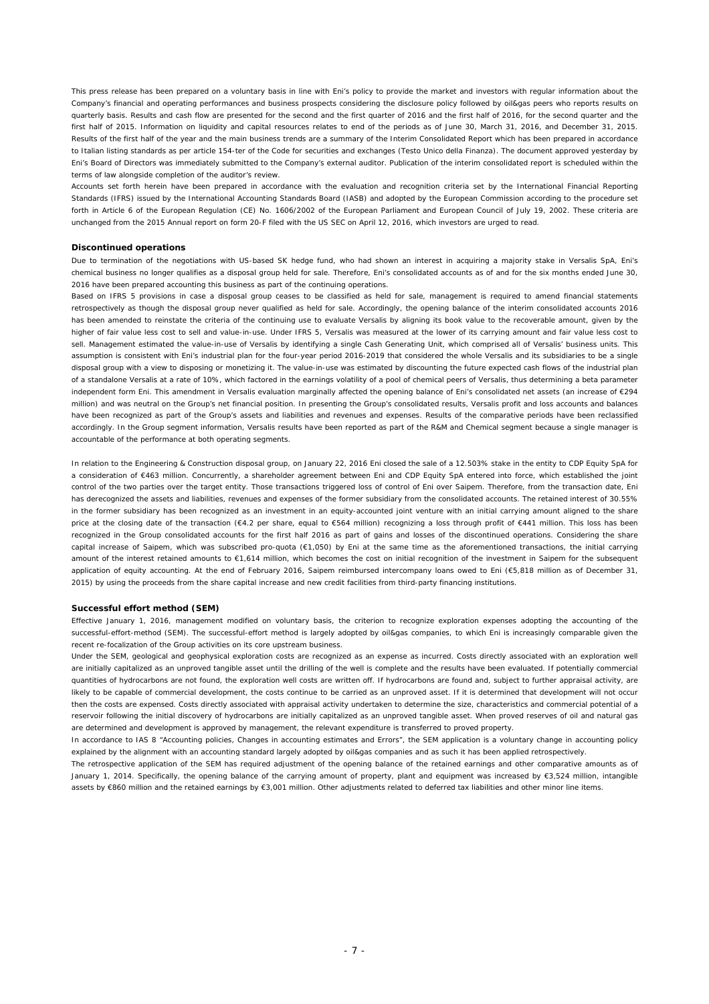This press release has been prepared on a voluntary basis in line with Eni's policy to provide the market and investors with regular information about the Company's financial and operating performances and business prospects considering the disclosure policy followed by oil&gas peers who reports results on quarterly basis. Results and cash flow are presented for the second and the first quarter of 2016 and the first half of 2016, for the second quarter and the first half of 2015. Information on liquidity and capital resources relates to end of the periods as of June 30, March 31, 2016, and December 31, 2015. Results of the first half of the year and the main business trends are a summary of the Interim Consolidated Report which has been prepared in accordance to Italian listing standards as per article 154-ter of the Code for securities and exchanges (Testo Unico della Finanza). The document approved yesterday by Eni's Board of Directors was immediately submitted to the Company's external auditor. Publication of the interim consolidated report is scheduled within the terms of law alongside completion of the auditor's review.

Accounts set forth herein have been prepared in accordance with the evaluation and recognition criteria set by the International Financial Reporting Standards (IFRS) issued by the International Accounting Standards Board (IASB) and adopted by the European Commission according to the procedure set forth in Article 6 of the European Regulation (CE) No. 1606/2002 of the European Parliament and European Council of July 19, 2002. These criteria are unchanged from the 2015 Annual report on form 20-F filed with the US SEC on April 12, 2016, which investors are urged to read.

#### **Discontinued operations**

Due to termination of the negotiations with US-based SK hedge fund, who had shown an interest in acquiring a majority stake in Versalis SpA, Eni's chemical business no longer qualifies as a disposal group held for sale. Therefore, Eni's consolidated accounts as of and for the six months ended June 30, 2016 have been prepared accounting this business as part of the continuing operations.

Based on IFRS 5 provisions in case a disposal group ceases to be classified as held for sale, management is required to amend financial statements retrospectively as though the disposal group never qualified as held for sale. Accordingly, the opening balance of the interim consolidated accounts 2016 has been amended to reinstate the criteria of the continuing use to evaluate Versalis by aligning its book value to the recoverable amount, given by the higher of fair value less cost to sell and value-in-use. Under IFRS 5, Versalis was measured at the lower of its carrying amount and fair value less cost to sell. Management estimated the value-in-use of Versalis by identifying a single Cash Generating Unit, which comprised all of Versalis' business units. This assumption is consistent with Eni's industrial plan for the four-year period 2016-2019 that considered the whole Versalis and its subsidiaries to be a single disposal group with a view to disposing or monetizing it. The value-in-use was estimated by discounting the future expected cash flows of the industrial plan of a standalone Versalis at a rate of 10%, which factored in the earnings volatility of a pool of chemical peers of Versalis, thus determining a beta parameter independent form Eni. This amendment in Versalis evaluation marginally affected the opening balance of Eni's consolidated net assets (an increase of €294 million) and was neutral on the Group's net financial position. In presenting the Group's consolidated results, Versalis profit and loss accounts and balances have been recognized as part of the Group's assets and liabilities and revenues and expenses. Results of the comparative periods have been reclassified accordingly. In the Group segment information, Versalis results have been reported as part of the R&M and Chemical segment because a single manager is accountable of the performance at both operating segments.

In relation to the Engineering & Construction disposal group, on January 22, 2016 Eni closed the sale of a 12.503% stake in the entity to CDP Equity SpA for a consideration of €463 million. Concurrently, a shareholder agreement between Eni and CDP Equity SpA entered into force, which established the joint control of the two parties over the target entity. Those transactions triggered loss of control of Eni over Saipem. Therefore, from the transaction date, Eni has derecognized the assets and liabilities, revenues and expenses of the former subsidiary from the consolidated accounts. The retained interest of 30.55% in the former subsidiary has been recognized as an investment in an equity-accounted joint venture with an initial carrying amount aligned to the share price at the closing date of the transaction (€4.2 per share, equal to €564 million) recognizing a loss through profit of €441 million. This loss has been recognized in the Group consolidated accounts for the first half 2016 as part of gains and losses of the discontinued operations. Considering the share capital increase of Saipem, which was subscribed pro-quota (€1,050) by Eni at the same time as the aforementioned transactions, the initial carrying amount of the interest retained amounts to €1,614 million, which becomes the cost on initial recognition of the investment in Saipem for the subsequent application of equity accounting. At the end of February 2016, Saipem reimbursed intercompany loans owed to Eni (€5,818 million as of December 31, 2015) by using the proceeds from the share capital increase and new credit facilities from third-party financing institutions.

#### **Successful effort method (SEM)**

Effective January 1, 2016, management modified on voluntary basis, the criterion to recognize exploration expenses adopting the accounting of the successful-effort-method (SEM). The successful-effort method is largely adopted by oil&gas companies, to which Eni is increasingly comparable given the recent re-focalization of the Group activities on its core upstream business.

Under the SEM, geological and geophysical exploration costs are recognized as an expense as incurred. Costs directly associated with an exploration well are initially capitalized as an unproved tangible asset until the drilling of the well is complete and the results have been evaluated. If potentially commercial quantities of hydrocarbons are not found, the exploration well costs are written off. If hydrocarbons are found and, subject to further appraisal activity, are likely to be capable of commercial development, the costs continue to be carried as an unproved asset. If it is determined that development will not occur then the costs are expensed. Costs directly associated with appraisal activity undertaken to determine the size, characteristics and commercial potential of a reservoir following the initial discovery of hydrocarbons are initially capitalized as an unproved tangible asset. When proved reserves of oil and natural gas are determined and development is approved by management, the relevant expenditure is transferred to proved property.

In accordance to IAS 8 "Accounting policies, Changes in accounting estimates and Errors", the SEM application is a voluntary change in accounting policy explained by the alignment with an accounting standard largely adopted by oil&gas companies and as such it has been applied retrospectively.

The retrospective application of the SEM has required adjustment of the opening balance of the retained earnings and other comparative amounts as of January 1, 2014. Specifically, the opening balance of the carrying amount of property, plant and equipment was increased by €3,524 million, intangible assets by €860 million and the retained earnings by €3,001 million. Other adjustments related to deferred tax liabilities and other minor line items.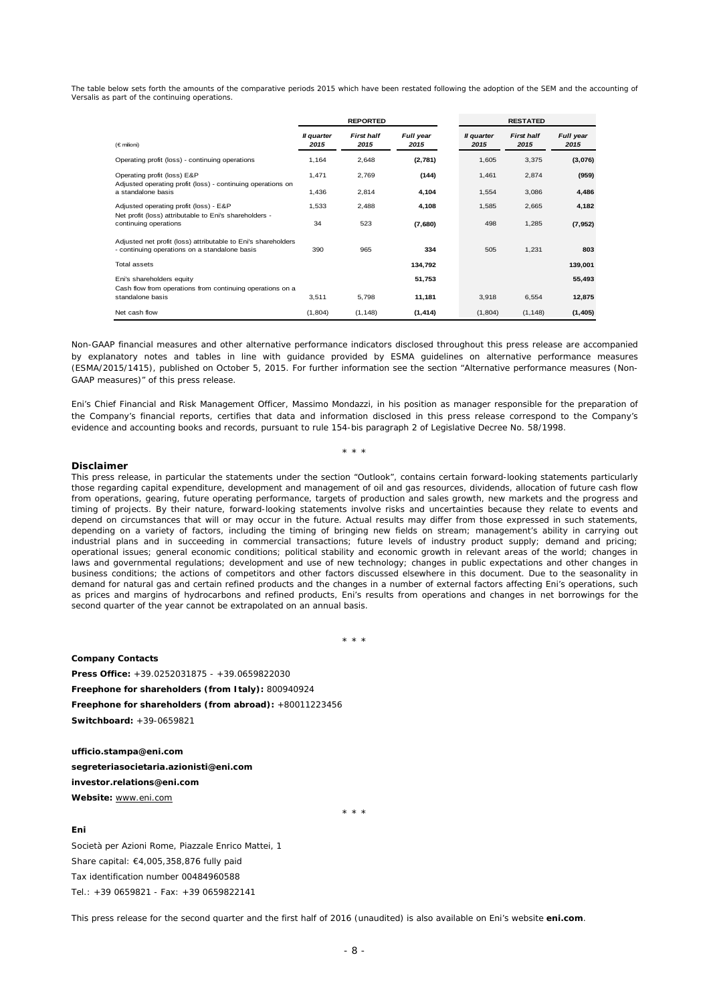The table below sets forth the amounts of the comparative periods 2015 which have been restated following the adoption of the SEM and the accounting of Versalis as part of the continuing operations.

|                                                                                                                |                    | <b>REPORTED</b>           |                   | <b>RESTATED</b>    |                           |                   |
|----------------------------------------------------------------------------------------------------------------|--------------------|---------------------------|-------------------|--------------------|---------------------------|-------------------|
| $(\in$ milioni)                                                                                                | Il quarter<br>2015 | <b>First half</b><br>2015 | Full year<br>2015 | Il quarter<br>2015 | <b>First half</b><br>2015 | Full year<br>2015 |
| Operating profit (loss) - continuing operations                                                                | 1,164              | 2,648                     | (2,781)           | 1,605              | 3,375                     | (3,076)           |
| Operating profit (loss) E&P<br>Adjusted operating profit (loss) - continuing operations on                     | 1,471              | 2,769                     | (144)             | 1,461              | 2,874                     | (959)             |
| a standalone basis                                                                                             | 1,436              | 2,814                     | 4,104             | 1,554              | 3,086                     | 4,486             |
| Adjusted operating profit (loss) - E&P                                                                         | 1,533              | 2,488                     | 4,108             | 1,585              | 2,665                     | 4,182             |
| Net profit (loss) attributable to Eni's shareholders -<br>continuing operations                                | 34                 | 523                       | (7,680)           | 498                | 1,285                     | (7, 952)          |
| Adjusted net profit (loss) attributable to Eni's shareholders<br>- continuing operations on a standalone basis | 390                | 965                       | 334               | 505                | 1,231                     | 803               |
| Total assets                                                                                                   |                    |                           | 134,792           |                    |                           | 139,001           |
| Eni's shareholders equity                                                                                      |                    |                           | 51,753            |                    |                           | 55,493            |
| Cash flow from operations from continuing operations on a<br>standalone basis                                  | 3,511              | 5,798                     | 11,181            | 3,918              | 6,554                     | 12,875            |
| Net cash flow                                                                                                  | (1,804)            | (1, 148)                  | (1, 414)          | (1,804)            | (1, 148)                  | (1,405)           |

Non-GAAP financial measures and other alternative performance indicators disclosed throughout this press release are accompanied by explanatory notes and tables in line with guidance provided by ESMA guidelines on alternative performance measures (ESMA/2015/1415), published on October 5, 2015. For further information see the section "Alternative performance measures (Non-GAAP measures)" of this press release.

*Eni's Chief Financial and Risk Management Officer, Massimo Mondazzi, in his position as manager responsible for the preparation of*  the Company's financial reports, certifies that data and information disclosed in this press release correspond to the Company's *evidence and accounting books and records, pursuant to rule 154-bis paragraph 2 of Legislative Decree No. 58/1998.* 

\* \* \*

#### **Disclaimer**

*This press release, in particular the statements under the section "Outlook", contains certain forward-looking statements particularly those regarding capital expenditure, development and management of oil and gas resources, dividends, allocation of future cash flow from operations, gearing, future operating performance, targets of production and sales growth, new markets and the progress and timing of projects. By their nature, forward-looking statements involve risks and uncertainties because they relate to events and depend on circumstances that will or may occur in the future. Actual results may differ from those expressed in such statements, depending on a variety of factors, including the timing of bringing new fields on stream; management's ability in carrying out industrial plans and in succeeding in commercial transactions; future levels of industry product supply; demand and pricing; operational issues; general economic conditions; political stability and economic growth in relevant areas of the world; changes in*  laws and governmental regulations; development and use of new technology; changes in public expectations and other changes in *business conditions; the actions of competitors and other factors discussed elsewhere in this document. Due to the seasonality in demand for natural gas and certain refined products and the changes in a number of external factors affecting Eni's operations, such as prices and margins of hydrocarbons and refined products, Eni's results from operations and changes in net borrowings for the second quarter of the year cannot be extrapolated on an annual basis.* 

\* \* \*

**Company Contacts Press Office:** +39.0252031875 - +39.0659822030 **Freephone for shareholders (from Italy):** 800940924 **Freephone for shareholders (from abroad):** +80011223456 **Switchboard:** +39-0659821

**ufficio.stampa@eni.com segreteriasocietaria.azionisti@eni.com investor.relations@eni.com Website:** www.eni.com

\* \* \*

#### **Eni**

Società per Azioni Rome, Piazzale Enrico Mattei, 1 Share capital: €4,005,358,876 fully paid Tax identification number 00484960588 Tel.: +39 0659821 - Fax: +39 0659822141

This press release for the second quarter and the first half of 2016 (unaudited) is also available on Eni's website **eni.com**.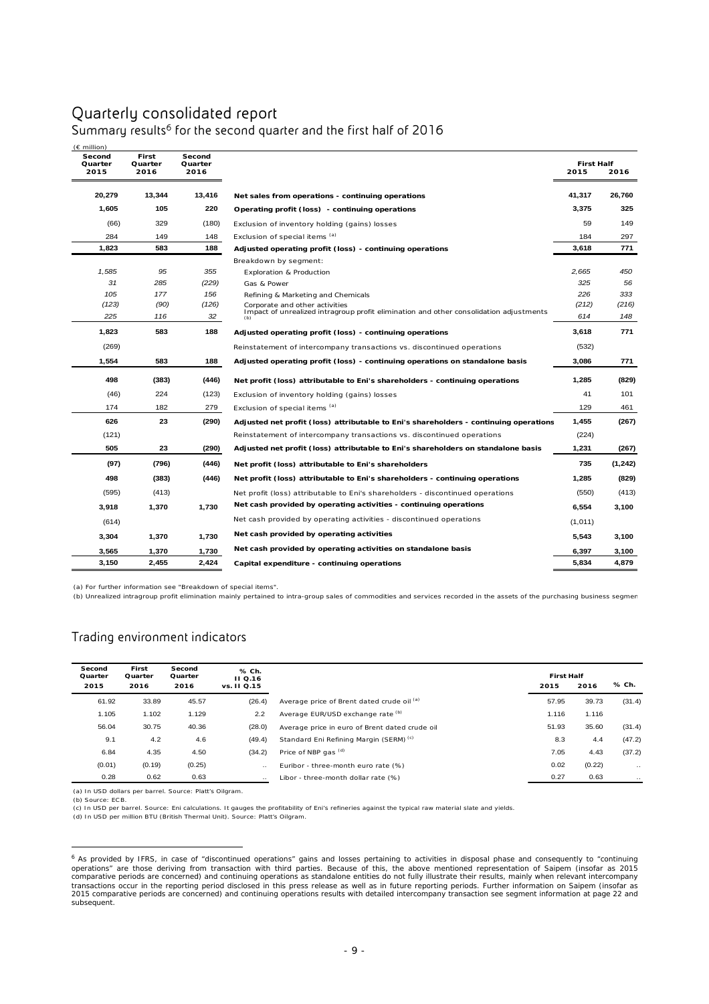## Quarterly consolidated report

| $(E \text{ million})$     |                          |                           |                                                                                                                          |                           |         |
|---------------------------|--------------------------|---------------------------|--------------------------------------------------------------------------------------------------------------------------|---------------------------|---------|
| Second<br>Quarter<br>2015 | First<br>Quarter<br>2016 | Second<br>Quarter<br>2016 |                                                                                                                          | <b>First Half</b><br>2015 | 2016    |
| 20,279                    | 13,344                   | 13,416                    | Net sales from operations - continuing operations                                                                        | 41,317                    | 26,760  |
| 1,605                     | 105                      | 220                       | Operating profit (loss) - continuing operations                                                                          | 3,375                     | 325     |
| (66)                      | 329                      | (180)                     | Exclusion of inventory holding (gains) losses                                                                            | 59                        | 149     |
| 284                       | 149                      | 148                       | Exclusion of special items (a)                                                                                           | 184                       | 297     |
| 1,823                     | 583                      | 188                       | Adjusted operating profit (loss) - continuing operations                                                                 | 3,618                     | 771     |
|                           |                          |                           | Breakdown by segment:                                                                                                    |                           |         |
| 1,585                     | 95                       | 355                       | <b>Exploration &amp; Production</b>                                                                                      | 2,665                     | 450     |
| 31                        | 285                      | (229)                     | Gas & Power                                                                                                              | 325                       | 56      |
| 105                       | 177                      | 156                       | Refining & Marketing and Chemicals                                                                                       | 226                       | 333     |
| (123)                     | (90)                     | (126)                     | Corporate and other activities<br>Impact of unrealized intragroup profit elimination and other consolidation adjustments | (212)                     | (216)   |
| 225                       | 116                      | 32                        |                                                                                                                          | 614                       | 148     |
| 1,823                     | 583                      | 188                       | Adjusted operating profit (loss) - continuing operations                                                                 | 3,618                     | 771     |
| (269)                     |                          |                           | Reinstatement of intercompany transactions vs. discontinued operations                                                   | (532)                     |         |
| 1,554                     | 583                      | 188                       | Adjusted operating profit (loss) - continuing operations on standalone basis                                             | 3,086                     | 771     |
| 498                       | (383)                    | (446)                     | Net profit (loss) attributable to Eni's shareholders - continuing operations                                             | 1,285                     | (829)   |
| (46)                      | 224                      | (123)                     | Exclusion of inventory holding (gains) losses                                                                            | 41                        | 101     |
| 174                       | 182                      | 279                       | Exclusion of special items (a)                                                                                           | 129                       | 461     |
| 626                       | 23                       | (290)                     | Adjusted net profit (loss) attributable to Eni's shareholders - continuing operations                                    | 1,455                     | (267)   |
| (121)                     |                          |                           | Reinstatement of intercompany transactions vs. discontinued operations                                                   | (224)                     |         |
| 505                       | 23                       | (290)                     | Adjusted net profit (loss) attributable to Eni's shareholders on standalone basis                                        | 1,231                     | (267)   |
| (97)                      | (796)                    | (446)                     | Net profit (loss) attributable to Eni's shareholders                                                                     | 735                       | (1,242) |
| 498                       | (383)                    | (446)                     | Net profit (loss) attributable to Eni's shareholders - continuing operations                                             | 1,285                     | (829)   |
| (595)                     | (413)                    |                           | Net profit (loss) attributable to Eni's shareholders - discontinued operations                                           | (550)                     | (413)   |
| 3,918                     | 1,370                    | 1,730                     | Net cash provided by operating activities - continuing operations                                                        | 6,554                     | 3,100   |
| (614)                     |                          |                           | Net cash provided by operating activities - discontinued operations                                                      | (1,011)                   |         |
| 3,304                     | 1,370                    | 1,730                     | Net cash provided by operating activities                                                                                | 5,543                     | 3,100   |
| 3,565                     | 1,370                    | 1,730                     | Net cash provided by operating activities on standalone basis                                                            | 6,397                     | 3,100   |
| 3,150                     | 2,455                    | 2,424                     | Capital expenditure - continuing operations                                                                              | 5,834                     | 4,879   |

Summary results<sup>6</sup> for the second quarter and the first half of 2016

(a) For further information see "Breakdown of special items".

(b) Unrealized intragroup profit elimination mainly pertained to intra-group sales of commodities and services recorded in the assets of the purchasing business segmen

## Trading environment indicators

| Second<br>Quarter<br>2015 | First<br>Quarter<br>2016 | Second<br>Quarter<br>2016 | % Ch.<br><b>II Q.16</b><br>vs. 11 Q.15 |                                                    | <b>First Half</b><br>2015 | 2016   | % Ch.         |
|---------------------------|--------------------------|---------------------------|----------------------------------------|----------------------------------------------------|---------------------------|--------|---------------|
| 61.92                     | 33.89                    | 45.57                     | (26.4)                                 | Average price of Brent dated crude oil (a)         | 57.95                     | 39.73  | (31.4)        |
| 1.105                     | 1.102                    | 1.129                     | 2.2                                    | Average EUR/USD exchange rate (b)                  | 1.116                     | 1.116  |               |
| 56.04                     | 30.75                    | 40.36                     | (28.0)                                 | Average price in euro of Brent dated crude oil     | 51.93                     | 35.60  | (31.4)        |
| 9.1                       | 4.2                      | 4.6                       | (49.4)                                 | Standard Eni Refining Margin (SERM) <sup>(c)</sup> | 8.3                       | 4.4    | (47.2)        |
| 6.84                      | 4.35                     | 4.50                      | (34.2)                                 | Price of NBP gas <sup>(d)</sup>                    | 7.05                      | 4.43   | (37.2)        |
| (0.01)                    | (0.19)                   | (0.25)                    | $\ddotsc$                              | Euribor - three-month euro rate (%)                | 0.02                      | (0.22) | $\sim$ $\sim$ |
| 0.28                      | 0.62                     | 0.63                      | $\ddotsc$                              | Libor - three-month dollar rate (%)                | 0.27                      | 0.63   |               |

(a) In USD dollars per barrel. Source: Platt's Oilgram. (b) Source: ECB.

 $\overline{a}$ 

(c) In USD per barrel. Source: Eni calculations. It gauges the profitability of Eni's refineries against the typical raw material slate and yields.<br>(d) In USD per million BTU (British Thermal Unit). Source: Platt's Oilgram

<sup>&</sup>lt;sup>6</sup> As provided by IFRS, in case of "discontinued operations" gains and losses pertaining to activities in disposal phase and consequently to "continuing operations" are those deriving from transaction with third parties. subsequent.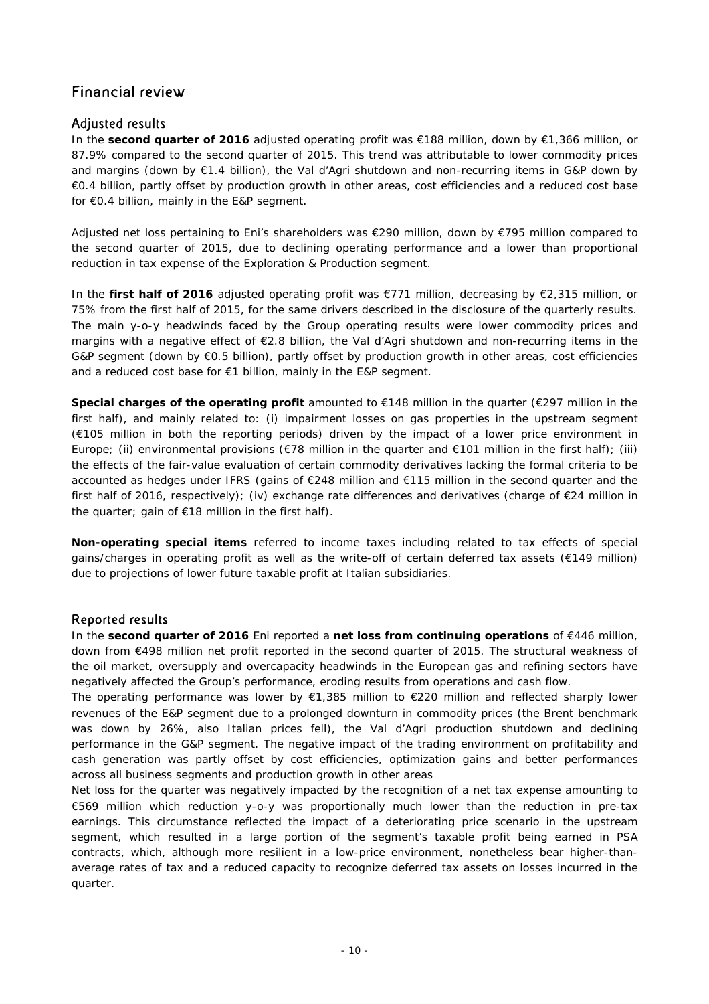## Financial review

## Adjusted results

In the **second quarter of 2016** adjusted operating profit was €188 million, down by €1,366 million, or 87.9% compared to the second quarter of 2015. This trend was attributable to lower commodity prices and margins (down by €1.4 billion), the Val d'Agri shutdown and non-recurring items in G&P down by €0.4 billion, partly offset by production growth in other areas, cost efficiencies and a reduced cost base for €0.4 billion, mainly in the E&P segment.

Adjusted net loss pertaining to Eni's shareholders was €290 million, down by €795 million compared to the second quarter of 2015, due to declining operating performance and a lower than proportional reduction in tax expense of the Exploration & Production segment.

In the **first half of 2016** adjusted operating profit was €771 million, decreasing by €2,315 million, or 75% from the first half of 2015, for the same drivers described in the disclosure of the quarterly results. The main y-o-y headwinds faced by the Group operating results were lower commodity prices and margins with a negative effect of €2.8 billion, the Val d'Agri shutdown and non-recurring items in the G&P segment (down by €0.5 billion), partly offset by production growth in other areas, cost efficiencies and a reduced cost base for €1 billion, mainly in the E&P segment.

**Special charges of the operating profit** amounted to €148 million in the quarter (€297 million in the first half), and mainly related to: (i) impairment losses on gas properties in the upstream segment (€105 million in both the reporting periods) driven by the impact of a lower price environment in Europe; (ii) environmental provisions (€78 million in the quarter and €101 million in the first half); (iii) the effects of the fair-value evaluation of certain commodity derivatives lacking the formal criteria to be accounted as hedges under IFRS (gains of €248 million and €115 million in the second quarter and the first half of 2016, respectively); (iv) exchange rate differences and derivatives (charge of €24 million in the quarter; gain of  $E18$  million in the first half).

**Non-operating special items** referred to income taxes including related to tax effects of special gains/charges in operating profit as well as the write-off of certain deferred tax assets (€149 million) due to projections of lower future taxable profit at Italian subsidiaries.

## Reported results

In the **second quarter of 2016** Eni reported a **net loss from continuing operations** of €446 million, down from €498 million net profit reported in the second quarter of 2015. The structural weakness of the oil market, oversupply and overcapacity headwinds in the European gas and refining sectors have negatively affected the Group's performance, eroding results from operations and cash flow.

The operating performance was lower by €1,385 million to €220 million and reflected sharply lower revenues of the E&P segment due to a prolonged downturn in commodity prices (the Brent benchmark was down by 26%, also Italian prices fell), the Val d'Agri production shutdown and declining performance in the G&P segment. The negative impact of the trading environment on profitability and cash generation was partly offset by cost efficiencies, optimization gains and better performances across all business segments and production growth in other areas

Net loss for the quarter was negatively impacted by the recognition of a net tax expense amounting to €569 million which reduction y-o-y was proportionally much lower than the reduction in pre-tax earnings. This circumstance reflected the impact of a deteriorating price scenario in the upstream segment, which resulted in a large portion of the segment's taxable profit being earned in PSA contracts, which, although more resilient in a low-price environment, nonetheless bear higher-thanaverage rates of tax and a reduced capacity to recognize deferred tax assets on losses incurred in the quarter.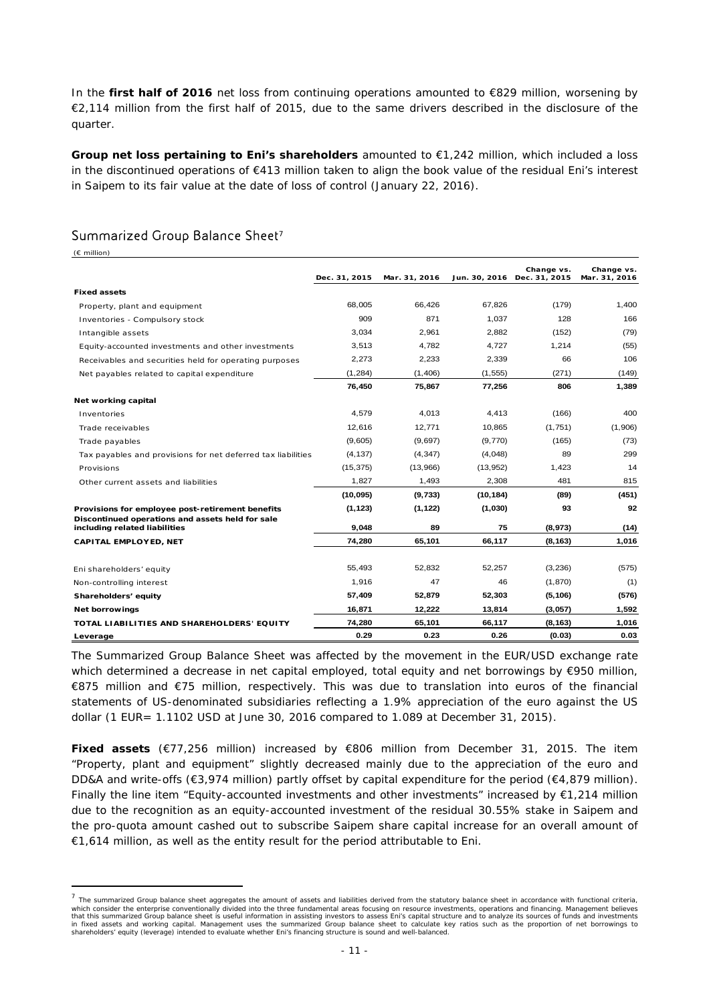In the **first half of 2016** net loss from continuing operations amounted to €829 million, worsening by €2,114 million from the first half of 2015, due to the same drivers described in the disclosure of the quarter.

**Group net loss pertaining to Eni's shareholders** amounted to €1,242 million, which included a loss in the discontinued operations of €413 million taken to align the book value of the residual Eni's interest in Saipem to its fair value at the date of loss of control (January 22, 2016).

## Summarized Group Balance Sheet<sup>7</sup>

 $\overline{a}$ 

| $(E \text{ million})$                                                             |               |               |           |                                           |                             |
|-----------------------------------------------------------------------------------|---------------|---------------|-----------|-------------------------------------------|-----------------------------|
|                                                                                   | Dec. 31, 2015 | Mar. 31, 2016 |           | Change vs.<br>Jun. 30, 2016 Dec. 31, 2015 | Change vs.<br>Mar. 31, 2016 |
| <b>Fixed assets</b>                                                               |               |               |           |                                           |                             |
| Property, plant and equipment                                                     | 68.005        | 66,426        | 67,826    | (179)                                     | 1,400                       |
| Inventories - Compulsory stock                                                    | 909           | 871           | 1,037     | 128                                       | 166                         |
| Intangible assets                                                                 | 3,034         | 2,961         | 2,882     | (152)                                     | (79)                        |
| Equity-accounted investments and other investments                                | 3,513         | 4,782         | 4.727     | 1,214                                     | (55)                        |
| Receivables and securities held for operating purposes                            | 2,273         | 2,233         | 2,339     | 66                                        | 106                         |
| Net payables related to capital expenditure                                       | (1, 284)      | (1,406)       | (1, 555)  | (271)                                     | (149)                       |
|                                                                                   | 76,450        | 75,867        | 77,256    | 806                                       | 1,389                       |
| Net working capital                                                               |               |               |           |                                           |                             |
| Inventories                                                                       | 4.579         | 4,013         | 4,413     | (166)                                     | 400                         |
| Trade receivables                                                                 | 12,616        | 12,771        | 10,865    | (1,751)                                   | (1,906)                     |
| Trade payables                                                                    | (9,605)       | (9,697)       | (9,770)   | (165)                                     | (73)                        |
| Tax payables and provisions for net deferred tax liabilities                      | (4, 137)      | (4, 347)      | (4,048)   | 89                                        | 299                         |
| Provisions                                                                        | (15, 375)     | (13,966)      | (13,952)  | 1,423                                     | 14                          |
| Other current assets and liabilities                                              | 1,827         | 1,493         | 2,308     | 481                                       | 815                         |
|                                                                                   | (10, 095)     | (9,733)       | (10, 184) | (89)                                      | (451)                       |
| Provisions for employee post-retirement benefits                                  | (1, 123)      | (1, 122)      | (1,030)   | 93                                        | 92                          |
| Discontinued operations and assets held for sale<br>including related liabilities | 9.048         | 89            | 75        | (8,973)                                   | (14)                        |
| <b>CAPITAL EMPLOYED, NET</b>                                                      | 74,280        | 65,101        | 66,117    | (8, 163)                                  | 1,016                       |
|                                                                                   |               |               |           |                                           |                             |
| Eni shareholders' equity                                                          | 55.493        | 52.832        | 52.257    | (3,236)                                   | (575)                       |
| Non-controlling interest                                                          | 1.916         | 47            | 46        | (1,870)                                   | (1)                         |
| Shareholders' equity                                                              | 57,409        | 52,879        | 52,303    | (5, 106)                                  | (576)                       |
| <b>Net borrowings</b>                                                             | 16,871        | 12,222        | 13,814    | (3,057)                                   | 1,592                       |
| TOTAL LIABILITIES AND SHAREHOLDERS' EQUITY                                        | 74,280        | 65,101        | 66,117    | (8, 163)                                  | 1,016                       |
| Leverage                                                                          | 0.29          | 0.23          | 0.26      | (0.03)                                    | 0.03                        |

The Summarized Group Balance Sheet was affected by the movement in the EUR/USD exchange rate which determined a decrease in net capital employed, total equity and net borrowings by €950 million, €875 million and €75 million, respectively. This was due to translation into euros of the financial statements of US-denominated subsidiaries reflecting a 1.9% appreciation of the euro against the US dollar (1 EUR= 1.1102 USD at June 30, 2016 compared to 1.089 at December 31, 2015).

**Fixed assets** (€77,256 million) increased by €806 million from December 31, 2015. The item "Property, plant and equipment" slightly decreased mainly due to the appreciation of the euro and DD&A and write-offs ( $\epsilon$ 3,974 million) partly offset by capital expenditure for the period ( $\epsilon$ 4,879 million). Finally the line item "Equity-accounted investments and other investments" increased by  $\epsilon$ 1,214 million due to the recognition as an equity-accounted investment of the residual 30.55% stake in Saipem and the pro-quota amount cashed out to subscribe Saipem share capital increase for an overall amount of €1,614 million, as well as the entity result for the period attributable to Eni.

 $<sup>7</sup>$  The summarized Group balance sheet aggregates the amount of assets and liabilities derived from the statutory balance sheet in accordance with functional criteria,</sup> which consider the enterprise conventionally divided into the three fundamental areas focusing on resource investments, operations and financing. Management believes<br>that this summarized Group balance sheet is useful infor in fixed assets and working capital. Management uses the summarized Group balance sheet to calculate key ratios such as the proportion of net borrowings to shareholders' equity (leverage) intended to evaluate whether Eni's financing structure is sound and well-balanced.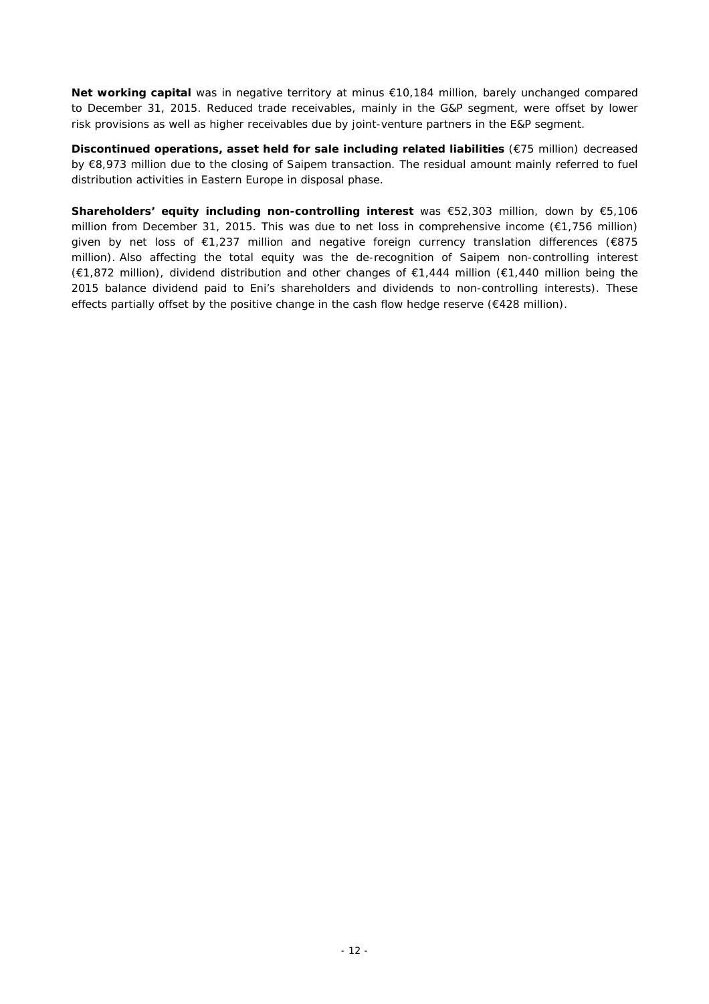**Net working capital** was in negative territory at minus €10,184 million, barely unchanged compared to December 31, 2015. Reduced trade receivables, mainly in the G&P segment, were offset by lower risk provisions as well as higher receivables due by joint-venture partners in the E&P segment.

**Discontinued operations, asset held for sale including related liabilities** (€75 million) decreased by €8,973 million due to the closing of Saipem transaction. The residual amount mainly referred to fuel distribution activities in Eastern Europe in disposal phase.

**Shareholders' equity including non-controlling interest** was €52,303 million, down by €5,106 million from December 31, 2015. This was due to net loss in comprehensive income (€1,756 million) given by net loss of €1,237 million and negative foreign currency translation differences (€875 million). Also affecting the total equity was the de-recognition of Saipem non-controlling interest (€1,872 million), dividend distribution and other changes of €1,444 million (€1,440 million being the 2015 balance dividend paid to Eni's shareholders and dividends to non-controlling interests). These effects partially offset by the positive change in the cash flow hedge reserve (€428 million).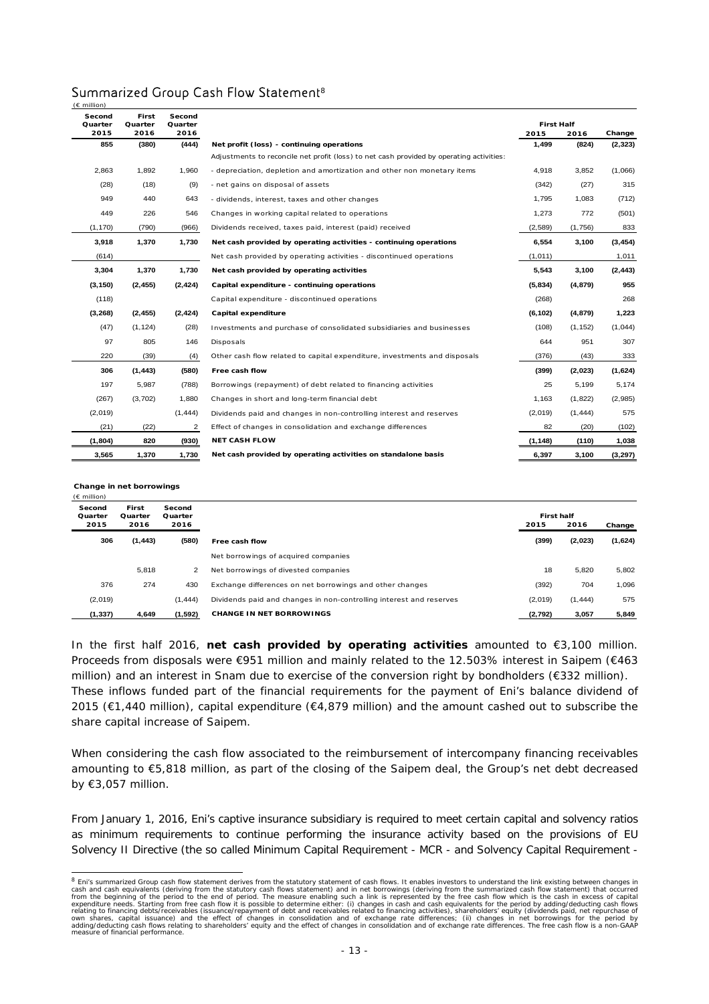| $(E \text{ million})$ |                  |                   |                                                                                          |                   |          |          |
|-----------------------|------------------|-------------------|------------------------------------------------------------------------------------------|-------------------|----------|----------|
| Second<br>Quarter     | First<br>Quarter | Second<br>Quarter |                                                                                          | <b>First Half</b> |          |          |
| 2015                  | 2016             | 2016              |                                                                                          | 2015              | 2016     | Change   |
| 855                   | (380)            | (444)             | Net profit (loss) - continuing operations                                                | 1,499             | (824)    | (2, 323) |
|                       |                  |                   | Adjustments to reconcile net profit (loss) to net cash provided by operating activities: |                   |          |          |
| 2,863                 | 1,892            | 1,960             | - depreciation, depletion and amortization and other non monetary items                  | 4,918             | 3,852    | (1,066)  |
| (28)                  | (18)             | (9)               | - net gains on disposal of assets                                                        | (342)             | (27)     | 315      |
| 949                   | 440              | 643               | - dividends, interest, taxes and other changes                                           | 1,795             | 1,083    | (712)    |
| 449                   | 226              | 546               | Changes in working capital related to operations                                         | 1,273             | 772      | (501)    |
| (1, 170)              | (790)            | (966)             | Dividends received, taxes paid, interest (paid) received                                 | (2,589)           | (1,756)  | 833      |
| 3,918                 | 1,370            | 1,730             | Net cash provided by operating activities - continuing operations                        | 6,554             | 3,100    | (3, 454) |
| (614)                 |                  |                   | Net cash provided by operating activities - discontinued operations                      | (1,011)           |          | 1,011    |
| 3,304                 | 1,370            | 1,730             | Net cash provided by operating activities                                                | 5,543             | 3,100    | (2, 443) |
| (3, 150)              | (2, 455)         | (2, 424)          | Capital expenditure - continuing operations                                              | (5,834)           | (4, 879) | 955      |
| (118)                 |                  |                   | Capital expenditure - discontinued operations                                            | (268)             |          | 268      |
| (3, 268)              | (2, 455)         | (2, 424)          | Capital expenditure                                                                      | (6, 102)          | (4, 879) | 1,223    |
| (47)                  | (1, 124)         | (28)              | Investments and purchase of consolidated subsidiaries and businesses                     | (108)             | (1, 152) | (1,044)  |
| 97                    | 805              | 146               | Disposals                                                                                | 644               | 951      | 307      |
| 220                   | (39)             | (4)               | Other cash flow related to capital expenditure, investments and disposals                | (376)             | (43)     | 333      |
| 306                   | (1, 443)         | (580)             | Free cash flow                                                                           | (399)             | (2,023)  | (1,624)  |
| 197                   | 5,987            | (788)             | Borrowings (repayment) of debt related to financing activities                           | 25                | 5,199    | 5,174    |
| (267)                 | (3,702)          | 1.880             | Changes in short and long-term financial debt                                            | 1,163             | (1,822)  | (2,985)  |
| (2,019)               |                  | (1, 444)          | Dividends paid and changes in non-controlling interest and reserves                      | (2,019)           | (1, 444) | 575      |
| (21)                  | (22)             | 2                 | Effect of changes in consolidation and exchange differences                              | 82                | (20)     | (102)    |
| (1,804)               | 820              | (930)             | <b>NET CASH FLOW</b>                                                                     | (1, 148)          | (110)    | 1,038    |
| 3,565                 | 1,370            | 1,730             | Net cash provided by operating activities on standalone basis                            | 6,397             | 3,100    | (3, 297) |

## Summarized Group Cash Flow Statement8

**Change in net borrowings**

| $(E \text{ million})$                                                              |          |          |                                                                     |         |                           |         |
|------------------------------------------------------------------------------------|----------|----------|---------------------------------------------------------------------|---------|---------------------------|---------|
| First<br>Second<br>Second<br>Quarter<br>Quarter<br>Quarter<br>2015<br>2016<br>2016 |          |          |                                                                     | 2015    | <b>First half</b><br>2016 |         |
| 306                                                                                | (1, 443) | (580)    | Free cash flow                                                      | (399)   | (2,023)                   | (1,624) |
|                                                                                    |          |          | Net borrowings of acquired companies                                |         |                           |         |
|                                                                                    | 5,818    | 2        | Net borrowings of divested companies                                | 18      | 5,820                     | 5,802   |
| 376                                                                                | 274      | 430      | Exchange differences on net borrowings and other changes            | (392)   | 704                       | 1,096   |
| (2,019)                                                                            |          | (1, 444) | Dividends paid and changes in non-controlling interest and reserves | (2,019) | (1, 444)                  | 575     |
| (1, 337)                                                                           | 4.649    | (1,592)  | <b>CHANGE IN NET BORROWINGS</b>                                     | (2,792) | 3,057                     | 5,849   |

In the first half 2016, **net cash provided by operating activities** amounted to €3,100 million. Proceeds from disposals were €951 million and mainly related to the 12.503% interest in Saipem (€463 million) and an interest in Snam due to exercise of the conversion right by bondholders (€332 million). These inflows funded part of the financial requirements for the payment of Eni's balance dividend of 2015 (€1,440 million), capital expenditure (€4,879 million) and the amount cashed out to subscribe the share capital increase of Saipem.

When considering the cash flow associated to the reimbursement of intercompany financing receivables amounting to €5,818 million, as part of the closing of the Saipem deal, the Group's net debt decreased by €3,057 million.

From January 1, 2016, Eni's captive insurance subsidiary is required to meet certain capital and solvency ratios as minimum requirements to continue performing the insurance activity based on the provisions of EU Solvency II Directive (the so called Minimum Capital Requirement - MCR - and Solvency Capital Requirement -

<sup>&</sup>lt;sup>8</sup> Eni's summarized Group cash flow statement derives from the statutory statement of cash flows. It enables investors to understand the link existing between changes in<br>cash and cash equivalents (deriving from the statut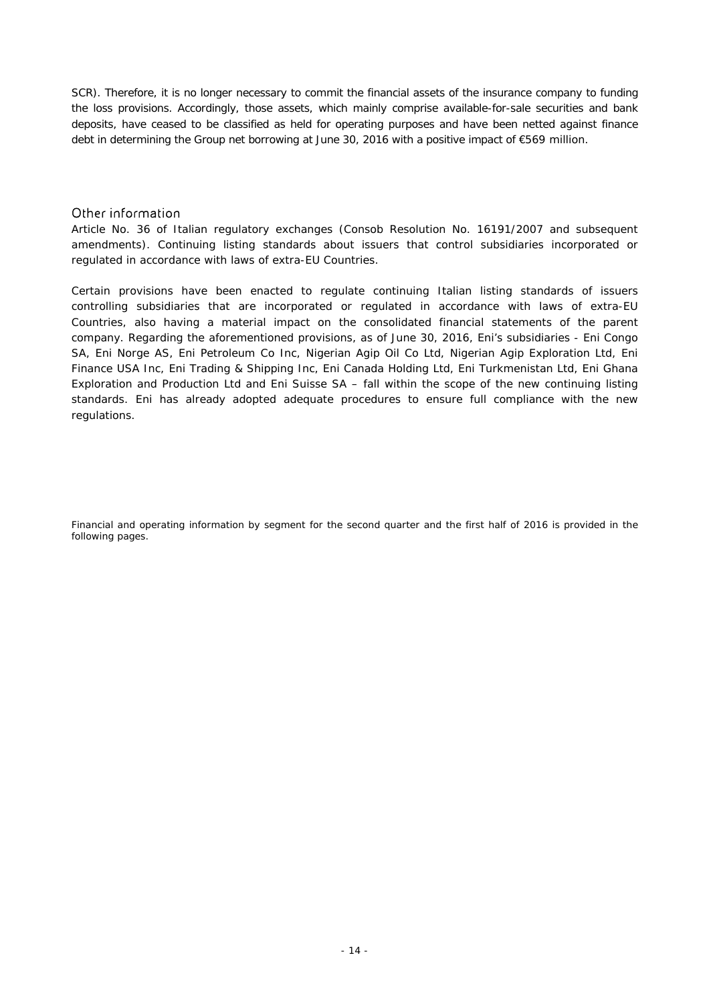SCR). Therefore, it is no longer necessary to commit the financial assets of the insurance company to funding the loss provisions. Accordingly, those assets, which mainly comprise available-for-sale securities and bank deposits, have ceased to be classified as held for operating purposes and have been netted against finance debt in determining the Group net borrowing at June 30, 2016 with a positive impact of €569 million.

## Other information

*Article No. 36 of Italian regulatory exchanges (Consob Resolution No. 16191/2007 and subsequent amendments). Continuing listing standards about issuers that control subsidiaries incorporated or regulated in accordance with laws of extra-EU Countries.* 

Certain provisions have been enacted to regulate continuing Italian listing standards of issuers controlling subsidiaries that are incorporated or regulated in accordance with laws of extra-EU Countries, also having a material impact on the consolidated financial statements of the parent company. Regarding the aforementioned provisions, as of June 30, 2016, Eni's subsidiaries - Eni Congo SA, Eni Norge AS, Eni Petroleum Co Inc, Nigerian Agip Oil Co Ltd, Nigerian Agip Exploration Ltd, Eni Finance USA Inc, Eni Trading & Shipping Inc, Eni Canada Holding Ltd, Eni Turkmenistan Ltd, Eni Ghana Exploration and Production Ltd and Eni Suisse SA – fall within the scope of the new continuing listing standards. Eni has already adopted adequate procedures to ensure full compliance with the new regulations.

Financial and operating information by segment for the second quarter and the first half of 2016 is provided in the *following pages.*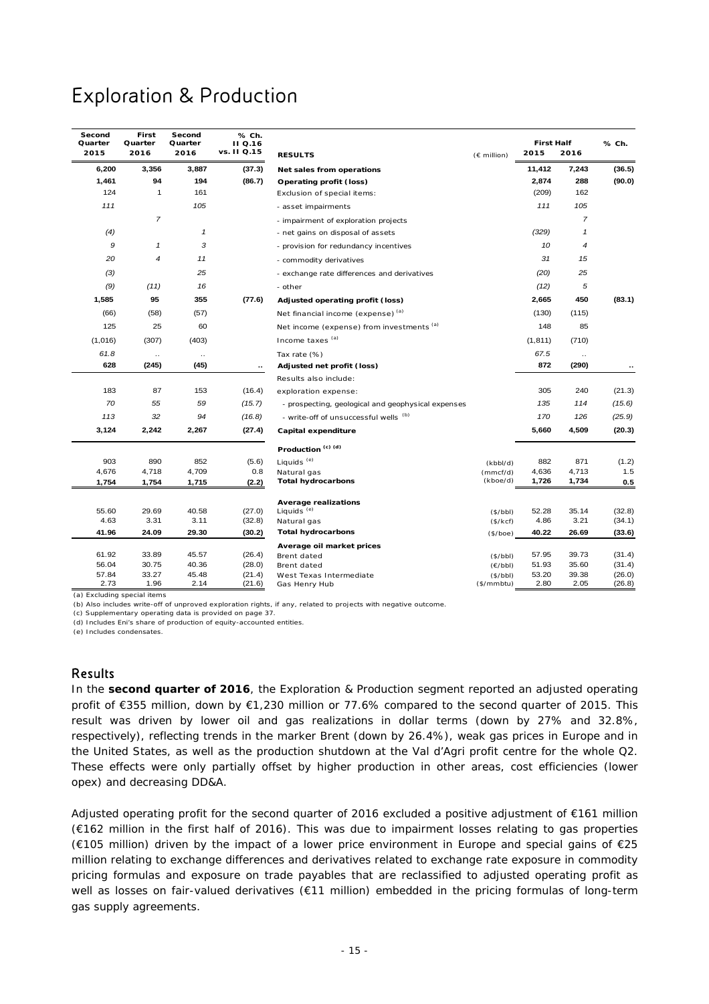# Exploration & Production

| Second<br>Quarter<br>2015 | First<br>Quarter<br>2016 | Second<br>Quarter<br>2016 | % Ch.<br><b>II</b> Q.16<br>vs. II Q.15 | <b>RESULTS</b>                                     | (€ million)           | <b>First Half</b><br>2015 | 2016           | % Ch.            |
|---------------------------|--------------------------|---------------------------|----------------------------------------|----------------------------------------------------|-----------------------|---------------------------|----------------|------------------|
| 6,200                     | 3,356                    | 3,887                     | (37.3)                                 | Net sales from operations                          |                       | 11,412                    | 7,243          | (36.5)           |
| 1,461                     | 94                       | 194                       | (86.7)                                 | Operating profit (loss)                            |                       | 2,874                     | 288            | (90.0)           |
| 124                       | $\mathbf{1}$             | 161                       |                                        | Exclusion of special items:                        |                       | (209)                     | 162            |                  |
| 111                       |                          | 105                       |                                        | - asset impairments                                |                       | 111                       | 105            |                  |
|                           | $\overline{7}$           |                           |                                        | - impairment of exploration projects               |                       |                           | 7              |                  |
| (4)                       |                          | $\mathbf{1}$              |                                        | - net gains on disposal of assets                  |                       | (329)                     | 1              |                  |
| 9                         | $\mathbf{1}$             | 3                         |                                        | - provision for redundancy incentives              |                       | 10                        | $\overline{4}$ |                  |
| 20                        | $\overline{\mathcal{A}}$ | 11                        |                                        | - commodity derivatives                            |                       | 31                        | 15             |                  |
| (3)                       |                          | 25                        |                                        | - exchange rate differences and derivatives        |                       | (20)                      | 25             |                  |
| (9)                       | (11)                     | 16                        |                                        | - other                                            |                       | (12)                      | 5              |                  |
| 1,585                     | 95                       | 355                       | (77.6)                                 | Adjusted operating profit (loss)                   |                       | 2,665                     | 450            | (83.1)           |
| (66)                      | (58)                     | (57)                      |                                        | Net financial income (expense) (a)                 |                       | (130)                     | (115)          |                  |
| 125                       | 25                       | 60                        |                                        | Net income (expense) from investments (a)          |                       | 148                       | 85             |                  |
| (1,016)                   | (307)                    | (403)                     |                                        | Income taxes (a)                                   |                       | (1, 811)                  | (710)          |                  |
| 61.8                      | $\ddotsc$                | $\ddotsc$                 |                                        | Tax rate (%)                                       |                       | 67.5                      | $\ldots$       |                  |
| 628                       | (245)                    | (45)                      | ٠.                                     | Adjusted net profit (loss)                         |                       | 872                       | (290)          |                  |
|                           |                          |                           |                                        | Results also include:                              |                       |                           |                |                  |
| 183                       | 87                       | 153                       | (16.4)                                 | exploration expense:                               |                       | 305                       | 240            | (21.3)           |
| 70                        | 55                       | 59                        | (15.7)                                 | - prospecting, geological and geophysical expenses |                       | 135                       | 114            | (15.6)           |
| 113                       | 32                       | 94                        | (16.8)                                 | - write-off of unsuccessful wells (b)              |                       | 170                       | 126            | (25.9)           |
| 3,124                     | 2,242                    | 2,267                     | (27.4)                                 | Capital expenditure                                |                       | 5,660                     | 4,509          | (20.3)           |
|                           |                          |                           |                                        | Production <sup>(c)(d)</sup>                       |                       |                           |                |                  |
| 903                       | 890                      | 852                       | (5.6)                                  | Liquids <sup>(e)</sup>                             | (kbbI/d)              | 882                       | 871            | (1.2)            |
| 4,676                     | 4,718                    | 4,709                     | 0.8                                    | Natural gas                                        | (mmcf/d)              | 4,636                     | 4,713          | 1.5              |
| 1,754                     | 1,754                    | 1,715                     | (2.2)                                  | <b>Total hydrocarbons</b>                          | (kboe/d)              | 1,726                     | 1,734          | 0.5              |
|                           |                          |                           |                                        | <b>Average realizations</b>                        |                       |                           |                |                  |
| 55.60                     | 29.69                    | 40.58                     | (27.0)                                 | Liquids <sup>(e)</sup>                             | (\$/bbl)              | 52.28                     | 35.14          | (32.8)           |
| 4.63                      | 3.31                     | 3.11                      | (32.8)                                 | Natural gas                                        | (\$/kcf)              | 4.86                      | 3.21           | (34.1)           |
| 41.96                     | 24.09                    | 29.30                     | (30.2)                                 | <b>Total hydrocarbons</b>                          | (\$/boe)              | 40.22                     | 26.69          | (33.6)           |
|                           |                          |                           |                                        | Average oil market prices                          |                       |                           |                |                  |
| 61.92                     | 33.89                    | 45.57                     | (26.4)                                 | Brent dated                                        | (\$/bbl)              | 57.95                     | 39.73          | (31.4)           |
| 56.04                     | 30.75                    | 40.36                     | (28.0)                                 | Brent dated                                        | (E/bbl)               | 51.93                     | 35.60          | (31.4)           |
| 57.84<br>2.73             | 33.27<br>1.96            | 45.48<br>2.14             | (21.4)<br>(21.6)                       | West Texas Intermediate<br>Gas Henry Hub           | (S/bbl)<br>(\$/mmbtu) | 53.20<br>2.80             | 39.38<br>2.05  | (26.0)<br>(26.8) |

(a) Excluding special items

(b) Also includes write-off of unproved exploration rights, if any, related to projects with negative outcome.

(c) Supplementary operating data is provided on page 37.

(d) Includes Eni's share of production of equity-accounted entities.

(e) Includes condensates.

### Results

In the **second quarter of 2016**, the Exploration & Production segment reported an adjusted operating profit of €355 million, down by €1,230 million or 77.6% compared to the second quarter of 2015. This result was driven by lower oil and gas realizations in dollar terms (down by 27% and 32.8%, respectively), reflecting trends in the marker Brent (down by 26.4%), weak gas prices in Europe and in the United States, as well as the production shutdown at the Val d'Agri profit centre for the whole Q2. These effects were only partially offset by higher production in other areas, cost efficiencies (lower opex) and decreasing DD&A.

Adjusted operating profit for the second quarter of 2016 excluded a positive adjustment of €161 million (€162 million in the first half of 2016). This was due to impairment losses relating to gas properties (€105 million) driven by the impact of a lower price environment in Europe and special gains of €25 million relating to exchange differences and derivatives related to exchange rate exposure in commodity pricing formulas and exposure on trade payables that are reclassified to adjusted operating profit as well as losses on fair-valued derivatives (€11 million) embedded in the pricing formulas of long-term gas supply agreements.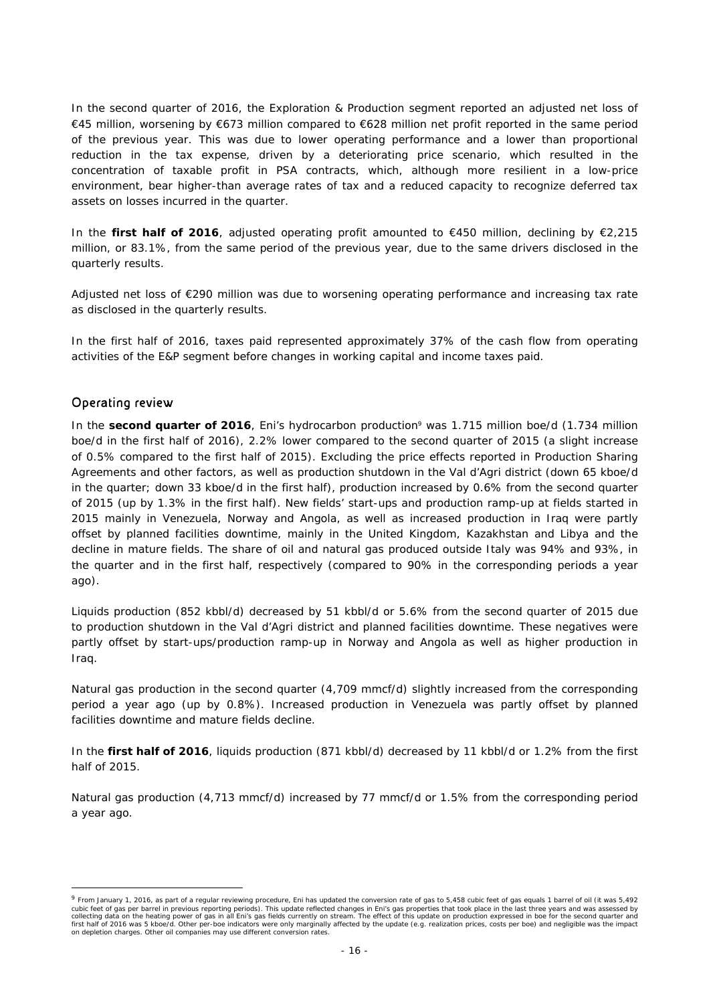In the second quarter of 2016, the Exploration & Production segment reported an adjusted net loss of €45 million, worsening by €673 million compared to €628 million net profit reported in the same period of the previous year. This was due to lower operating performance and a lower than proportional reduction in the tax expense, driven by a deteriorating price scenario, which resulted in the concentration of taxable profit in PSA contracts, which, although more resilient in a low-price environment, bear higher-than average rates of tax and a reduced capacity to recognize deferred tax assets on losses incurred in the quarter.

In the **first half of 2016**, adjusted operating profit amounted to €450 million, declining by €2,215 million, or 83.1%, from the same period of the previous year, due to the same drivers disclosed in the quarterly results.

Adjusted net loss of €290 million was due to worsening operating performance and increasing tax rate as disclosed in the quarterly results.

In the first half of 2016, taxes paid represented approximately 37% of the cash flow from operating activities of the E&P segment before changes in working capital and income taxes paid.

## Operating review

 $\overline{a}$ 

In the **second quarter of 2016**, Eni's hydrocarbon production<sup>9</sup> was 1.715 million boe/d (1.734 million boe/d in the first half of 2016), 2.2% lower compared to the second quarter of 2015 (a slight increase of 0.5% compared to the first half of 2015). Excluding the price effects reported in Production Sharing Agreements and other factors, as well as production shutdown in the Val d'Agri district (down 65 kboe/d in the quarter; down 33 kboe/d in the first half), production increased by 0.6% from the second quarter of 2015 (up by 1.3% in the first half). New fields' start-ups and production ramp-up at fields started in 2015 mainly in Venezuela, Norway and Angola, as well as increased production in Iraq were partly offset by planned facilities downtime, mainly in the United Kingdom, Kazakhstan and Libya and the decline in mature fields. The share of oil and natural gas produced outside Italy was 94% and 93%, in the quarter and in the first half, respectively (compared to 90% in the corresponding periods a year ago).

Liquids production (852 kbbl/d) decreased by 51 kbbl/d or 5.6% from the second quarter of 2015 due to production shutdown in the Val d'Agri district and planned facilities downtime. These negatives were partly offset by start-ups/production ramp-up in Norway and Angola as well as higher production in Iraq.

Natural gas production in the second quarter (4,709 mmcf/d) slightly increased from the corresponding period a year ago (up by 0.8%). Increased production in Venezuela was partly offset by planned facilities downtime and mature fields decline.

In the **first half of 2016**, liquids production (871 kbbl/d) decreased by 11 kbbl/d or 1.2% from the first half of 2015.

Natural gas production (4,713 mmcf/d) increased by 77 mmcf/d or 1.5% from the corresponding period a year ago.

<sup>9</sup> From January 1, 2016, as part of a regular reviewing procedure, Eni has updated the conversion rate of gas to 5,458 cubic feet of gas equals 1 barrel of oil (it was 5,492 cubic feet of gas per barrel in previous reporting periods). This update reflected changes in Eni's gas properties that took place in the last three years and was assessed by<br>collecting data on the heating power of gas in first half of 2016 was 5 kboe/d. Other per-boe indicators were only marginally affected by the update (e.g. realization prices, costs per boe) and negligible was the impact on depletion charges. Other oil companies may use different conversion rates.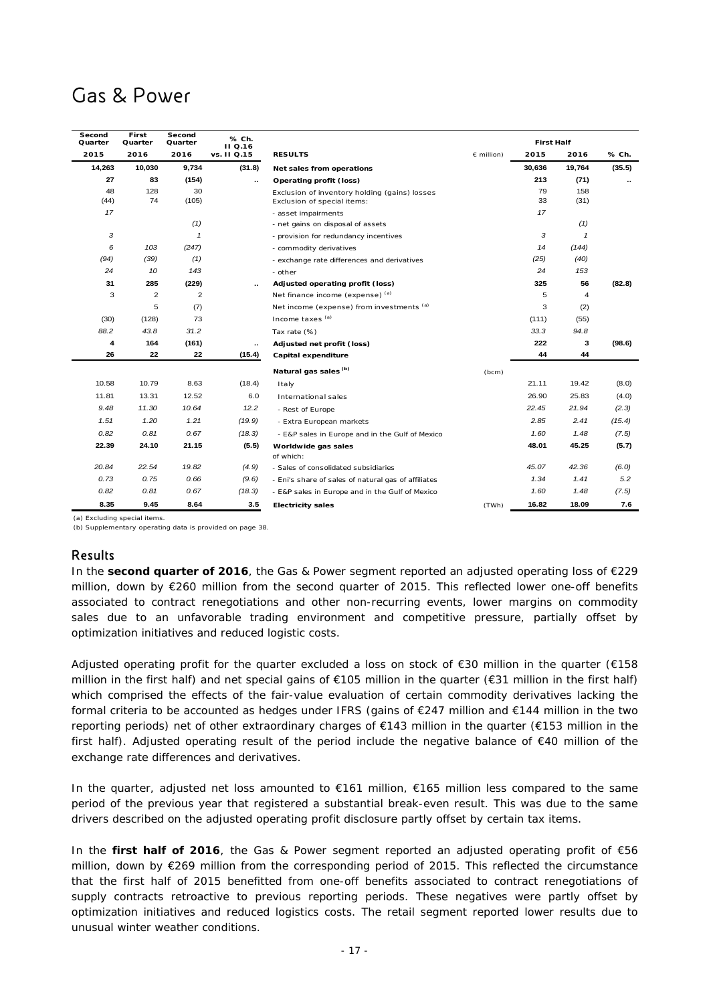# Gas & Power

| Second<br>Quarter | First<br>Quarter | Second<br>Quarter | % Ch.       | <b>First Half</b><br>II Q.16                                                 |                     |          |              |        |
|-------------------|------------------|-------------------|-------------|------------------------------------------------------------------------------|---------------------|----------|--------------|--------|
| 2015              | 2016             | 2016              | vs. II Q.15 | <b>RESULTS</b>                                                               | $\epsilon$ million) | 2015     | 2016         | % Ch.  |
| 14,263            | 10,030           | 9,734             | (31.8)      | Net sales from operations                                                    |                     | 30,636   | 19,764       | (35.5) |
| 27                | 83               | (154)             | ٠.          | Operating profit (loss)                                                      |                     | 213      | (71)         |        |
| 48<br>(44)        | 128<br>74        | 30<br>(105)       |             | Exclusion of inventory holding (gains) losses<br>Exclusion of special items: |                     | 79<br>33 | 158<br>(31)  |        |
| 17                |                  |                   |             | - asset impairments                                                          |                     | 17       |              |        |
|                   |                  | (1)               |             | - net gains on disposal of assets                                            |                     |          | (1)          |        |
| 3                 |                  | $\mathbf{1}$      |             | - provision for redundancy incentives                                        |                     | 3        | $\mathbf{1}$ |        |
| 6                 | 103              | (247)             |             | - commodity derivatives                                                      |                     | 14       | (144)        |        |
| (94)              | (39)             | (1)               |             | - exchange rate differences and derivatives                                  |                     | (25)     | (40)         |        |
| 24                | 10               | 143               |             | - other                                                                      |                     | 24       | 153          |        |
| 31                | 285              | (229)             | $\sim$      | Adjusted operating profit (loss)                                             |                     | 325      | 56           | (82.8) |
| 3                 | $\overline{2}$   | $\overline{2}$    |             | Net finance income (expense) (a)                                             |                     | 5        | 4            |        |
|                   | 5                | (7)               |             | Net income (expense) from investments (a)                                    |                     | 3        | (2)          |        |
| (30)              | (128)            | 73                |             | Income taxes (a)                                                             |                     | (111)    | (55)         |        |
| 88.2              | 43.8             | 31.2              |             | Tax rate (%)                                                                 |                     | 33.3     | 94.8         |        |
| 4                 | 164              | (161)             | $\cdot$ .   | Adjusted net profit (loss)                                                   |                     | 222      | 3            | (98.6) |
| 26                | 22               | 22                | (15.4)      | Capital expenditure                                                          |                     | 44       | 44           |        |
|                   |                  |                   |             | Natural gas sales <sup>(b)</sup>                                             | (bcm)               |          |              |        |
| 10.58             | 10.79            | 8.63              | (18.4)      | Italy                                                                        |                     | 21.11    | 19.42        | (8.0)  |
| 11.81             | 13.31            | 12.52             | 6.0         | International sales                                                          |                     | 26.90    | 25.83        | (4.0)  |
| 9.48              | 11.30            | 10.64             | 12.2        | - Rest of Europe                                                             |                     | 22.45    | 21.94        | (2.3)  |
| 1.51              | 1.20             | 1.21              | (19.9)      | - Extra European markets                                                     |                     | 2.85     | 2.41         | (15.4) |
| 0.82              | 0.81             | 0.67              | (18.3)      | - E&P sales in Europe and in the Gulf of Mexico                              |                     | 1.60     | 1.48         | (7.5)  |
| 22.39             | 24.10            | 21.15             | (5.5)       | Worldwide gas sales                                                          |                     | 48.01    | 45.25        | (5.7)  |
|                   |                  |                   |             | of which:                                                                    |                     |          |              |        |
| 20.84             | 22.54            | 19.82             | (4.9)       | - Sales of consolidated subsidiaries                                         |                     | 45.07    | 42.36        | (6.0)  |
| 0.73              | 0.75             | 0.66              | (9.6)       | - Eni's share of sales of natural gas of affiliates                          |                     | 1.34     | 1.41         | 5.2    |
| 0.82              | 0.81             | 0.67              | (18.3)      | - E&P sales in Europe and in the Gulf of Mexico                              |                     | 1.60     | 1.48         | (7.5)  |
| 8.35              | 9.45             | 8.64              | 3.5         | <b>Electricity sales</b>                                                     | (TWh)               | 16.82    | 18.09        | 7.6    |

(a) Excluding special items.

(b) Supplementary operating data is provided on page 38.

## Results

In the **second quarter of 2016**, the Gas & Power segment reported an adjusted operating loss of €229 million, down by €260 million from the second quarter of 2015. This reflected lower one-off benefits associated to contract renegotiations and other non-recurring events, lower margins on commodity sales due to an unfavorable trading environment and competitive pressure, partially offset by optimization initiatives and reduced logistic costs.

Adjusted operating profit for the quarter excluded a loss on stock of €30 million in the quarter (€158 million in the first half) and net special gains of €105 million in the quarter (€31 million in the first half) which comprised the effects of the fair-value evaluation of certain commodity derivatives lacking the formal criteria to be accounted as hedges under IFRS (gains of €247 million and €144 million in the two reporting periods) net of other extraordinary charges of €143 million in the quarter (€153 million in the first half). Adjusted operating result of the period include the negative balance of €40 million of the exchange rate differences and derivatives.

In the quarter, adjusted net loss amounted to €161 million, €165 million less compared to the same period of the previous year that registered a substantial break-even result. This was due to the same drivers described on the adjusted operating profit disclosure partly offset by certain tax items.

In the **first half of 2016**, the Gas & Power segment reported an adjusted operating profit of €56 million, down by €269 million from the corresponding period of 2015. This reflected the circumstance that the first half of 2015 benefitted from one-off benefits associated to contract renegotiations of supply contracts retroactive to previous reporting periods. These negatives were partly offset by optimization initiatives and reduced logistics costs. The retail segment reported lower results due to unusual winter weather conditions.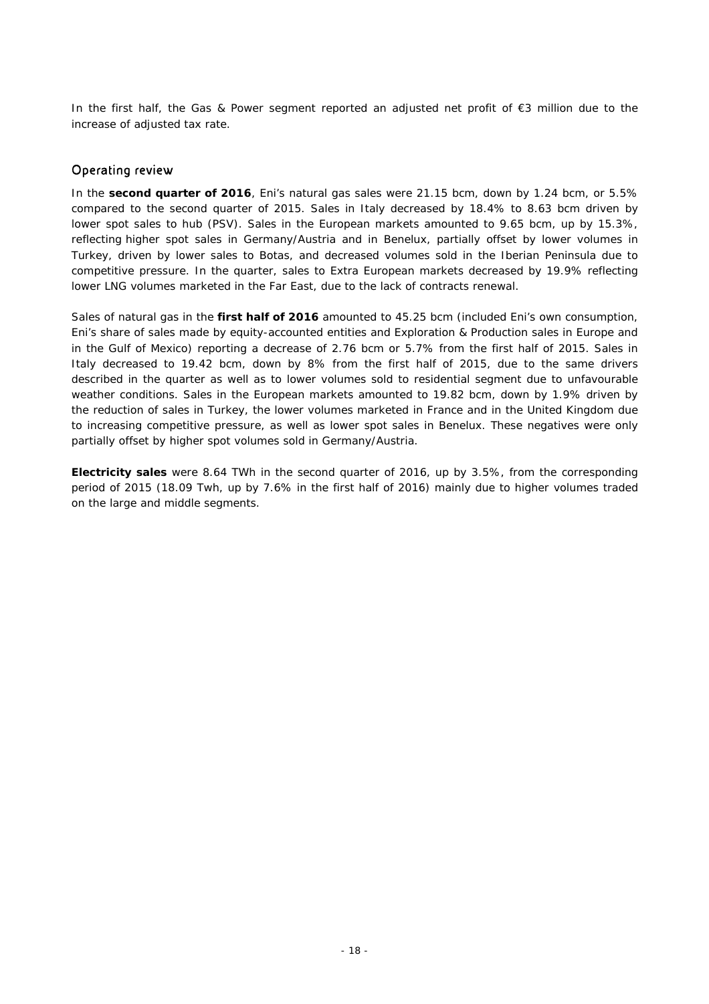In the first half, the Gas & Power segment reported an adjusted net profit of €3 million due to the increase of adjusted tax rate.

## Operating review

In the **second quarter of 2016**, Eni's natural gas sales were 21.15 bcm, down by 1.24 bcm, or 5.5% compared to the second quarter of 2015. Sales in Italy decreased by 18.4% to 8.63 bcm driven by lower spot sales to hub (PSV). Sales in the European markets amounted to 9.65 bcm, up by 15.3%, reflecting higher spot sales in Germany/Austria and in Benelux, partially offset by lower volumes in Turkey, driven by lower sales to Botas, and decreased volumes sold in the Iberian Peninsula due to competitive pressure. In the quarter, sales to Extra European markets decreased by 19.9% reflecting lower LNG volumes marketed in the Far East, due to the lack of contracts renewal.

Sales of natural gas in the **first half of 2016** amounted to 45.25 bcm (included Eni's own consumption, Eni's share of sales made by equity-accounted entities and Exploration & Production sales in Europe and in the Gulf of Mexico) reporting a decrease of 2.76 bcm or 5.7% from the first half of 2015. Sales in Italy decreased to 19.42 bcm, down by 8% from the first half of 2015, due to the same drivers described in the quarter as well as to lower volumes sold to residential segment due to unfavourable weather conditions. Sales in the European markets amounted to 19.82 bcm, down by 1.9% driven by the reduction of sales in Turkey, the lower volumes marketed in France and in the United Kingdom due to increasing competitive pressure, as well as lower spot sales in Benelux. These negatives were only partially offset by higher spot volumes sold in Germany/Austria.

**Electricity sales** were 8.64 TWh in the second quarter of 2016, up by 3.5%, from the corresponding period of 2015 (18.09 Twh, up by 7.6% in the first half of 2016) mainly due to higher volumes traded on the large and middle segments.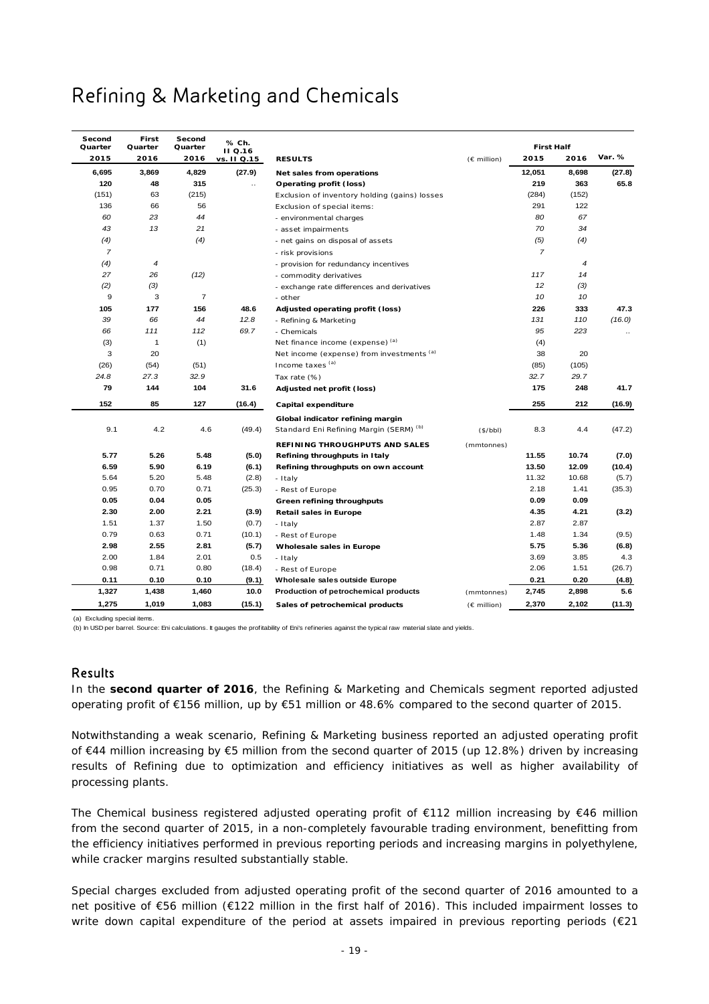# Refining & Marketing and Chemicals

| Second<br>Quarter | First<br>Quarter | Second<br>Quarter | % Ch.                         |                                                    |             | <b>First Half</b> |       |           |
|-------------------|------------------|-------------------|-------------------------------|----------------------------------------------------|-------------|-------------------|-------|-----------|
| 2015              | 2016             | 2016              | <b>II</b> Q.16<br>vs. II Q.15 | <b>RESULTS</b>                                     | (€ million) | 2015              | 2016  | Var. %    |
| 6,695             | 3,869            | 4,829             | (27.9)                        | Net sales from operations                          |             | 12,051            | 8,698 | (27.8)    |
| 120               | 48               | 315               | $\ldots$                      | Operating profit (loss)                            |             | 219               | 363   | 65.8      |
| (151)             | 63               | (215)             |                               | Exclusion of inventory holding (gains) losses      |             | (284)             | (152) |           |
| 136               | 66               | 56                |                               | Exclusion of special items:                        |             | 291               | 122   |           |
| 60                | 23               | 44                |                               | - environmental charges                            |             | 80                | 67    |           |
| 43                | 13               | 21                |                               | - asset impairments                                |             | 70                | 34    |           |
| (4)               |                  | (4)               |                               | - net gains on disposal of assets                  |             | (5)               | (4)   |           |
| $\overline{7}$    |                  |                   |                               | - risk provisions                                  |             | $\overline{7}$    |       |           |
| (4)               | 4                |                   |                               | - provision for redundancy incentives              |             |                   | 4     |           |
| 27                | 26               | (12)              |                               | - commodity derivatives                            |             | 117               | 14    |           |
| (2)               | (3)              |                   |                               | - exchange rate differences and derivatives        |             | 12                | (3)   |           |
| 9                 | 3                | $\overline{7}$    |                               | - other                                            |             | 10                | 10    |           |
| 105               | 177              | 156               | 48.6                          | Adjusted operating profit (loss)                   |             | 226               | 333   | 47.3      |
| 39                | 66               | 44                | 12.8                          | - Refining & Marketing                             |             | 131               | 110   | (16.0)    |
| 66                | 111              | 112               | 69.7                          | - Chemicals                                        |             | 95                | 223   | $\ddotsc$ |
| (3)               | $\mathbf{1}$     | (1)               |                               | Net finance income (expense) (a)                   |             | (4)               |       |           |
| 3                 | 20               |                   |                               | Net income (expense) from investments (a)          |             | 38                | 20    |           |
| (26)              | (54)             | (51)              |                               | Income taxes (a)                                   |             | (85)              | (105) |           |
| 24.8              | 27.3             | 32.9              |                               | Tax rate (%)                                       |             | 32.7              | 29.7  |           |
| 79                | 144              | 104               | 31.6                          | Adjusted net profit (loss)                         |             | 175               | 248   | 41.7      |
| 152               | 85               | 127               | (16.4)                        | Capital expenditure                                |             | 255               | 212   | (16.9)    |
|                   |                  |                   |                               | Global indicator refining margin                   |             |                   |       |           |
| 9.1               | 4.2              | 4.6               | (49.4)                        | Standard Eni Refining Margin (SERM) <sup>(b)</sup> | (\$/bbl)    | 8.3               | 4.4   | (47.2)    |
|                   |                  |                   |                               | REFINING THROUGHPUTS AND SALES                     | (mmtonnes)  |                   |       |           |
| 5.77              | 5.26             | 5.48              | (5.0)                         | Refining throughputs in Italy                      |             | 11.55             | 10.74 | (7.0)     |
| 6.59              | 5.90             | 6.19              | (6.1)                         | Refining throughputs on own account                |             | 13.50             | 12.09 | (10.4)    |
| 5.64              | 5.20             | 5.48              | (2.8)                         | - Italy                                            |             | 11.32             | 10.68 | (5.7)     |
| 0.95              | 0.70             | 0.71              | (25.3)                        | - Rest of Europe                                   |             | 2.18              | 1.41  | (35.3)    |
| 0.05              | 0.04             | 0.05              |                               | Green refining throughputs                         |             | 0.09              | 0.09  |           |
| 2.30              | 2.00             | 2.21              | (3.9)                         | <b>Retail sales in Europe</b>                      |             | 4.35              | 4.21  | (3.2)     |
| 1.51              | 1.37             | 1.50              | (0.7)                         | - Italy                                            |             | 2.87              | 2.87  |           |
| 0.79              | 0.63             | 0.71              | (10.1)                        | - Rest of Europe                                   |             | 1.48              | 1.34  | (9.5)     |
| 2.98              | 2.55             | 2.81              | (5.7)                         | Wholesale sales in Europe                          |             | 5.75              | 5.36  | (6.8)     |
| 2.00              | 1.84             | 2.01              | 0.5                           | - Italy                                            |             | 3.69              | 3.85  | 4.3       |
| 0.98              | 0.71             | 0.80              | (18.4)                        | - Rest of Europe                                   |             | 2.06              | 1.51  | (26.7)    |
| 0.11              | 0.10             | 0.10              | (9.1)                         | Wholesale sales outside Europe                     |             | 0.21              | 0.20  | (4.8)     |
| 1,327             | 1,438            | 1,460             | 10.0                          | Production of petrochemical products               | (mmtonnes)  | 2,745             | 2,898 | 5.6       |
| 1,275             | 1,019            | 1,083             | (15.1)                        | Sales of petrochemical products                    | (€ million) | 2,370             | 2,102 | (11.3)    |

(a) Excluding special items.

(b) In USD per barrel. Source: Eni calculations. It gauges the profitability of Eni's refineries against the typical raw material slate and yields.

### Results

In the **second quarter of 2016**, the Refining & Marketing and Chemicals segment reported adjusted operating profit of €156 million, up by €51 million or 48.6% compared to the second quarter of 2015.

Notwithstanding a weak scenario, Refining & Marketing business reported an adjusted operating profit of €44 million increasing by €5 million from the second quarter of 2015 (up 12.8%) driven by increasing results of Refining due to optimization and efficiency initiatives as well as higher availability of processing plants.

The Chemical business registered adjusted operating profit of €112 million increasing by €46 million from the second quarter of 2015, in a non-completely favourable trading environment, benefitting from the efficiency initiatives performed in previous reporting periods and increasing margins in polyethylene, while cracker margins resulted substantially stable.

Special charges excluded from adjusted operating profit of the second quarter of 2016 amounted to a net positive of €56 million (€122 million in the first half of 2016). This included impairment losses to write down capital expenditure of the period at assets impaired in previous reporting periods (€21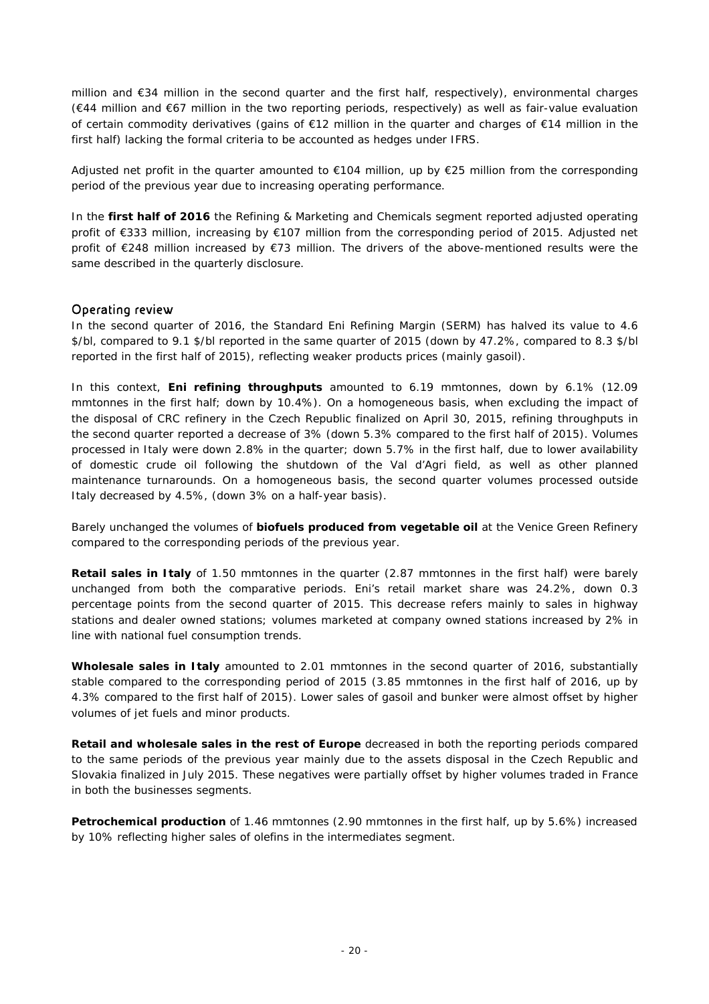million and €34 million in the second quarter and the first half, respectively), environmental charges (€44 million and €67 million in the two reporting periods, respectively) as well as fair-value evaluation of certain commodity derivatives (gains of €12 million in the quarter and charges of €14 million in the first half) lacking the formal criteria to be accounted as hedges under IFRS.

Adjusted net profit in the quarter amounted to €104 million, up by €25 million from the corresponding period of the previous year due to increasing operating performance.

In the **first half of 2016** the Refining & Marketing and Chemicals segment reported adjusted operating profit of €333 million, increasing by €107 million from the corresponding period of 2015. Adjusted net profit of €248 million increased by €73 million. The drivers of the above-mentioned results were the same described in the quarterly disclosure.

## Operating review

In the second quarter of 2016, the Standard Eni Refining Margin (SERM) has halved its value to 4.6 \$/bl, compared to 9.1 \$/bl reported in the same quarter of 2015 (down by 47.2%, compared to 8.3 \$/bl reported in the first half of 2015), reflecting weaker products prices (mainly gasoil).

In this context, **Eni refining throughputs** amounted to 6.19 mmtonnes, down by 6.1% (12.09 mmtonnes in the first half; down by 10.4%). On a homogeneous basis, when excluding the impact of the disposal of CRC refinery in the Czech Republic finalized on April 30, 2015, refining throughputs in the second quarter reported a decrease of 3% (down 5.3% compared to the first half of 2015). Volumes processed in Italy were down 2.8% in the quarter; down 5.7% in the first half, due to lower availability of domestic crude oil following the shutdown of the Val d'Agri field, as well as other planned maintenance turnarounds. On a homogeneous basis, the second quarter volumes processed outside Italy decreased by 4.5%, (down 3% on a half-year basis).

Barely unchanged the volumes of **biofuels produced from vegetable oil** at the Venice Green Refinery compared to the corresponding periods of the previous year.

**Retail sales in Italy** of 1.50 mmtonnes in the quarter (2.87 mmtonnes in the first half) were barely unchanged from both the comparative periods. Eni's retail market share was 24.2%, down 0.3 percentage points from the second quarter of 2015. This decrease refers mainly to sales in highway stations and dealer owned stations; volumes marketed at company owned stations increased by 2% in line with national fuel consumption trends.

**Wholesale sales in Italy** amounted to 2.01 mmtonnes in the second quarter of 2016, substantially stable compared to the corresponding period of 2015 (3.85 mmtonnes in the first half of 2016, up by 4.3% compared to the first half of 2015). Lower sales of gasoil and bunker were almost offset by higher volumes of jet fuels and minor products.

**Retail and wholesale sales in the rest of Europe** decreased in both the reporting periods compared to the same periods of the previous year mainly due to the assets disposal in the Czech Republic and Slovakia finalized in July 2015. These negatives were partially offset by higher volumes traded in France in both the businesses segments.

**Petrochemical production** of 1.46 mmtonnes (2.90 mmtonnes in the first half, up by 5.6%) increased by 10% reflecting higher sales of olefins in the intermediates segment.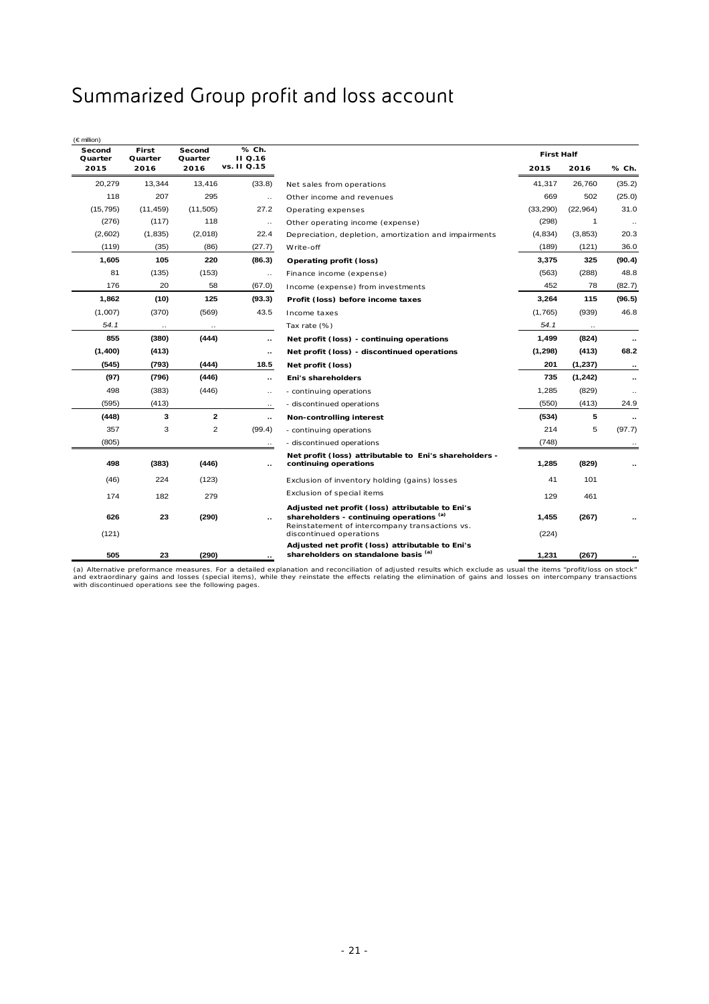# Summarized Group profit and loss account

| Second<br>Quarter | First<br>Quarter | Second<br>Quarter | % Ch.<br><b>II</b> Q.16 |                                                                                                                                                | <b>First Half</b> |             |                      |
|-------------------|------------------|-------------------|-------------------------|------------------------------------------------------------------------------------------------------------------------------------------------|-------------------|-------------|----------------------|
| 2015              | 2016             | 2016              | vs. II Q.15             |                                                                                                                                                | 2015              | 2016        | % Ch.                |
| 20,279            | 13,344           | 13,416            | (33.8)                  | Net sales from operations                                                                                                                      | 41.317            | 26,760      | (35.2)               |
| 118               | 207              | 295               | $\ldots$                | Other income and revenues                                                                                                                      | 669               | 502         | (25.0)               |
| (15, 795)         | (11, 459)        | (11, 505)         | 27.2                    | Operating expenses                                                                                                                             | (33, 290)         | (22, 964)   | 31.0                 |
| (276)             | (117)            | 118               | $\ldots$                | Other operating income (expense)                                                                                                               | (298)             | $\mathbf 1$ |                      |
| (2,602)           | (1, 835)         | (2,018)           | 22.4                    | Depreciation, depletion, amortization and impairments                                                                                          | (4, 834)          | (3, 853)    | 20.3                 |
| (119)             | (35)             | (86)              | (27.7)                  | Write-off                                                                                                                                      | (189)             | (121)       | 36.0                 |
| 1,605             | 105              | 220               | (86.3)                  | Operating profit (loss)                                                                                                                        | 3,375             | 325         | (90.4)               |
| 81                | (135)            | (153)             | $\ldots$                | Finance income (expense)                                                                                                                       | (563)             | (288)       | 48.8                 |
| 176               | 20               | 58                | (67.0)                  | Income (expense) from investments                                                                                                              | 452               | 78          | (82.7)               |
| 1,862             | (10)             | 125               | (93.3)                  | Profit (loss) before income taxes                                                                                                              | 3,264             | 115         | (96.5)               |
| (1,007)           | (370)            | (569)             | 43.5                    | Income taxes                                                                                                                                   | (1,765)           | (939)       | 46.8                 |
| 54.1              | $\cdot$ .        |                   |                         | Tax rate (%)                                                                                                                                   | 54.1              |             |                      |
| 855               | (380)            | (444)             | $\sim$                  | Net profit (loss) - continuing operations                                                                                                      | 1,499             | (824)       | $\ddot{\phantom{a}}$ |
| (1,400)           | (413)            |                   | $\sim$                  | Net profit (loss) - discontinued operations                                                                                                    | (1, 298)          | (413)       | 68.2                 |
| (545)             | (793)            | (444)             | 18.5                    | Net profit (loss)                                                                                                                              | 201               | (1,237)     | $\cdot$ .            |
| (97)              | (796)            | (446)             | $\cdot\cdot$            | Eni's shareholders                                                                                                                             | 735               | (1,242)     | ٠.                   |
| 498               | (383)            | (446)             | $\ldots$                | - continuing operations                                                                                                                        | 1,285             | (829)       |                      |
| (595)             | (413)            |                   | $\cdot\cdot$            | - discontinued operations                                                                                                                      | (550)             | (413)       | 24.9                 |
| (448)             | з                | $\mathbf{2}$      | $\cdot$ .               | Non-controlling interest                                                                                                                       | (534)             | 5           | $\cdot$ .            |
| 357               | 3                | $\overline{2}$    | (99.4)                  | - continuing operations                                                                                                                        | 214               | 5           | (97.7)               |
| (805)             |                  |                   | $\ldots$                | - discontinued operations                                                                                                                      | (748)             |             | $\ddotsc$            |
| 498               | (383)            | (446)             |                         | Net profit (loss) attributable to Eni's shareholders -<br>continuing operations                                                                | 1,285             | (829)       |                      |
| (46)              | 224              | (123)             |                         | Exclusion of inventory holding (gains) losses                                                                                                  | 41                | 101         |                      |
| 174               | 182              | 279               |                         | Exclusion of special items                                                                                                                     | 129               | 461         |                      |
| 626               | 23               | (290)             |                         | Adjusted net profit (loss) attributable to Eni's<br>shareholders - continuing operations (a)<br>Reinstatement of intercompany transactions vs. | 1,455             | (267)       |                      |
| (121)<br>505      | 23               | (290)             |                         | discontinued operations<br>Adjusted net profit (loss) attributable to Eni's<br>shareholders on standalone basis (a)                            | (224)<br>1,231    | (267)       |                      |

(a) Alternative preformance measures. For a detailed explanation and reconciliation of adjusted results which exclude as usual the items "profit/loss on stock"<br>and extraordinary gains and losses (special items), while they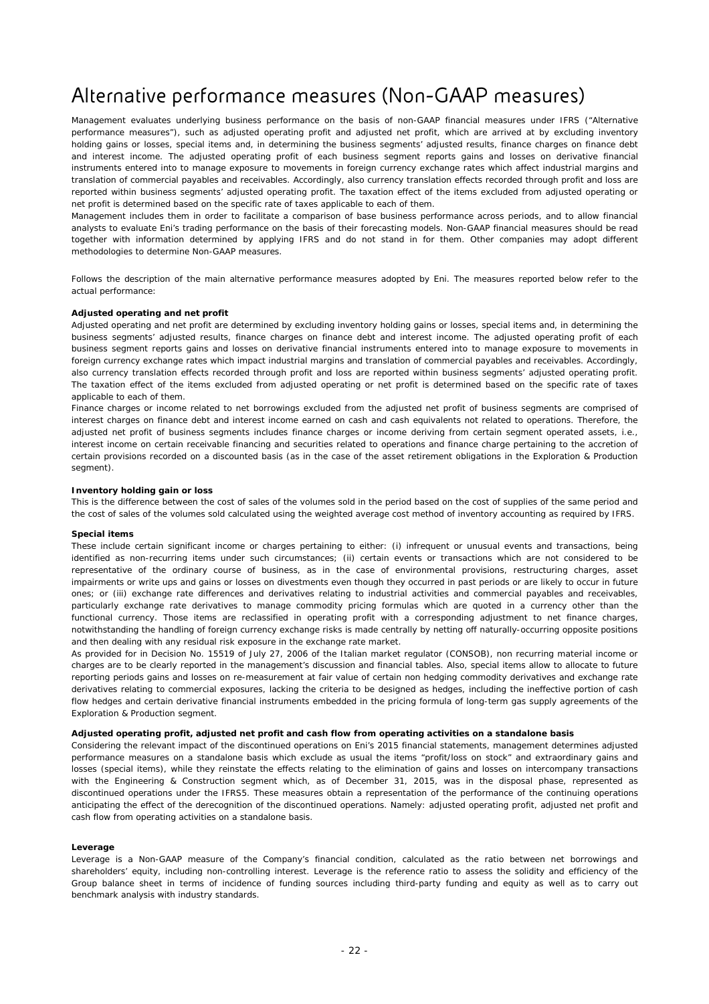# Alternative performance measures (Non-GAAP measures)

Management evaluates underlying business performance on the basis of non-GAAP financial measures under IFRS ("Alternative performance measures"), such as adjusted operating profit and adjusted net profit, which are arrived at by excluding inventory holding gains or losses, special items and, in determining the business segments' adjusted results, finance charges on finance debt and interest income. The adjusted operating profit of each business segment reports gains and losses on derivative financial instruments entered into to manage exposure to movements in foreign currency exchange rates which affect industrial margins and translation of commercial payables and receivables. Accordingly, also currency translation effects recorded through profit and loss are reported within business segments' adjusted operating profit. The taxation effect of the items excluded from adjusted operating or net profit is determined based on the specific rate of taxes applicable to each of them.

Management includes them in order to facilitate a comparison of base business performance across periods, and to allow financial analysts to evaluate Eni's trading performance on the basis of their forecasting models. Non-GAAP financial measures should be read together with information determined by applying IFRS and do not stand in for them. Other companies may adopt different methodologies to determine Non-GAAP measures.

Follows the description of the main alternative performance measures adopted by Eni. The measures reported below refer to the actual performance:

#### *Adjusted operating and net profit*

Adjusted operating and net profit are determined by excluding inventory holding gains or losses, special items and, in determining the business segments' adjusted results, finance charges on finance debt and interest income. The adjusted operating profit of each business segment reports gains and losses on derivative financial instruments entered into to manage exposure to movements in foreign currency exchange rates which impact industrial margins and translation of commercial payables and receivables. Accordingly, also currency translation effects recorded through profit and loss are reported within business segments' adjusted operating profit. The taxation effect of the items excluded from adjusted operating or net profit is determined based on the specific rate of taxes applicable to each of them.

Finance charges or income related to net borrowings excluded from the adjusted net profit of business segments are comprised of interest charges on finance debt and interest income earned on cash and cash equivalents not related to operations. Therefore, the adjusted net profit of business segments includes finance charges or income deriving from certain segment operated assets, i.e., interest income on certain receivable financing and securities related to operations and finance charge pertaining to the accretion of certain provisions recorded on a discounted basis (as in the case of the asset retirement obligations in the Exploration & Production segment).

#### *Inventory holding gain or loss*

This is the difference between the cost of sales of the volumes sold in the period based on the cost of supplies of the same period and the cost of sales of the volumes sold calculated using the weighted average cost method of inventory accounting as required by IFRS.

#### *Special items*

These include certain significant income or charges pertaining to either: (i) infrequent or unusual events and transactions, being identified as non-recurring items under such circumstances; (ii) certain events or transactions which are not considered to be representative of the ordinary course of business, as in the case of environmental provisions, restructuring charges, asset impairments or write ups and gains or losses on divestments even though they occurred in past periods or are likely to occur in future ones; or (iii) exchange rate differences and derivatives relating to industrial activities and commercial payables and receivables, particularly exchange rate derivatives to manage commodity pricing formulas which are quoted in a currency other than the functional currency. Those items are reclassified in operating profit with a corresponding adjustment to net finance charges, notwithstanding the handling of foreign currency exchange risks is made centrally by netting off naturally-occurring opposite positions and then dealing with any residual risk exposure in the exchange rate market.

As provided for in Decision No. 15519 of July 27, 2006 of the Italian market regulator (CONSOB), non recurring material income or charges are to be clearly reported in the management's discussion and financial tables. Also, special items allow to allocate to future reporting periods gains and losses on re-measurement at fair value of certain non hedging commodity derivatives and exchange rate derivatives relating to commercial exposures, lacking the criteria to be designed as hedges, including the ineffective portion of cash flow hedges and certain derivative financial instruments embedded in the pricing formula of long-term gas supply agreements of the Exploration & Production segment.

#### *Adjusted operating profit, adjusted net profit and cash flow from operating activities on a standalone basis*

Considering the relevant impact of the discontinued operations on Eni's 2015 financial statements, management determines adjusted performance measures on a standalone basis which exclude as usual the items "profit/loss on stock" and extraordinary gains and losses (special items), while they reinstate the effects relating to the elimination of gains and losses on intercompany transactions with the Engineering & Construction segment which, as of December 31, 2015, was in the disposal phase, represented as discontinued operations under the IFRS5. These measures obtain a representation of the performance of the continuing operations anticipating the effect of the derecognition of the discontinued operations. Namely: adjusted operating profit, adjusted net profit and cash flow from operating activities on a standalone basis.

#### *Leverage*

Leverage is a Non-GAAP measure of the Company's financial condition, calculated as the ratio between net borrowings and shareholders' equity, including non-controlling interest. Leverage is the reference ratio to assess the solidity and efficiency of the Group balance sheet in terms of incidence of funding sources including third-party funding and equity as well as to carry out benchmark analysis with industry standards.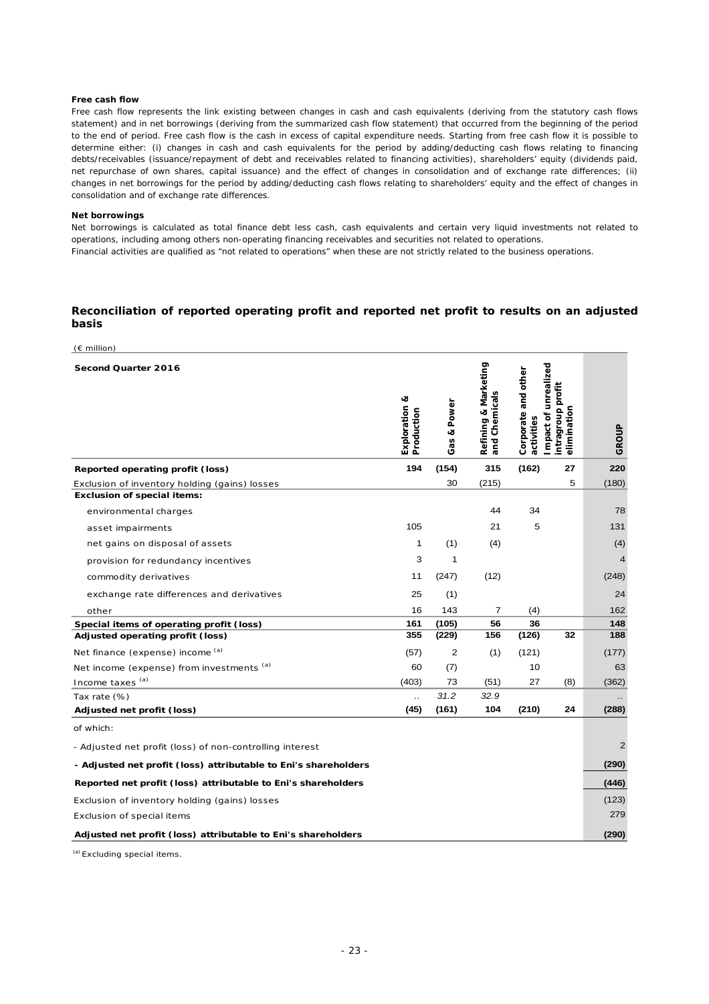#### *Free cash flow*

Free cash flow represents the link existing between changes in cash and cash equivalents (deriving from the statutory cash flows statement) and in net borrowings (deriving from the summarized cash flow statement) that occurred from the beginning of the period to the end of period. Free cash flow is the cash in excess of capital expenditure needs. Starting from free cash flow it is possible to determine either: (i) changes in cash and cash equivalents for the period by adding/deducting cash flows relating to financing debts/receivables (issuance/repayment of debt and receivables related to financing activities), shareholders' equity (dividends paid, net repurchase of own shares, capital issuance) and the effect of changes in consolidation and of exchange rate differences; (ii) changes in net borrowings for the period by adding/deducting cash flows relating to shareholders' equity and the effect of changes in consolidation and of exchange rate differences.

#### *Net borrowings*

Net borrowings is calculated as total finance debt less cash, cash equivalents and certain very liquid investments not related to operations, including among others non-operating financing receivables and securities not related to operations. Financial activities are qualified as "not related to operations" when these are not strictly related to the business operations.

#### **Reconciliation of reported operating profit and reported net profit to results on an adjusted basis**

| $(E \text{ million})$                                           |                      |             |                                       |                                   |                                                          |                |
|-----------------------------------------------------------------|----------------------|-------------|---------------------------------------|-----------------------------------|----------------------------------------------------------|----------------|
| Second Quarter 2016                                             | త<br>Exploration     | Gas & Power | Refining & Marketing<br>and Chemicals | Corporate and other<br>activities | Impact of unrealized<br>intragroup profit<br>elimination | GROUP          |
| Reported operating profit (loss)                                | 194                  | (154)       | 315                                   | (162)                             | 27                                                       | 220            |
| Exclusion of inventory holding (gains) losses                   |                      | 30          | (215)                                 |                                   | 5                                                        | (180)          |
| <b>Exclusion of special items:</b>                              |                      |             |                                       |                                   |                                                          |                |
| environmental charges                                           |                      |             | 44                                    | 34                                |                                                          | 78             |
| asset impairments                                               | 105                  |             | 21                                    | 5                                 |                                                          | 131            |
| net gains on disposal of assets                                 | 1                    | (1)         | (4)                                   |                                   |                                                          | (4)            |
| provision for redundancy incentives                             | 3                    | 1           |                                       |                                   |                                                          | $\overline{4}$ |
| commodity derivatives                                           | 11                   | (247)       | (12)                                  |                                   |                                                          | (248)          |
| exchange rate differences and derivatives                       | 25                   | (1)         |                                       |                                   |                                                          | 24             |
| other                                                           | 16                   | 143         | $\overline{7}$                        | (4)                               |                                                          | 162            |
| Special items of operating profit (loss)                        | 161                  | (105)       | 56                                    | 36                                |                                                          | 148            |
| Adjusted operating profit (loss)                                | 355                  | (229)       | 156                                   | (126)                             | 32                                                       | 188            |
| Net finance (expense) income (a)                                | (57)                 | 2           | (1)                                   | (121)                             |                                                          | (177)          |
| Net income (expense) from investments (a)                       | 60                   | (7)         |                                       | 10                                |                                                          | 63             |
| Income taxes (a)                                                | (403)                | 73          | (51)                                  | 27                                | (8)                                                      | (362)          |
| Tax rate (%)                                                    | $\ddot{\phantom{a}}$ | 31.2        | 32.9                                  |                                   |                                                          |                |
| Adjusted net profit (loss)                                      | (45)                 | (161)       | 104                                   | (210)                             | 24                                                       | (288)          |
| of which:                                                       |                      |             |                                       |                                   |                                                          |                |
| - Adjusted net profit (loss) of non-controlling interest        |                      |             |                                       |                                   |                                                          | $\overline{2}$ |
| - Adjusted net profit (loss) attributable to Eni's shareholders |                      |             |                                       |                                   |                                                          | (290)          |
| Reported net profit (loss) attributable to Eni's shareholders   |                      |             |                                       |                                   |                                                          | (446)          |
| Exclusion of inventory holding (gains) losses                   |                      |             |                                       |                                   |                                                          | (123)          |
| Exclusion of special items                                      |                      |             |                                       |                                   |                                                          | 279            |
| Adjusted net profit (loss) attributable to Eni's shareholders   |                      |             |                                       |                                   |                                                          | (290)          |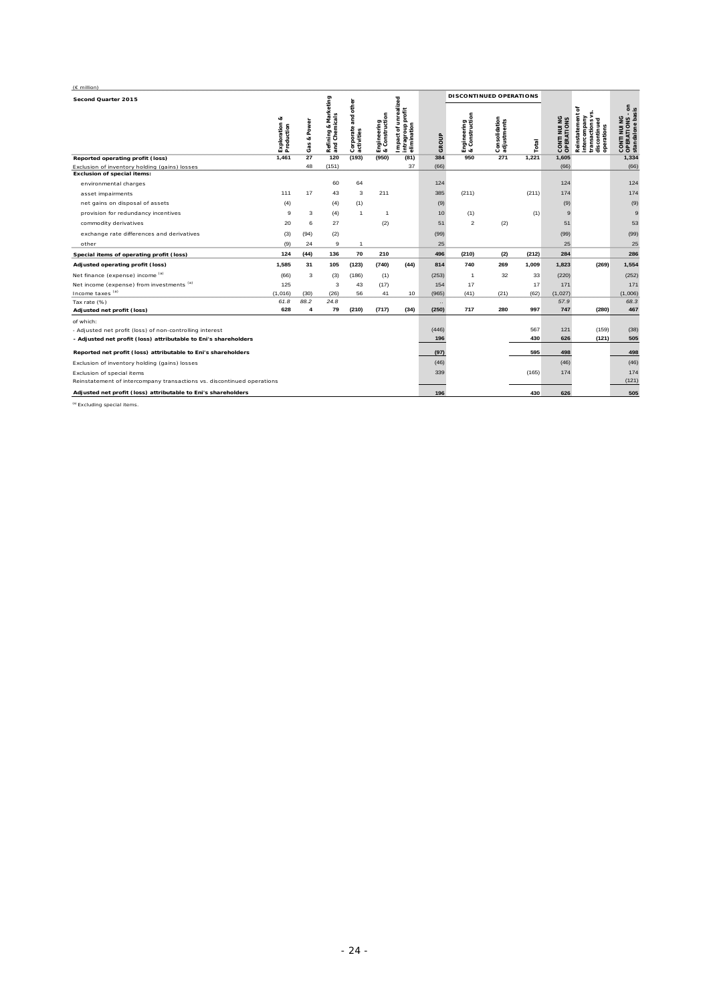| $(E \text{ million})$                                                  |                  |                   |                                                   |                                                 |                               |                                                         |       |                                |                              |       |                            |                                                                                            |                                                     |
|------------------------------------------------------------------------|------------------|-------------------|---------------------------------------------------|-------------------------------------------------|-------------------------------|---------------------------------------------------------|-------|--------------------------------|------------------------------|-------|----------------------------|--------------------------------------------------------------------------------------------|-----------------------------------------------------|
| Second Quarter 2015                                                    |                  |                   |                                                   |                                                 |                               |                                                         |       | <b>DISCONTINUED OPERATIONS</b> |                              |       |                            |                                                                                            |                                                     |
|                                                                        | ಷ<br>Exploration | Power<br>œ<br>Gas | & Marketing<br>Refining & Mark<br>  and Chemicals | other<br>ng<br>ang<br>Corporate a<br>activities | Engineering<br>& Construction | mpact of unrealized<br>intragroup profit<br>elimination | GROUP | Engineering<br>& Construction  | Consolidation<br>adjustments | Total | CONTI NUI NG<br>OPERATIONS | ৳<br>Reinstatement<br>intercompany<br>tinued<br>transactions<br>discontinued<br>operations | CONTI NUI NG<br>OPERATIONS - on<br>standalone basis |
| Reported operating profit (loss)                                       | 1.461            | 27                | 120                                               | (193)                                           | (950)                         | (81)                                                    | 384   | 950                            | 271                          | 1,221 | 1,605                      |                                                                                            | 1,334                                               |
| Exclusion of inventory holding (gains) losses                          |                  | 48                | (151)                                             |                                                 |                               | 37                                                      | (66)  |                                |                              |       | (66)                       |                                                                                            | (66)                                                |
| <b>Exclusion of special items:</b>                                     |                  |                   |                                                   |                                                 |                               |                                                         |       |                                |                              |       |                            |                                                                                            |                                                     |
| environmental charges                                                  |                  |                   | 60                                                | 64                                              |                               |                                                         | 124   |                                |                              |       | 124                        |                                                                                            | 124                                                 |
| asset impairments                                                      | 111              | 17                | 43                                                | 3                                               | 211                           |                                                         | 385   | (211)                          |                              | (211) | 174                        |                                                                                            | 174                                                 |
| net gains on disposal of assets                                        | (4)              |                   | (4)                                               | (1)                                             |                               |                                                         | (9)   |                                |                              |       | (9)                        |                                                                                            | (9)                                                 |
| provision for redundancy incentives                                    | 9                | 3                 | (4)                                               | $\overline{1}$                                  | $\overline{1}$                |                                                         | 10    | (1)                            |                              | (1)   | 9                          |                                                                                            | $\mathbf{q}$                                        |
| commodity derivatives                                                  | 20               | 6                 | 27                                                |                                                 | (2)                           |                                                         | 51    | $\overline{2}$                 | (2)                          |       | 51                         |                                                                                            | 53                                                  |
| exchange rate differences and derivatives                              | (3)              | (94)              | (2)                                               |                                                 |                               |                                                         | (99)  |                                |                              |       | (99)                       |                                                                                            | (99)                                                |
| other                                                                  | (9)              | 24                | 9                                                 | $\mathbf{1}$                                    |                               |                                                         | 25    |                                |                              |       | 25                         |                                                                                            | 25                                                  |
| Special items of operating profit (loss)                               | 124              | (44)              | 136                                               | 70                                              | 210                           |                                                         | 496   | (210)                          | (2)                          | (212) | 284                        |                                                                                            | 286                                                 |
| Adjusted operating profit (loss)                                       | 1,585            | 31                | 105                                               | (123)                                           | (740)                         | (44)                                                    | 814   | 740                            | 269                          | 1,009 | 1,823                      | (269)                                                                                      | 1,554                                               |
| Net finance (expense) income (a)                                       | (66)             | 3                 | (3)                                               | (186)                                           | (1)                           |                                                         | (253) | $\mathbf{1}$                   | 32                           | 33    | (220)                      |                                                                                            | (252)                                               |
| Net income (expense) from investments (a)                              | 125              |                   | 3                                                 | 43                                              | (17)                          |                                                         | 154   | 17                             |                              | 17    | 171                        |                                                                                            | 171                                                 |
| Income taxes (a)                                                       | (1,016)          | (30)              | (26)                                              | 56                                              | 41                            | 10                                                      | (965) | (41)                           | (21)                         | (62)  | (1,027)                    |                                                                                            | (1,006)                                             |
| Tax rate (%)                                                           | 61.8             | 88.2              | 24.8                                              |                                                 |                               |                                                         |       |                                |                              |       | 57.9                       |                                                                                            | 68.3                                                |
| Adjusted net profit (loss)                                             | 628              | $\overline{4}$    | 79                                                | (210)                                           | (717)                         | (34)                                                    | (250) | 717                            | 280                          | 997   | 747                        | (280)                                                                                      | 467                                                 |
| of which:                                                              |                  |                   |                                                   |                                                 |                               |                                                         |       |                                |                              |       |                            |                                                                                            |                                                     |
| - Adjusted net profit (loss) of non-controlling interest               |                  |                   |                                                   |                                                 |                               |                                                         | (446) |                                |                              | 567   | 121                        | (159)                                                                                      | (38)                                                |
| - Adjusted net profit (loss) attributable to Eni's shareholders        |                  |                   |                                                   |                                                 |                               |                                                         | 196   |                                |                              | 430   | 626                        | (121)                                                                                      | 505                                                 |
| Reported net profit (loss) attributable to Eni's shareholders          |                  |                   |                                                   |                                                 |                               |                                                         | (97)  |                                |                              | 595   | 498                        |                                                                                            | 498                                                 |
| Exclusion of inventory holding (gains) losses                          |                  |                   |                                                   |                                                 |                               |                                                         | (46)  |                                |                              |       | (46)                       |                                                                                            | (46)                                                |
| Exclusion of special items                                             |                  |                   |                                                   |                                                 |                               |                                                         | 339   |                                |                              | (165) | 174                        |                                                                                            | 174                                                 |
| Reinstatement of intercompany transactions vs. discontinued operations |                  |                   |                                                   |                                                 |                               |                                                         |       |                                |                              |       |                            |                                                                                            | (121)                                               |
| Adjusted net profit (loss) attributable to Eni's shareholders          |                  |                   |                                                   |                                                 |                               |                                                         | 196   |                                |                              | 430   | 626                        |                                                                                            | 505                                                 |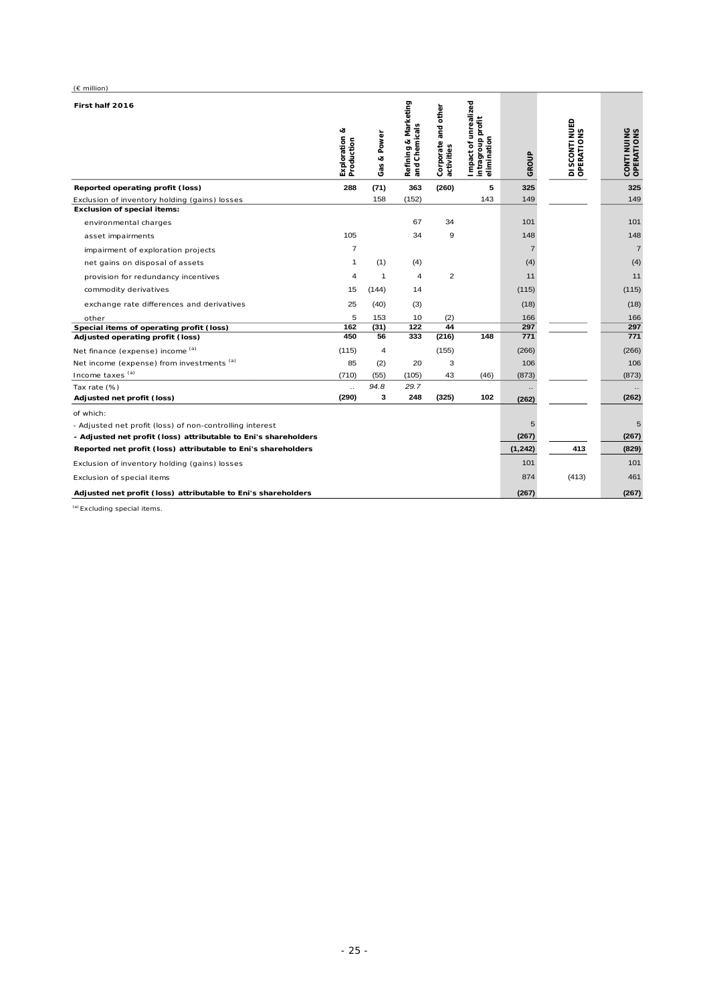| $(E \text{ million})$                                           |                             |                |                                       |                                      |                                                          |                |                                       |                          |
|-----------------------------------------------------------------|-----------------------------|----------------|---------------------------------------|--------------------------------------|----------------------------------------------------------|----------------|---------------------------------------|--------------------------|
| First half 2016                                                 | Exploration &<br>Production | Gas & Power    | Refining & Marketing<br>and Chemicals | and other<br>Corporate<br>activities | Impact of unrealized<br>intragroup profit<br>elimination | GROUP          | <b>DI SCONTI NUED<br/>OPERATI ONS</b> | CONTINUING<br>OPERATIONS |
| Reported operating profit (loss)                                | 288                         | (71)           | 363                                   | (260)                                | 5                                                        | 325            |                                       | 325                      |
| Exclusion of inventory holding (gains) losses                   |                             | 158            | (152)                                 |                                      | 143                                                      | 149            |                                       | 149                      |
| <b>Exclusion of special items:</b>                              |                             |                |                                       |                                      |                                                          |                |                                       |                          |
| environmental charges                                           |                             |                | 67                                    | 34                                   |                                                          | 101            |                                       | 101                      |
| asset impairments                                               | 105                         |                | 34                                    | 9                                    |                                                          | 148            |                                       | 148                      |
| impairment of exploration projects                              | $\overline{7}$              |                |                                       |                                      |                                                          | $\overline{7}$ |                                       | $\overline{7}$           |
| net gains on disposal of assets                                 | 1                           | (1)            | (4)                                   |                                      |                                                          | (4)            |                                       | (4)                      |
| provision for redundancy incentives                             | $\overline{4}$              | $\mathbf{1}$   | $\overline{4}$                        | $\overline{2}$                       |                                                          | 11             |                                       | 11                       |
| commodity derivatives                                           | 15                          | (144)          | 14                                    |                                      |                                                          | (115)          |                                       | (115)                    |
| exchange rate differences and derivatives                       | 25                          | (40)           | (3)                                   |                                      |                                                          | (18)           |                                       | (18)                     |
| other                                                           | 5                           | 153            | 10                                    | (2)                                  |                                                          | 166            |                                       | 166                      |
| Special items of operating profit (loss)                        | 162                         | (31)           | 122                                   | 44                                   |                                                          | 297            |                                       | 297                      |
| Adjusted operating profit (loss)                                | 450                         | 56             | 333                                   | (216)                                | 148                                                      | 771            |                                       | 771                      |
| Net finance (expense) income (a)                                | (115)                       | $\overline{4}$ |                                       | (155)                                |                                                          | (266)          |                                       | (266)                    |
| Net income (expense) from investments (a)                       | 85                          | (2)            | 20                                    | 3                                    |                                                          | 106            |                                       | 106                      |
| Income taxes (a)                                                | (710)                       | (55)           | (105)                                 | 43                                   | (46)                                                     | (873)          |                                       | (873)                    |
| Tax rate (%)                                                    | $\ddotsc$                   | 94.8           | 29.7                                  |                                      |                                                          |                |                                       |                          |
| Adjusted net profit (loss)                                      | (290)                       | 3              | 248                                   | (325)                                | 102                                                      | (262)          |                                       | (262)                    |
| of which:                                                       |                             |                |                                       |                                      |                                                          |                |                                       |                          |
| - Adjusted net profit (loss) of non-controlling interest        |                             |                |                                       |                                      |                                                          | 5              |                                       | 5                        |
| - Adjusted net profit (loss) attributable to Eni's shareholders |                             |                |                                       |                                      |                                                          | (267)          |                                       | (267)                    |
| Reported net profit (loss) attributable to Eni's shareholders   |                             |                |                                       |                                      |                                                          | (1, 242)       | 413                                   | (829)                    |
| Exclusion of inventory holding (gains) losses                   |                             |                |                                       |                                      |                                                          | 101            |                                       | 101                      |
| Exclusion of special items                                      |                             |                |                                       |                                      |                                                          | 874            | (413)                                 | 461                      |
| Adjusted net profit (loss) attributable to Eni's shareholders   |                             |                |                                       |                                      |                                                          | (267)          |                                       | (267)                    |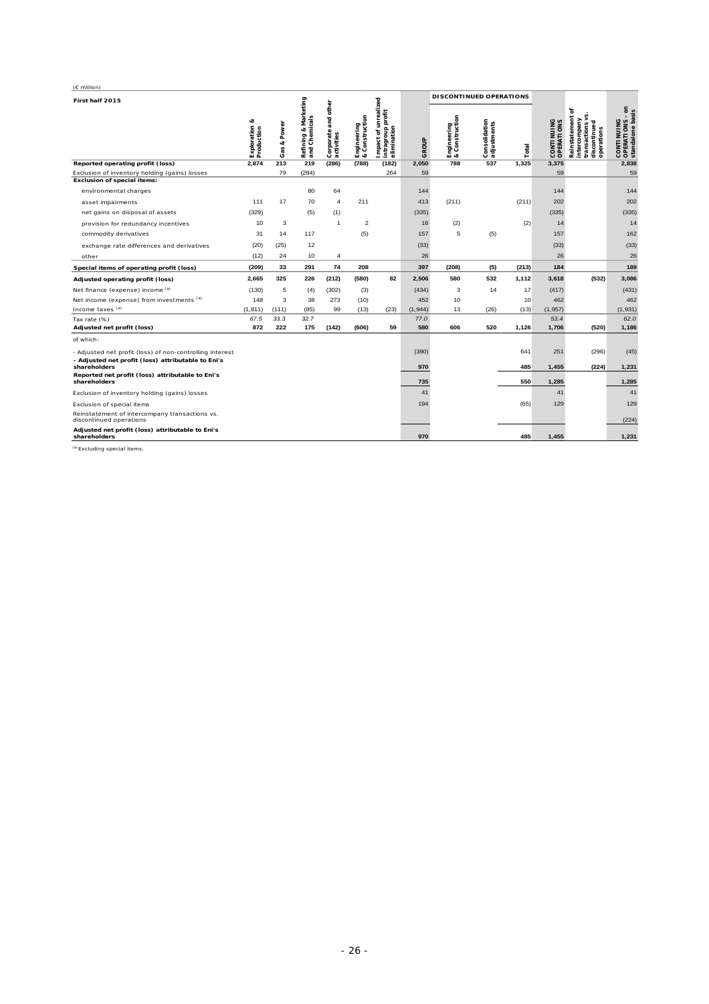| $(E$ million)                                                                                                  |                             |                |                                                   |                                      |                                             |                                                          |         |                                              |                              |       |                                 |                                                                                            |                                                   |
|----------------------------------------------------------------------------------------------------------------|-----------------------------|----------------|---------------------------------------------------|--------------------------------------|---------------------------------------------|----------------------------------------------------------|---------|----------------------------------------------|------------------------------|-------|---------------------------------|--------------------------------------------------------------------------------------------|---------------------------------------------------|
| First half 2015                                                                                                |                             |                |                                                   |                                      |                                             |                                                          |         |                                              | DISCONTINUED OPERATIONS      |       |                                 |                                                                                            |                                                   |
|                                                                                                                | Exploration &<br>Production | & Power<br>Gas | Marketing<br>emicals<br>త<br>Refining<br>and Chen | and other<br>Corporate<br>activities | onstruction<br>Engineering<br>& Constructic | Impact of unrealized<br>intragroup profit<br>elimination | GROUP   | Construction<br>Engineering<br>& Constructio | Consolidation<br>adjustments | Total | <b>CONTINUING</b><br>OPERATIONS | ৳<br>S<br>Reinstatement<br>><br>intercompany<br>discontinued<br>transactions<br>operations | CONTINUING<br>OPERATIONS - on<br>standalone basis |
| Reported operating profit (loss)                                                                               | 2,874                       | 213            | 219                                               | (286)                                | (788)                                       | (182)                                                    | 2,050   | 788                                          | 537                          | 1,325 | 3,375                           |                                                                                            | 2,838                                             |
| Exclusion of inventory holding (gains) losses                                                                  |                             | 79             | (284)                                             |                                      |                                             | 264                                                      | 59      |                                              |                              |       | 59                              |                                                                                            | 59                                                |
| <b>Exclusion of special items:</b>                                                                             |                             |                |                                                   |                                      |                                             |                                                          |         |                                              |                              |       |                                 |                                                                                            |                                                   |
| environmental charges                                                                                          |                             |                | 80                                                | 64                                   |                                             |                                                          | 144     |                                              |                              |       | 144                             |                                                                                            | 144                                               |
| asset impairments                                                                                              | 111                         | 17             | 70                                                | $\overline{4}$                       | 211                                         |                                                          | 413     | (211)                                        |                              | (211) | 202                             |                                                                                            | 202                                               |
| net gains on disposal of assets                                                                                | (329)                       |                | (5)                                               | (1)                                  |                                             |                                                          | (335)   |                                              |                              |       | (335)                           |                                                                                            | (335)                                             |
| provision for redundancy incentives                                                                            | 10                          | 3              |                                                   | $\overline{1}$                       | $\overline{2}$                              |                                                          | 16      | (2)                                          |                              | (2)   | 14                              |                                                                                            | 14                                                |
| commodity derivatives                                                                                          | 31                          | 14             | 117                                               |                                      | (5)                                         |                                                          | 157     | 5                                            | (5)                          |       | 157                             |                                                                                            | 162                                               |
| exchange rate differences and derivatives                                                                      | (20)                        | (25)           | 12                                                |                                      |                                             |                                                          | (33)    |                                              |                              |       | (33)                            |                                                                                            | (33)                                              |
| other                                                                                                          | (12)                        | 24             | 10                                                | 4                                    |                                             |                                                          | 26      |                                              |                              |       | 26                              |                                                                                            | 26                                                |
| Special items of operating profit (loss)                                                                       | (209)                       | 33             | 291                                               | 74                                   | 208                                         |                                                          | 397     | (208)                                        | (5)                          | (213) | 184                             |                                                                                            | 189                                               |
| Adjusted operating profit (loss)                                                                               | 2,665                       | 325            | 226                                               | (212)                                | (580)                                       | 82                                                       | 2,506   | 580                                          | 532                          | 1,112 | 3,618                           | (532)                                                                                      | 3,086                                             |
| Net finance (expense) income (a)                                                                               | (130)                       | 5              | (4)                                               | (302)                                | (3)                                         |                                                          | (434)   | 3                                            | 14                           | 17    | (417)                           |                                                                                            | (431)                                             |
| Net income (expense) from investments (a)                                                                      | 148                         | 3              | 38                                                | 273                                  | (10)                                        |                                                          | 452     | 10                                           |                              | 10    | 462                             |                                                                                            | 462                                               |
| Income taxes <sup>(a)</sup>                                                                                    | (1, 811)                    | (111)          | (85)                                              | 99                                   | (13)                                        | (23)                                                     | (1,944) | 13                                           | (26)                         | (13)  | (1, 957)                        |                                                                                            | (1,931)                                           |
| Tax rate (%)                                                                                                   | 67.5                        | 33.3           | 32.7                                              |                                      |                                             |                                                          | 77.0    |                                              |                              |       | 53.4                            |                                                                                            | 62.0                                              |
| Adjusted net profit (loss)                                                                                     | 872                         | 222            | 175                                               | (142)                                | (606)                                       | 59                                                       | 580     | 606                                          | 520                          | 1,126 | 1,706                           | (520)                                                                                      | 1,186                                             |
| of which:                                                                                                      |                             |                |                                                   |                                      |                                             |                                                          |         |                                              |                              |       |                                 |                                                                                            |                                                   |
| - Adjusted net profit (loss) of non-controlling interest<br>- Adjusted net profit (loss) attributable to Eni's |                             |                |                                                   |                                      |                                             |                                                          | (390)   |                                              |                              | 641   | 251                             | (296)                                                                                      | (45)                                              |
| shareholders                                                                                                   |                             |                |                                                   |                                      |                                             |                                                          | 970     |                                              |                              | 485   | 1,455                           | (224)                                                                                      | 1,231                                             |
| Reported net profit (loss) attributable to Eni's<br>shareholders                                               |                             |                |                                                   |                                      |                                             |                                                          | 735     |                                              |                              | 550   | 1,285                           |                                                                                            | 1,285                                             |
| Exclusion of inventory holding (gains) losses                                                                  |                             |                |                                                   |                                      |                                             |                                                          | 41      |                                              |                              |       | 41                              |                                                                                            | 41                                                |
| Exclusion of special items                                                                                     |                             |                |                                                   |                                      |                                             |                                                          | 194     |                                              |                              | (65)  | 129                             |                                                                                            | 129                                               |
| Reinstatement of intercompany transactions vs.<br>discontinued operations                                      |                             |                |                                                   |                                      |                                             |                                                          |         |                                              |                              |       |                                 |                                                                                            | (224)                                             |
| Adjusted net profit (loss) attributable to Eni's<br>shareholders                                               |                             |                |                                                   |                                      |                                             |                                                          | 970     |                                              |                              | 485   | 1,455                           |                                                                                            | 1,231                                             |

<sup>(a)</sup> Excluding special items.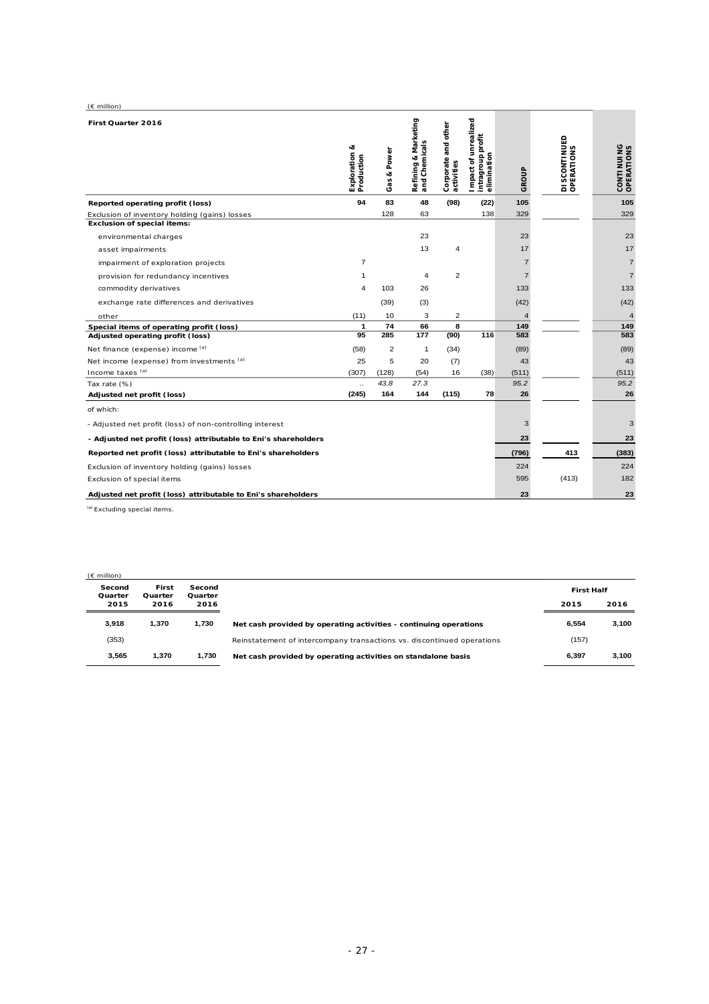| $(E \text{ million})$                                           |                             |                   |                                              |                                   |                                                          |                |                                    |                            |
|-----------------------------------------------------------------|-----------------------------|-------------------|----------------------------------------------|-----------------------------------|----------------------------------------------------------|----------------|------------------------------------|----------------------------|
| First Quarter 2016                                              | Exploration &<br>Production | Power<br>ಳ<br>Gas | Marketing<br>Refining & Mar<br>and Chemicals | Corporate and other<br>activities | Impact of unrealized<br>intragroup profit<br>elimination | GROUP          | <b>DISCONTINUED<br/>OPERATIONS</b> | CONTI NUI NG<br>OPERATIONS |
| Reported operating profit (loss)                                | 94                          | 83                | 48                                           | (98)                              | (22)                                                     | 105            |                                    | 105                        |
| Exclusion of inventory holding (gains) losses                   |                             | 128               | 63                                           |                                   | 138                                                      | 329            |                                    | 329                        |
| <b>Exclusion of special items:</b>                              |                             |                   |                                              |                                   |                                                          |                |                                    |                            |
| environmental charges                                           |                             |                   | 23                                           |                                   |                                                          | 23             |                                    | 23                         |
| asset impairments                                               |                             |                   | 13                                           | 4                                 |                                                          | 17             |                                    | 17                         |
| impairment of exploration projects                              | $\overline{7}$              |                   |                                              |                                   |                                                          | $\overline{7}$ |                                    | $\overline{7}$             |
| provision for redundancy incentives                             | $\mathbf{1}$                |                   | 4                                            | $\overline{2}$                    |                                                          | $\overline{7}$ |                                    | $\overline{7}$             |
| commodity derivatives                                           | 4                           | 103               | 26                                           |                                   |                                                          | 133            |                                    | 133                        |
| exchange rate differences and derivatives                       |                             | (39)              | (3)                                          |                                   |                                                          | (42)           |                                    | (42)                       |
| other                                                           | (11)                        | 10                | 3                                            | $\overline{2}$                    |                                                          | $\overline{4}$ |                                    | $\overline{4}$             |
| Special items of operating profit (loss)                        | 1                           | 74                | 66                                           | 8                                 |                                                          | 149            |                                    | 149                        |
| Adjusted operating profit (loss)                                | 95                          | 285               | 177                                          | (90)                              | 116                                                      | 583            |                                    | 583                        |
| Net finance (expense) income (a)                                | (58)                        | $\overline{2}$    | 1                                            | (34)                              |                                                          | (89)           |                                    | (89)                       |
| Net income (expense) from investments (a)                       | 25                          | 5                 | 20                                           | (7)                               |                                                          | 43             |                                    | 43                         |
| Income taxes (a)                                                | (307)                       | (128)             | (54)                                         | 16                                | (38)                                                     | (511)          |                                    | (511)                      |
| Tax rate (%)                                                    | $\ddotsc$                   | 43.8              | 27.3                                         |                                   |                                                          | 95.2           |                                    | 95.2                       |
| Adjusted net profit (loss)                                      | (245)                       | 164               | 144                                          | (115)                             | 78                                                       | 26             |                                    | 26                         |
| of which:                                                       |                             |                   |                                              |                                   |                                                          |                |                                    |                            |
| - Adjusted net profit (loss) of non-controlling interest        |                             |                   |                                              |                                   |                                                          | 3              |                                    | 3                          |
| - Adjusted net profit (loss) attributable to Eni's shareholders |                             |                   |                                              |                                   |                                                          | 23             |                                    | 23                         |
| Reported net profit (loss) attributable to Eni's shareholders   |                             |                   |                                              |                                   |                                                          | (796)          | 413                                | (383)                      |
| Exclusion of inventory holding (gains) losses                   |                             |                   |                                              |                                   |                                                          | 224            |                                    | 224                        |
| Exclusion of special items                                      |                             |                   |                                              |                                   |                                                          | 595            | (413)                              | 182                        |
| Adjusted net profit (loss) attributable to Eni's shareholders   |                             |                   |                                              |                                   |                                                          | 23             |                                    | 23                         |

| $(E \text{ million})$ |                  |                   |                                                                        |                   |       |
|-----------------------|------------------|-------------------|------------------------------------------------------------------------|-------------------|-------|
| Second<br>Quarter     | First<br>Quarter | Second<br>Quarter |                                                                        | <b>First Half</b> |       |
| 2015                  | 2016             | 2016              |                                                                        | 2015              | 2016  |
| 3.918                 | 1.370            | 1.730             | Net cash provided by operating activities - continuing operations      | 6.554             | 3,100 |
| (353)                 |                  |                   | Reinstatement of intercompany transactions vs. discontinued operations | (157)             |       |
| 3.565                 | 1.370            | 1.730             | Net cash provided by operating activities on standalone basis          | 6.397             | 3,100 |
|                       |                  |                   |                                                                        |                   |       |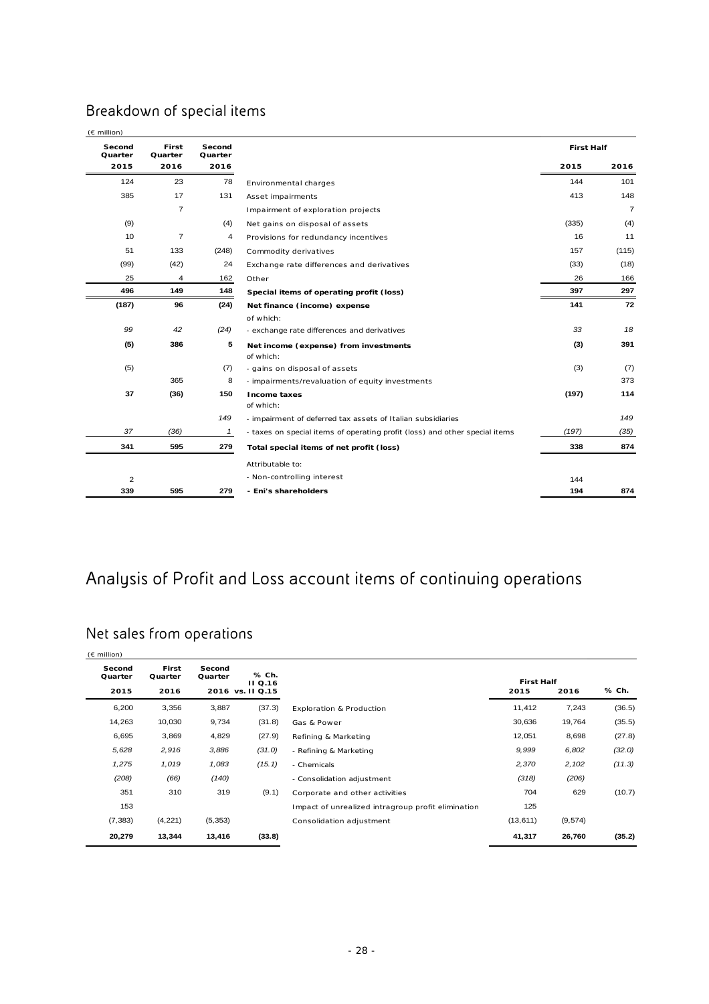# Breakdown of special items

| Second<br>Quarter | First<br>Quarter | Second<br>Quarter |                                                                             | <b>First Half</b> |                |
|-------------------|------------------|-------------------|-----------------------------------------------------------------------------|-------------------|----------------|
| 2015              | 2016             | 2016              |                                                                             | 2015              | 2016           |
| 124               | 23               | 78                | Environmental charges                                                       | 144               | 101            |
| 385               | 17               | 131               | Asset impairments                                                           | 413               | 148            |
|                   | $\overline{7}$   |                   | Impairment of exploration projects                                          |                   | $\overline{7}$ |
| (9)               |                  | (4)               | Net gains on disposal of assets                                             | (335)             | (4)            |
| 10                | $\overline{7}$   | $\overline{4}$    | Provisions for redundancy incentives                                        | 16                | 11             |
| 51                | 133              | (248)             | Commodity derivatives                                                       | 157               | (115)          |
| (99)              | (42)             | 24                | Exchange rate differences and derivatives                                   | (33)              | (18)           |
| 25                | 4                | 162               | Other                                                                       | 26                | 166            |
| 496               | 149              | 148               | Special items of operating profit (loss)                                    | 397               | 297            |
| (187)             | 96               | (24)              | Net finance (income) expense                                                | 141               | 72             |
|                   |                  |                   | of which:                                                                   |                   |                |
| 99                | 42               | (24)              | - exchange rate differences and derivatives                                 | 33                | 18             |
| (5)               | 386              | 5                 | Net income (expense) from investments<br>of which:                          | (3)               | 391            |
| (5)               |                  | (7)               | - gains on disposal of assets                                               | (3)               | (7)            |
|                   | 365              | 8                 | - impairments/revaluation of equity investments                             |                   | 373            |
| 37                | (36)             | 150               | Income taxes<br>of which:                                                   | (197)             | 114            |
|                   |                  | 149               | - impairment of deferred tax assets of Italian subsidiaries                 |                   | 149            |
| 37                | (36)             | $\mathbf{1}$      | - taxes on special items of operating profit (loss) and other special items | (197)             | (35)           |
| 341               | 595              | 279               | Total special items of net profit (loss)                                    | 338               | 874            |
|                   |                  |                   | Attributable to:                                                            |                   |                |
| $\overline{2}$    |                  |                   | - Non-controlling interest                                                  | 144               |                |
| 339               | 595              | 279               | - Eni's shareholders                                                        | 194               | 874            |

# Analysis of Profit and Loss account items of continuing operations

# Net sales from operations

| $(E \text{ million})$     |                          |                   |                                             |                                                    |                           |         |        |
|---------------------------|--------------------------|-------------------|---------------------------------------------|----------------------------------------------------|---------------------------|---------|--------|
| Second<br>Quarter<br>2015 | First<br>Quarter<br>2016 | Second<br>Quarter | % Ch.<br><b>II</b> Q.16<br>2016 vs. II Q.15 |                                                    | <b>First Half</b><br>2015 | 2016    | % Ch.  |
| 6,200                     | 3,356                    | 3,887             | (37.3)                                      | Exploration & Production                           | 11,412                    | 7,243   | (36.5) |
| 14,263                    | 10,030                   | 9,734             | (31.8)                                      | Gas & Power                                        | 30,636                    | 19,764  | (35.5) |
| 6,695                     | 3,869                    | 4,829             | (27.9)                                      | Refining & Marketing                               | 12,051                    | 8,698   | (27.8) |
| 5,628                     | 2,916                    | 3,886             | (31.0)                                      | - Refining & Marketing                             | 9,999                     | 6,802   | (32.0) |
| 1,275                     | 1,019                    | 1,083             | (15.1)                                      | - Chemicals                                        | 2,370                     | 2,102   | (11.3) |
| (208)                     | (66)                     | (140)             |                                             | - Consolidation adjustment                         | (318)                     | (206)   |        |
| 351                       | 310                      | 319               | (9.1)                                       | Corporate and other activities                     | 704                       | 629     | (10.7) |
| 153                       |                          |                   |                                             | Impact of unrealized intragroup profit elimination | 125                       |         |        |
| (7, 383)                  | (4, 221)                 | (5, 353)          |                                             | Consolidation adjustment                           | (13, 611)                 | (9,574) |        |
| 20,279                    | 13,344                   | 13,416            | (33.8)                                      |                                                    | 41,317                    | 26,760  | (35.2) |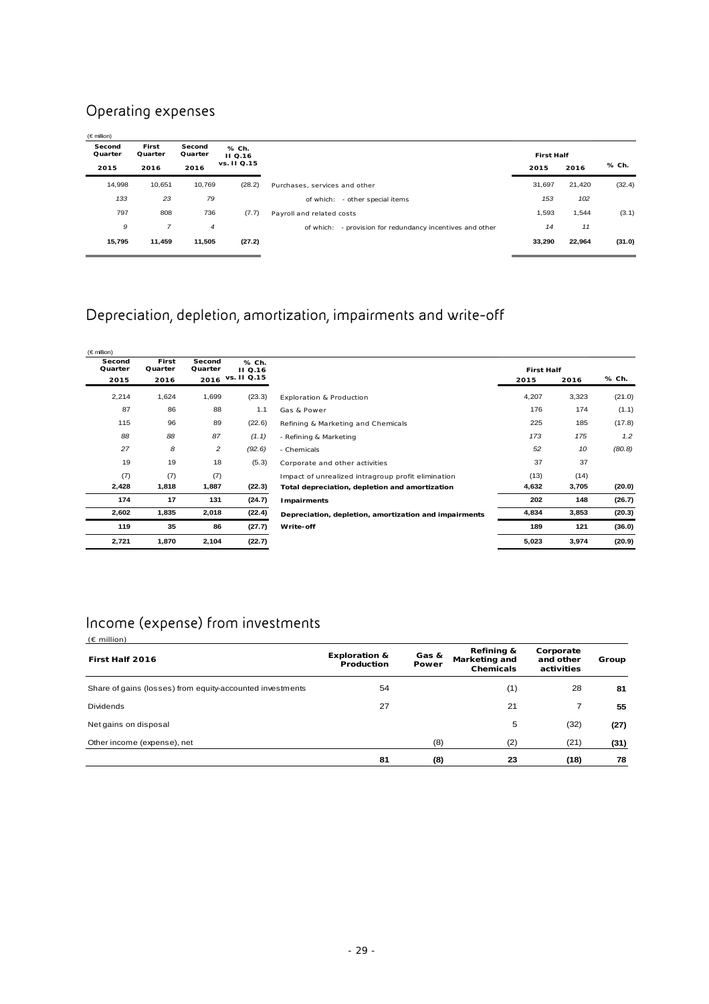## Operating expenses

| $(\in$ million)           |                          |                           |                                        |                                                              |                           |        |        |
|---------------------------|--------------------------|---------------------------|----------------------------------------|--------------------------------------------------------------|---------------------------|--------|--------|
| Second<br>Quarter<br>2015 | First<br>Quarter<br>2016 | Second<br>Quarter<br>2016 | % Ch.<br><b>II</b> Q.16<br>vs. II Q.15 |                                                              | <b>First Half</b><br>2015 | 2016   | % Ch.  |
|                           |                          |                           |                                        |                                                              |                           |        |        |
| 14,998                    | 10,651                   | 10,769                    | (28.2)                                 | Purchases, services and other                                | 31,697                    | 21,420 | (32.4) |
| 133                       | 23                       | 79                        |                                        | - other special items<br>of which:                           | 153                       | 102    |        |
| 797                       | 808                      | 736                       | (7.7)                                  | Payroll and related costs                                    | 1,593                     | 1,544  | (3.1)  |
| 9                         | $\overline{7}$           | $\overline{4}$            |                                        | - provision for redundancy incentives and other<br>of which: | 14                        | 11     |        |
| 15.795                    | 11,459                   | 11,505                    | (27.2)                                 |                                                              | 33,290                    | 22,964 | (31.0) |
|                           |                          |                           |                                        |                                                              |                           |        |        |

# Depreciation, depletion, amortization, impairments and write-off

| $(\in$ million)   |                  |                   |                         |                                                       |                   |       |        |
|-------------------|------------------|-------------------|-------------------------|-------------------------------------------------------|-------------------|-------|--------|
| Second<br>Quarter | First<br>Quarter | Second<br>Quarter | % Ch.<br><b>II</b> Q.16 |                                                       | <b>First Half</b> |       |        |
| 2015              | 2016             | 2016              | vs. II Q.15             |                                                       | 2015              | 2016  | % Ch.  |
| 2,214             | 1,624            | 1,699             | (23.3)                  | <b>Exploration &amp; Production</b>                   | 4,207             | 3,323 | (21.0) |
| 87                | 86               | 88                | 1.1                     | Gas & Power                                           | 176               | 174   | (1.1)  |
| 115               | 96               | 89                | (22.6)                  | Refining & Marketing and Chemicals                    | 225               | 185   | (17.8) |
| 88                | 88               | 87                | (1.1)                   | - Refining & Marketing                                | 173               | 175   | 1.2    |
| 27                | 8                | $\overline{c}$    | (92.6)                  | - Chemicals                                           | 52                | 10    | (80.8) |
| 19                | 19               | 18                | (5.3)                   | Corporate and other activities                        | 37                | 37    |        |
| (7)               | (7)              | (7)               |                         | Impact of unrealized intragroup profit elimination    | (13)              | (14)  |        |
| 2,428             | 1,818            | 1,887             | (22.3)                  | Total depreciation, depletion and amortization        | 4,632             | 3,705 | (20.0) |
| 174               | 17               | 131               | (24.7)                  | Impairments                                           | 202               | 148   | (26.7) |
| 2,602             | 1,835            | 2,018             | (22.4)                  | Depreciation, depletion, amortization and impairments | 4,834             | 3,853 | (20.3) |
| 119               | 35               | 86                | (27.7)                  | Write-off                                             | 189               | 121   | (36.0) |
| 2,721             | 1,870            | 2,104             | (22.7)                  |                                                       | 5,023             | 3,974 | (20.9) |

# Income (expense) from investments

| $(E$ million)                                             |                                        |                |                                          |                                      |       |
|-----------------------------------------------------------|----------------------------------------|----------------|------------------------------------------|--------------------------------------|-------|
| First Half 2016                                           | <b>Exploration &amp;</b><br>Production | Gas &<br>Power | Refining &<br>Marketing and<br>Chemicals | Corporate<br>and other<br>activities | Group |
| Share of gains (losses) from equity-accounted investments | 54                                     |                | (1)                                      | 28                                   | 81    |
| <b>Dividends</b>                                          | 27                                     |                | 21                                       | 7                                    | 55    |
| Net gains on disposal                                     |                                        |                | 5                                        | (32)                                 | (27)  |
| Other income (expense), net                               |                                        | (8)            | (2)                                      | (21)                                 | (31)  |
|                                                           | 81                                     | (8)            | 23                                       | (18)                                 | 78    |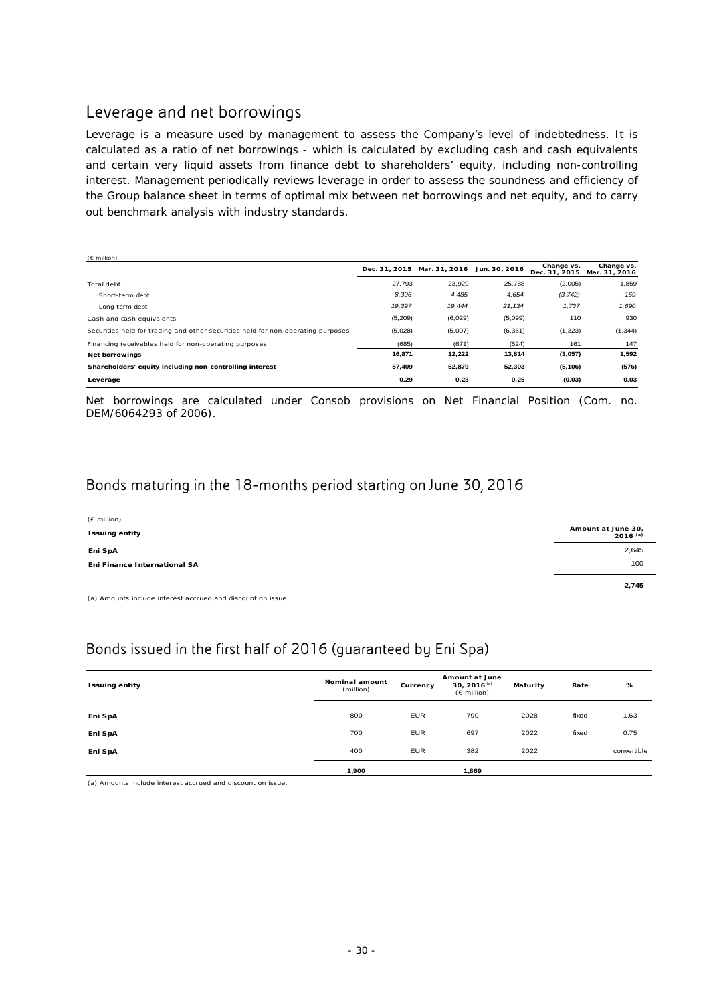## Leverage and net borrowings

Leverage is a measure used by management to assess the Company's level of indebtedness. It is calculated as a ratio of net borrowings - which is calculated by excluding cash and cash equivalents and certain very liquid assets from finance debt to shareholders' equity, including non-controlling interest. Management periodically reviews leverage in order to assess the soundness and efficiency of the Group balance sheet in terms of optimal mix between net borrowings and net equity, and to carry out benchmark analysis with industry standards.

| $(E \text{ million})$                                                            |         |                             |               |                             |                             |
|----------------------------------------------------------------------------------|---------|-----------------------------|---------------|-----------------------------|-----------------------------|
|                                                                                  |         | Dec. 31, 2015 Mar. 31, 2016 | Jun. 30, 2016 | Change vs.<br>Dec. 31, 2015 | Change vs.<br>Mar. 31, 2016 |
| Total debt                                                                       | 27,793  | 23,929                      | 25,788        | (2,005)                     | 1,859                       |
| Short-term debt                                                                  | 8,396   | 4,485                       | 4,654         | (3, 742)                    | 169                         |
| Long-term debt                                                                   | 19,397  | 19,444                      | 21,134        | 1,737                       | 1,690                       |
| Cash and cash equivalents                                                        | (5,209) | (6,029)                     | (5,099)       | 110                         | 930                         |
| Securities held for trading and other securities held for non-operating purposes | (5,028) | (5,007)                     | (6, 351)      | (1, 323)                    | (1, 344)                    |
| Financing receivables held for non-operating purposes                            | (685)   | (671)                       | (524)         | 161                         | 147                         |
| Net borrowings                                                                   | 16,871  | 12,222                      | 13,814        | (3,057)                     | 1,592                       |
| Shareholders' equity including non-controlling interest                          | 57,409  | 52.879                      | 52,303        | (5, 106)                    | (576)                       |
| Leverage                                                                         | 0.29    | 0.23                        | 0.26          | (0.03)                      | 0.03                        |

Net borrowings are calculated under Consob provisions on Net Financial Position (Com. no. DEM/6064293 of 2006).

## Bonds maturing in the 18-months period starting on June 30, 2016

| $(E \text{ million})$        |                                    |
|------------------------------|------------------------------------|
| <b>Issuing entity</b>        | Amount at June 30,<br>$2016^{(a)}$ |
| Eni SpA                      | 2,645                              |
| Eni Finance International SA | 100                                |
|                              | 2,745                              |

(a) Amounts include interest accrued and discount on issue.

# Bonds issued in the first half of 2016 (guaranteed by Eni Spa)

| <b>Issuing entity</b> | Nominal amount<br>(million) | Currency   | Amount at June<br>30, 2016 <sup>(a)</sup><br>$(E \text{ million})$ | Maturity | Rate  | %           |
|-----------------------|-----------------------------|------------|--------------------------------------------------------------------|----------|-------|-------------|
|                       |                             | <b>EUR</b> |                                                                    |          |       |             |
| Eni SpA               | 800                         |            | 790                                                                | 2028     | fixed | 1.63        |
| Eni SpA               | 700                         | <b>EUR</b> | 697                                                                | 2022     | fixed | 0.75        |
| Eni SpA               | 400                         | <b>EUR</b> | 382                                                                | 2022     |       | convertible |
|                       | 1,900                       |            | 1,869                                                              |          |       |             |

(a) Amounts include interest accrued and discount on issue.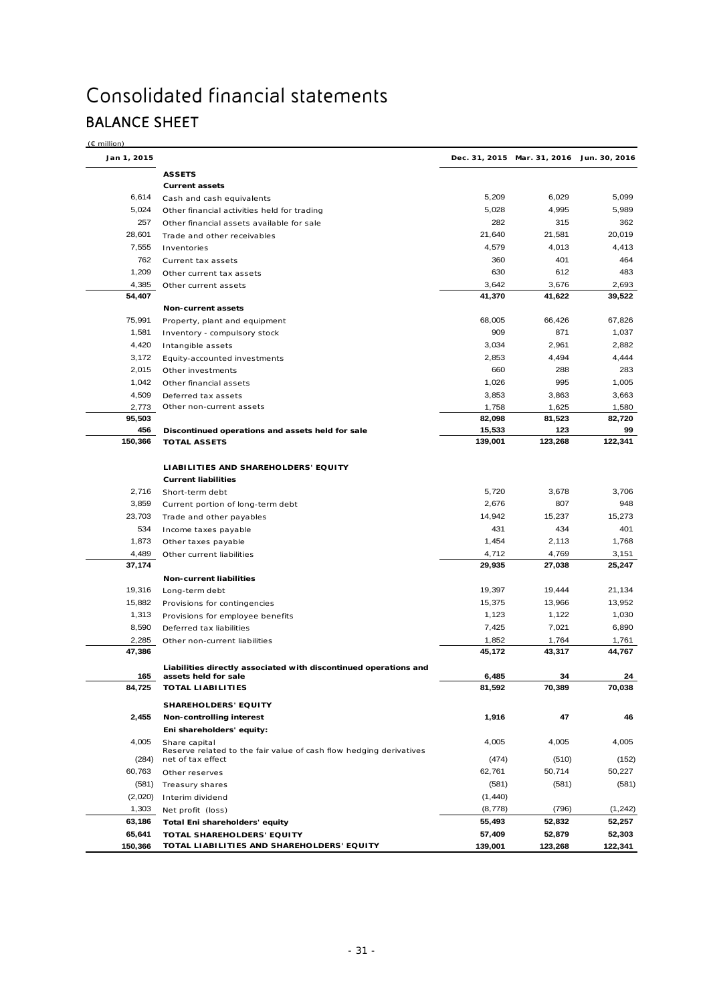# Consolidated financial statements BALANCE SHEET

(€ million)

| Jan 1, 2015   |                                                                                         |                  | Dec. 31, 2015 Mar. 31, 2016 Jun. 30, 2016 |              |
|---------------|-----------------------------------------------------------------------------------------|------------------|-------------------------------------------|--------------|
|               | <b>ASSETS</b>                                                                           |                  |                                           |              |
|               | <b>Current assets</b>                                                                   |                  |                                           |              |
| 6,614         | Cash and cash equivalents                                                               | 5,209            | 6,029                                     | 5,099        |
| 5,024         | Other financial activities held for trading                                             | 5,028            | 4,995                                     | 5,989        |
| 257           | Other financial assets available for sale                                               | 282              | 315                                       | 362          |
| 28,601        | Trade and other receivables                                                             | 21,640           | 21,581                                    | 20,019       |
| 7,555         | Inventories                                                                             | 4,579            | 4,013                                     | 4,413        |
| 762           | Current tax assets                                                                      | 360              | 401                                       | 464          |
| 1,209         | Other current tax assets                                                                | 630              | 612                                       | 483          |
| 4,385         | Other current assets                                                                    | 3,642            | 3,676                                     | 2,693        |
| 54,407        |                                                                                         | 41,370           | 41,622                                    | 39,522       |
|               | Non-current assets                                                                      |                  |                                           |              |
| 75,991        | Property, plant and equipment                                                           | 68,005           | 66,426                                    | 67,826       |
| 1,581         | Inventory - compulsory stock                                                            | 909              | 871                                       | 1,037        |
| 4,420         | Intangible assets                                                                       | 3,034            | 2,961                                     | 2,882        |
| 3,172         | Equity-accounted investments                                                            | 2,853            | 4,494                                     | 4,444        |
| 2,015         | Other investments                                                                       | 660              | 288                                       | 283          |
| 1,042         | Other financial assets                                                                  | 1,026            | 995                                       | 1,005        |
| 4,509         | Deferred tax assets                                                                     | 3,853            | 3,863                                     | 3,663        |
| 2,773         | Other non-current assets                                                                | 1,758            | 1,625                                     | 1,580        |
| 95,503<br>456 | Discontinued operations and assets held for sale                                        | 82,098<br>15,533 | 81,523<br>123                             | 82,720<br>99 |
| 150,366       | <b>TOTAL ASSETS</b>                                                                     | 139,001          | 123,268                                   | 122,341      |
|               |                                                                                         |                  |                                           |              |
|               | LIABILITIES AND SHAREHOLDERS' EQUITY                                                    |                  |                                           |              |
|               | <b>Current liabilities</b>                                                              |                  |                                           |              |
| 2,716         | Short-term debt                                                                         | 5,720            | 3,678                                     | 3,706        |
| 3,859         | Current portion of long-term debt                                                       | 2,676            | 807                                       | 948          |
| 23,703        | Trade and other payables                                                                | 14,942           | 15,237                                    | 15,273       |
| 534           | Income taxes payable                                                                    | 431              | 434                                       | 401          |
| 1,873         | Other taxes payable                                                                     | 1,454            | 2,113                                     | 1,768        |
| 4,489         | Other current liabilities                                                               | 4,712            | 4,769                                     | 3,151        |
| 37,174        |                                                                                         | 29,935           | 27,038                                    | 25,247       |
|               | Non-current liabilities                                                                 |                  |                                           |              |
| 19,316        | Long-term debt                                                                          | 19,397           | 19,444                                    | 21,134       |
| 15,882        | Provisions for contingencies                                                            | 15,375           | 13,966                                    | 13,952       |
| 1,313         | Provisions for employee benefits                                                        | 1,123            | 1,122                                     | 1,030        |
| 8,590         | Deferred tax liabilities                                                                | 7,425            | 7,021                                     | 6,890        |
| 2,285         | Other non-current liabilities                                                           | 1,852            | 1,764                                     | 1,761        |
| 47,386        |                                                                                         | 45,172           | 43,317                                    | 44,767       |
|               | Liabilities directly associated with discontinued operations and                        |                  |                                           |              |
| 165           | assets held for sale                                                                    | 6,485            | 34                                        | 24           |
| 84,725        | <b>TOTAL LIABILITIES</b>                                                                | 81,592           | 70,389                                    | 70,038       |
|               | <b>SHAREHOLDERS' EQUITY</b>                                                             |                  |                                           |              |
| 2,455         | Non-controlling interest                                                                | 1,916            | 47                                        | 46           |
|               | Eni shareholders' equity:                                                               |                  |                                           |              |
| 4,005         | Share capital                                                                           | 4,005            | 4,005                                     | 4,005        |
| (284)         | Reserve related to the fair value of cash flow hedging derivatives<br>net of tax effect | (474)            | (510)                                     | (152)        |
| 60,763        | Other reserves                                                                          | 62,761           | 50,714                                    | 50,227       |
| (581)         | Treasury shares                                                                         | (581)            | (581)                                     | (581)        |
| (2,020)       | Interim dividend                                                                        | (1, 440)         |                                           |              |
| 1,303         | Net profit (loss)                                                                       | (8,778)          | (796)                                     | (1, 242)     |
| 63,186        | Total Eni shareholders' equity                                                          | 55,493           | 52,832                                    | 52,257       |
| 65,641        | TOTAL SHAREHOLDERS' EQUITY                                                              | 57,409           | 52,879                                    | 52,303       |
| 150,366       | TOTAL LIABILITIES AND SHAREHOLDERS' EQUITY                                              | 139,001          | 123,268                                   | 122,341      |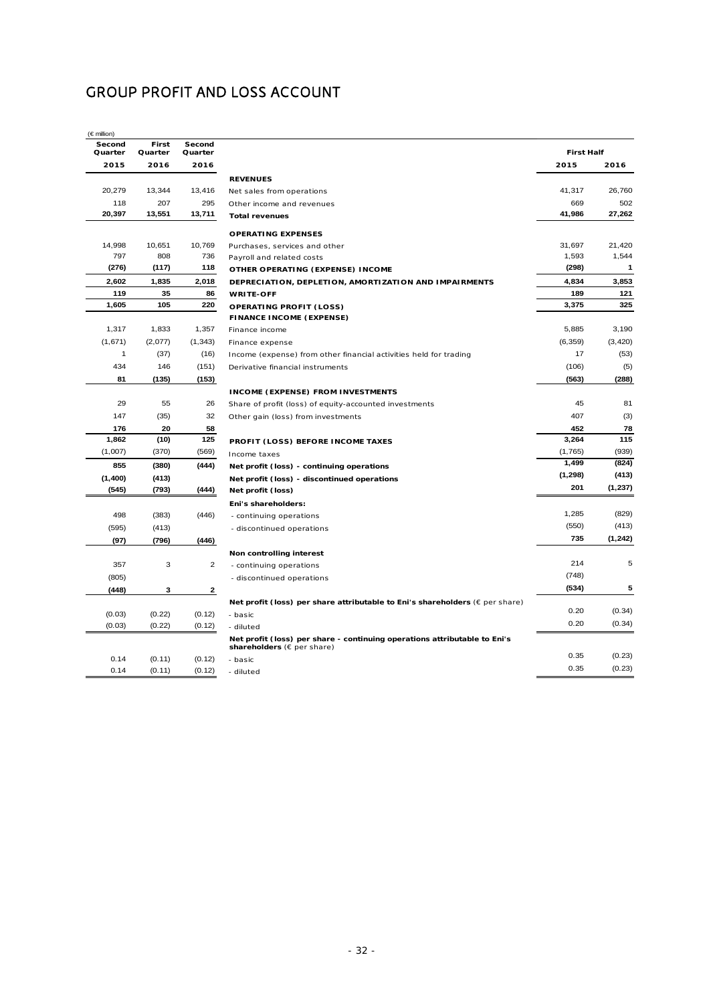## GROUP PROFIT AND LOSS ACCOUNT

|                     |                   |                  | $(\in$ million)   |
|---------------------|-------------------|------------------|-------------------|
|                     | Second<br>Quarter | First<br>Quarter | Second<br>Quarter |
|                     | 2016              | 2016             | 2015              |
| <b>REVENU</b>       |                   |                  |                   |
| Net sales           | 13,416            | 13,344           | 20,279            |
| Other ind           | 295               | 207              | 118               |
| Total rev           | 13,711            | 13,551           | 20,397            |
| <b>OPERAT</b>       |                   |                  |                   |
| Purchase            | 10,769            | 10,651           | 14,998            |
| Payroll a           | 736               | 808              | 797               |
| <b>OTHER O</b>      | 118               | (117)            | (276)             |
| <b>DEPREC</b>       | 2,018             | 1,835            | 2,602             |
| <b>WRITE-0</b>      | 86                | 35               | 119               |
| <b>OPERAT</b>       | 220               | 105              | 1,605             |
| <b>FINANCI</b>      |                   |                  |                   |
| Finance i           | 1,357             | 1,833            | 1,317             |
| Finance e           | (1, 343)          | (2,077)          | (1,671)           |
| Income (            | (16)              | (37)             | 1                 |
| Derivativ           | (151)             | 146              | 434               |
|                     | (153)             | (135)            | 81                |
| <b>INCOME</b>       |                   |                  |                   |
| Share of            | 26                | 55               | 29                |
| Other ga            | 32                | (35)             | 147               |
|                     | 58                | 20               | 176               |
| <b>PROFIT</b>       | 125               | (10)             | 1,862             |
| Income t            | (569)             | (370)            | (1,007)           |
| Net prof            | (444)             | (380)            | 855               |
| Net prof            |                   | (413)            | (1,400)           |
| Net prof            | (444)             | (793)            | (545)             |
| Eni's sha           |                   |                  |                   |
| - continu           | (446)             | (383)            | 498               |
| - discont           |                   | (413)            | (595)             |
|                     | (446)             | (796)            | (97)              |
| Non con             |                   |                  |                   |
| - continu           | 2                 | 3                | 357               |
| - discont           |                   |                  | (805)             |
|                     | 2                 | з                | (448)             |
| Net prof            |                   |                  |                   |
| - basic             | (0.12)            | (0.22)           | (0.03)            |
| - diluted           | (0.12)            | (0.22)           | (0.03)            |
| Net prof<br>shareho |                   |                  |                   |
| - basic             | (0.12)            | (0.11)           | 0.14              |
| - diluted           | (0.12)            | (0.11)           | 0.14              |
|                     |                   |                  |                   |

| econd<br>uarter | First<br>Quarter | Second<br>Quarter |                                                                                                         | <b>First Half</b> |          |
|-----------------|------------------|-------------------|---------------------------------------------------------------------------------------------------------|-------------------|----------|
| 2015            | 2016             | 2016              |                                                                                                         | 2015              | 2016     |
|                 |                  |                   | <b>REVENUES</b>                                                                                         |                   |          |
| 20,279          | 13,344           | 13,416            | Net sales from operations                                                                               | 41,317            | 26,760   |
| 118             | 207              | 295               | Other income and revenues                                                                               | 669               | 502      |
| 20,397          | 13,551           | 13,711            | <b>Total revenues</b>                                                                                   | 41,986            | 27,262   |
|                 |                  |                   | <b>OPERATING EXPENSES</b>                                                                               |                   |          |
| 14,998          | 10,651           | 10,769            | Purchases, services and other                                                                           | 31,697            | 21,420   |
| 797             | 808              | 736               | Payroll and related costs                                                                               | 1,593             | 1,544    |
| (276)           | (117)            | 118               | OTHER OPERATING (EXPENSE) INCOME                                                                        | (298)             | 1        |
| 2,602           | 1,835            | 2,018             | DEPRECIATION, DEPLETION, AMORTIZATION AND IMPAIRMENTS                                                   | 4,834             | 3,853    |
| 119             | 35               | 86                | <b>WRITE-OFF</b>                                                                                        | 189               | 121      |
| 1,605           | 105              | 220               | <b>OPERATING PROFIT (LOSS)</b>                                                                          | 3,375             | 325      |
|                 |                  |                   | <b>FINANCE INCOME (EXPENSE)</b>                                                                         |                   |          |
| 1,317           | 1,833            | 1,357             | Finance income                                                                                          | 5,885             | 3,190    |
| (1,671)         | (2,077)          | (1, 343)          | Finance expense                                                                                         | (6, 359)          | (3, 420) |
| 1               | (37)             | (16)              | Income (expense) from other financial activities held for trading                                       | 17                | (53)     |
| 434             | 146              | (151)             | Derivative financial instruments                                                                        | (106)             | (5)      |
| 81              | (135)            | (153)             |                                                                                                         | (563)             | (288)    |
|                 |                  |                   | <b>INCOME (EXPENSE) FROM INVESTMENTS</b>                                                                |                   |          |
| 29              | 55               | 26                | Share of profit (loss) of equity-accounted investments                                                  | 45                | 81       |
| 147             | (35)             | 32                | Other gain (loss) from investments                                                                      | 407               | (3)      |
| 176             | 20               | 58                |                                                                                                         | 452               | 78       |
| 1,862           | (10)             | 125               | PROFIT (LOSS) BEFORE INCOME TAXES                                                                       | 3,264             | 115      |
| (1,007)         | (370)            | (569)             | Income taxes                                                                                            | (1,765)           | (939)    |
| 855             | (380)            | (444)             | Net profit (loss) - continuing operations                                                               | 1,499             | (824)    |
| (1,400)         | (413)            |                   | Net profit (loss) - discontinued operations                                                             | (1, 298)          | (413)    |
| (545)           | (793)            | (444)             | Net profit (loss)                                                                                       | 201               | (1, 237) |
|                 |                  |                   | Eni's shareholders:                                                                                     |                   |          |
| 498             | (383)            | (446)             | - continuing operations                                                                                 | 1,285             | (829)    |
| (595)           | (413)            |                   | - discontinued operations                                                                               | (550)             | (413)    |
| (97)            | (796)            | (446)             |                                                                                                         | 735               | (1, 242) |
|                 |                  |                   | Non controlling interest                                                                                |                   |          |
| 357             | 3                | 2                 | - continuing operations                                                                                 | 214               | 5        |
| (805)           |                  |                   | - discontinued operations                                                                               | (748)             |          |
| (448)           | з                | 2                 |                                                                                                         | (534)             | 5        |
|                 |                  |                   | Net profit (loss) per share attributable to Eni's shareholders ( $\epsilon$ per share)                  |                   |          |
| (0.03)          | (0.22)           | (0.12)            | - basic                                                                                                 | 0.20              | (0.34)   |
| (0.03)          | (0.22)           | (0.12)            | - diluted                                                                                               | 0.20              | (0.34)   |
|                 |                  |                   | Net profit (loss) per share - continuing operations attributable to Eni's<br>shareholders (€ per share) |                   |          |
| 0.14            | (0.11)           | (0.12)            | - basic                                                                                                 | 0.35              | (0.23)   |
|                 | $\sqrt{2}$       | (0.40)            |                                                                                                         | 0.35              | (0.23)   |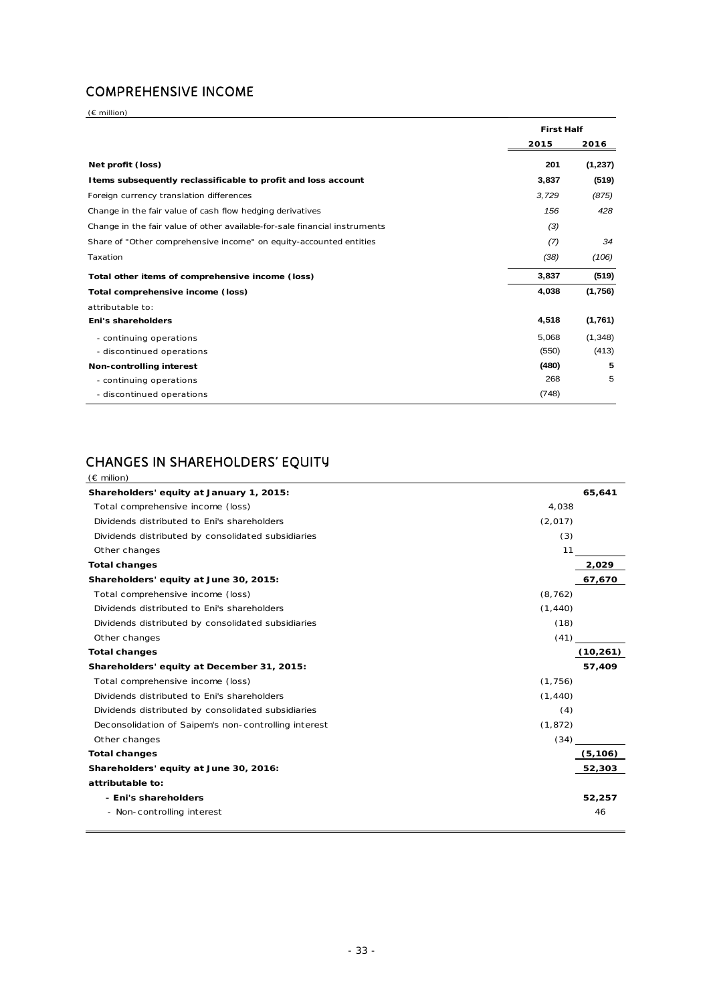## COMPREHENSIVE INCOME

(€ million)

|                                                                            | <b>First Half</b> |          |
|----------------------------------------------------------------------------|-------------------|----------|
|                                                                            | 2015              | 2016     |
| Net profit (loss)                                                          | 201               | (1, 237) |
| I tems subsequently reclassificable to profit and loss account             | 3,837             | (519)    |
| Foreign currency translation differences                                   | 3,729             | (875)    |
| Change in the fair value of cash flow hedging derivatives                  | 156               | 428      |
| Change in the fair value of other available-for-sale financial instruments | (3)               |          |
| Share of "Other comprehensive income" on equity-accounted entities         | (7)               | 34       |
| Taxation                                                                   | (38)              | (106)    |
| Total other items of comprehensive income (loss)                           | 3,837             | (519)    |
| Total comprehensive income (loss)                                          | 4,038             | (1,756)  |
| attributable to:                                                           |                   |          |
| Eni's shareholders                                                         | 4,518             | (1,761)  |
| - continuing operations                                                    | 5,068             | (1,348)  |
| - discontinued operations                                                  | (550)             | (413)    |
| Non-controlling interest                                                   | (480)             | 5        |
| - continuing operations                                                    | 268               | 5        |
| - discontinued operations                                                  | (748)             |          |

## CHANGES IN SHAREHOLDERS' EQUITY

| (€ milion)                                           |          |           |
|------------------------------------------------------|----------|-----------|
| Shareholders' equity at January 1, 2015:             |          | 65,641    |
| Total comprehensive income (loss)                    | 4,038    |           |
| Dividends distributed to Eni's shareholders          | (2,017)  |           |
| Dividends distributed by consolidated subsidiaries   | (3)      |           |
| Other changes                                        | 11       |           |
| <b>Total changes</b>                                 |          | 2,029     |
| Shareholders' equity at June 30, 2015:               |          | 67,670    |
| Total comprehensive income (loss)                    | (8, 762) |           |
| Dividends distributed to Eni's shareholders          | (1, 440) |           |
| Dividends distributed by consolidated subsidiaries   | (18)     |           |
| Other changes                                        | (41)     |           |
| <b>Total changes</b>                                 |          | (10, 261) |
| Shareholders' equity at December 31, 2015:           |          | 57,409    |
| Total comprehensive income (loss)                    | (1,756)  |           |
| Dividends distributed to Eni's shareholders          | (1, 440) |           |
| Dividends distributed by consolidated subsidiaries   | (4)      |           |
| Deconsolidation of Saipem's non-controlling interest | (1, 872) |           |
| Other changes                                        | (34)     |           |
| <b>Total changes</b>                                 |          | (5, 106)  |
| Shareholders' equity at June 30, 2016:               |          | 52,303    |
| attributable to:                                     |          |           |
| - Eni's shareholders                                 |          | 52,257    |
| - Non-controlling interest                           |          | 46        |
|                                                      |          |           |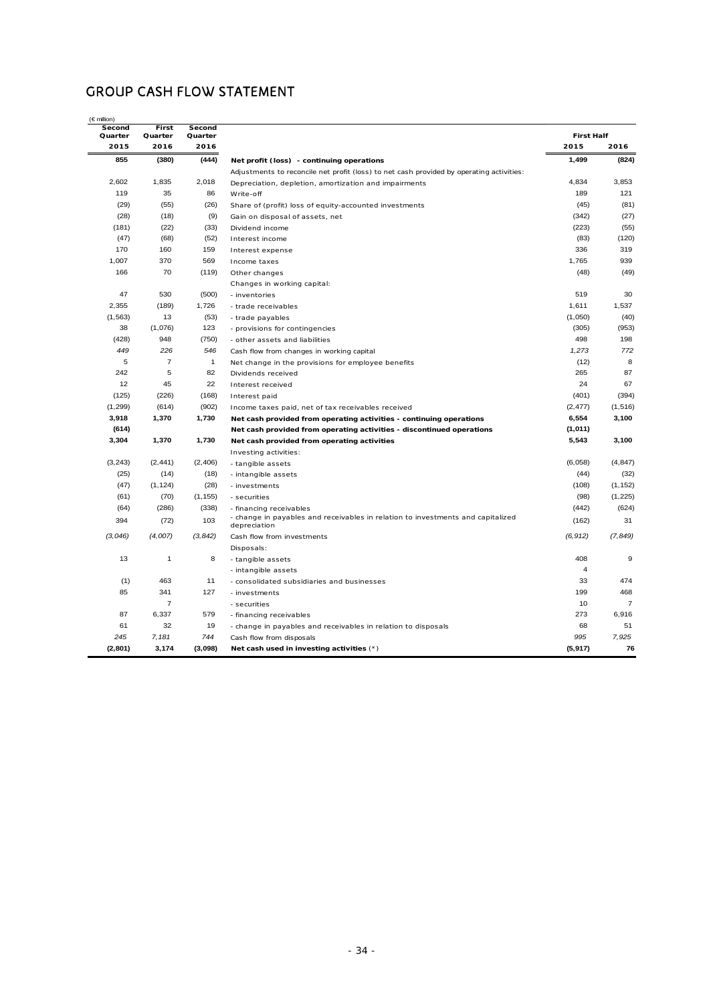## GROUP CASH FLOW STATEMENT

| Second<br>Quarter | First<br>Quarter | Second<br>Quarter |                                                                                                 | <b>First Half</b> |                |
|-------------------|------------------|-------------------|-------------------------------------------------------------------------------------------------|-------------------|----------------|
| 2015              | 2016             | 2016              |                                                                                                 | 2015              | 2016           |
| 855               | (380)            | (444)             | Net profit (loss) - continuing operations                                                       | 1,499             | (824)          |
|                   |                  |                   | Adjustments to reconcile net profit (loss) to net cash provided by operating activities:        |                   |                |
| 2,602             | 1,835            | 2,018             | Depreciation, depletion, amortization and impairments                                           | 4,834             | 3,853          |
| 119               | 35               | 86                | Write-off                                                                                       | 189               | 121            |
| (29)              | (55)             | (26)              | Share of (profit) loss of equity-accounted investments                                          | (45)              | (81)           |
| (28)              | (18)             | (9)               | Gain on disposal of assets, net                                                                 | (342)             | (27)           |
| (181)             | (22)             | (33)              | Dividend income                                                                                 | (223)             | (55)           |
| (47)              | (68)             | (52)              | Interest income                                                                                 | (83)              | (120)          |
| 170               | 160              | 159               | Interest expense                                                                                | 336               | 319            |
| 1,007             | 370              | 569               | Income taxes                                                                                    | 1,765             | 939            |
| 166               | 70               | (119)             | Other changes                                                                                   | (48)              | (49)           |
|                   |                  |                   | Changes in working capital:                                                                     |                   |                |
| 47                | 530              | (500)             | - inventories                                                                                   | 519               | 30             |
| 2,355             | (189)            | 1,726             | - trade receivables                                                                             | 1,611             | 1,537          |
| (1, 563)          | 13               | (53)              | - trade payables                                                                                | (1,050)           | (40)           |
| 38                | (1,076)          | 123               | - provisions for contingencies                                                                  | (305)             | (953)          |
| (428)             | 948              | (750)             | - other assets and liabilities                                                                  | 498               | 198            |
| 449               | 226              | 546               | Cash flow from changes in working capital                                                       | 1,273             | 772            |
| 5                 | $\overline{7}$   | $\mathbf{1}$      | Net change in the provisions for employee benefits                                              | (12)              | 8              |
| 242               | 5                | 82                | Dividends received                                                                              | 265               | 87             |
| 12                | 45               | 22                | Interest received                                                                               | 24                | 67             |
| (125)             | (226)            | (168)             | Interest paid                                                                                   | (401)             | (394)          |
| (1, 299)          | (614)            | (902)             | Income taxes paid, net of tax receivables received                                              | (2, 477)          | (1, 516)       |
| 3,918             | 1,370            | 1,730             | Net cash provided from operating activities - continuing operations                             | 6,554             | 3,100          |
| (614)             |                  |                   | Net cash provided from operating activities - discontinued operations                           | (1,011)           |                |
| 3,304             | 1,370            | 1,730             | Net cash provided from operating activities                                                     | 5,543             | 3,100          |
|                   |                  |                   | Investing activities:                                                                           |                   |                |
| (3, 243)          | (2, 441)         | (2, 406)          | - tangible assets                                                                               | (6,058)           | (4, 847)       |
| (25)              | (14)             | (18)              | - intangible assets                                                                             | (44)              | (32)           |
| (47)              | (1, 124)         | (28)              | - investments                                                                                   | (108)             | (1, 152)       |
| (61)              | (70)             | (1, 155)          | - securities                                                                                    | (98)              | (1, 225)       |
| (64)              | (286)            | (338)             | - financing receivables                                                                         | (442)             | (624)          |
| 394               | (72)             | 103               | - change in payables and receivables in relation to investments and capitalized<br>depreciation | (162)             | 31             |
| (3,046)           | (4,007)          | (3, 842)          | Cash flow from investments                                                                      | (6, 912)          | (7, 849)       |
|                   |                  |                   | Disposals:                                                                                      |                   |                |
| 13                | $\mathbf{1}$     | 8                 | - tangible assets                                                                               | 408               | 9              |
|                   |                  |                   | - intangible assets                                                                             | 4                 |                |
| (1)               | 463              | 11                | - consolidated subsidiaries and businesses                                                      | 33                | 474            |
| 85                | 341              | 127               | - investments                                                                                   | 199               | 468            |
|                   | $\overline{7}$   |                   | - securities                                                                                    | 10                | $\overline{7}$ |
| 87                | 6,337            | 579               | - financing receivables                                                                         | 273               | 6,916          |
| 61                | 32               | 19                | - change in payables and receivables in relation to disposals                                   | 68                | 51             |
| 245               | 7,181            | 744               | Cash flow from disposals                                                                        | 995               | 7,925          |
| (2, 801)          | 3,174            | (3,098)           | Net cash used in investing activities (*)                                                       | (5, 917)          | 76             |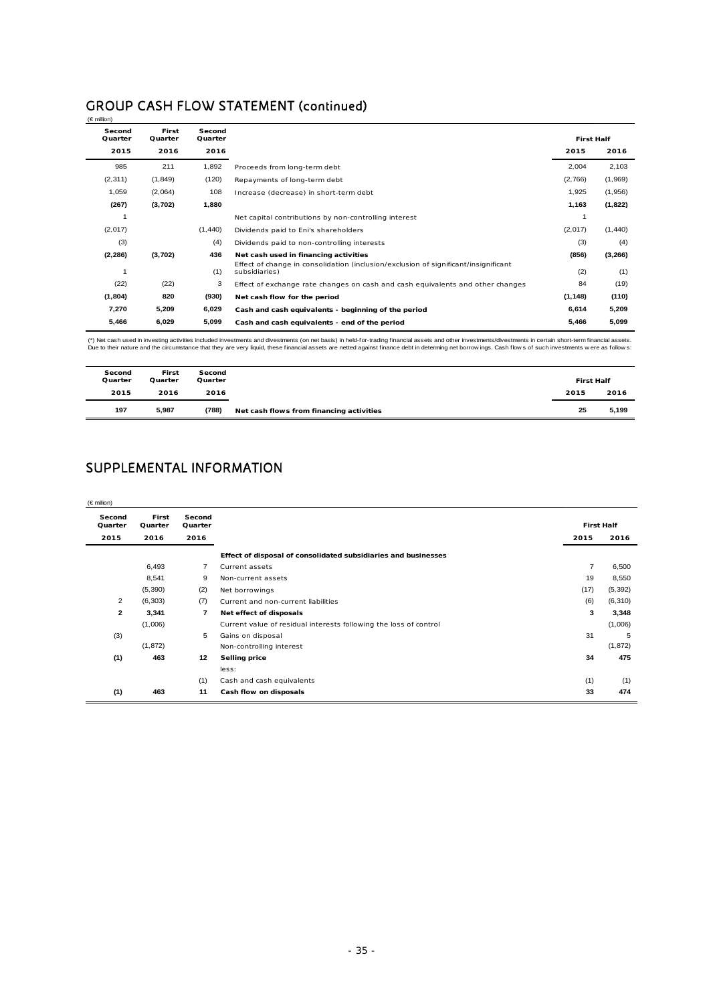## GROUP CASH FLOW STATEMENT (continued)

| $(\in$ million)   |                  |                   |                                                                                                      |                   |         |
|-------------------|------------------|-------------------|------------------------------------------------------------------------------------------------------|-------------------|---------|
| Second<br>Quarter | First<br>Quarter | Second<br>Quarter |                                                                                                      | <b>First Half</b> |         |
| 2015              | 2016             | 2016              |                                                                                                      | 2015              | 2016    |
| 985               | 211              | 1,892             | Proceeds from long-term debt                                                                         | 2,004             | 2,103   |
| (2, 311)          | (1,849)          | (120)             | Repayments of long-term debt                                                                         | (2,766)           | (1,969) |
| 1,059             | (2,064)          | 108               | Increase (decrease) in short-term debt                                                               | 1,925             | (1,956) |
| (267)             | (3,702)          | 1,880             |                                                                                                      | 1,163             | (1,822) |
|                   |                  |                   | Net capital contributions by non-controlling interest                                                |                   |         |
| (2,017)           |                  | (1,440)           | Dividends paid to Eni's shareholders                                                                 | (2,017)           | (1,440) |
| (3)               |                  | (4)               | Dividends paid to non-controlling interests                                                          | (3)               | (4)     |
| (2, 286)          | (3,702)          | 436               | Net cash used in financing activities                                                                | (856)             | (3,266) |
|                   |                  | (1)               | Effect of change in consolidation (inclusion/exclusion of significant/insignificant<br>subsidiaries) | (2)               | (1)     |
| (22)              | (22)             | 3                 | Effect of exchange rate changes on cash and cash equivalents and other changes                       | 84                | (19)    |
| (1, 804)          | 820              | (930)             | Net cash flow for the period                                                                         | (1, 148)          | (110)   |
| 7,270             | 5,209            | 6,029             | Cash and cash equivalents - beginning of the period                                                  | 6,614             | 5,209   |
| 5,466             | 6,029            | 5,099             | Cash and cash equivalents - end of the period                                                        | 5,466             | 5,099   |

(\*) Net cash used in investing activities included investments and divestments (on net basis) in held-for-trading financial assets and other investments/divestments in certain short-term financial assets.<br>Due to their natu

| Second<br>Quarter | First<br>Quarter | Second<br>Quarter |                                          | <b>First Half</b> |       |
|-------------------|------------------|-------------------|------------------------------------------|-------------------|-------|
| 2015              | 2016             | 2016              |                                          | 2015              | 2016  |
| 197               | 5,987            | (788)             | Net cash flows from financing activities | 25                | 5,199 |

## SUPPLEMENTAL INFORMATION

| $(\in$ million)   |                  |                   |                                                                   |                |                   |
|-------------------|------------------|-------------------|-------------------------------------------------------------------|----------------|-------------------|
| Second<br>Quarter | First<br>Quarter | Second<br>Quarter |                                                                   |                | <b>First Half</b> |
| 2015              | 2016             | 2016              |                                                                   | 2015           | 2016              |
|                   |                  |                   | Effect of disposal of consolidated subsidiaries and businesses    |                |                   |
|                   | 6,493            | $\overline{7}$    | Current assets                                                    | $\overline{7}$ | 6,500             |
|                   | 8,541            | 9                 | Non-current assets                                                | 19             | 8,550             |
|                   | (5, 390)         | (2)               | Net borrowings                                                    | (17)           | (5, 392)          |
| $\overline{2}$    | (6, 303)         | (7)               | Current and non-current liabilities                               | (6)            | (6, 310)          |
| $\overline{2}$    | 3,341            | $\overline{7}$    | Net effect of disposals                                           | 3              | 3,348             |
|                   | (1,006)          |                   | Current value of residual interests following the loss of control |                | (1,006)           |
| (3)               |                  | 5                 | Gains on disposal                                                 | 31             | 5                 |
|                   | (1, 872)         |                   | Non-controlling interest                                          |                | (1, 872)          |
| (1)               | 463              | 12                | <b>Selling price</b>                                              | 34             | 475               |
|                   |                  |                   | less:                                                             |                |                   |
|                   |                  | (1)               | Cash and cash equivalents                                         | (1)            | (1)               |
| (1)               | 463              | 11                | Cash flow on disposals                                            | 33             | 474               |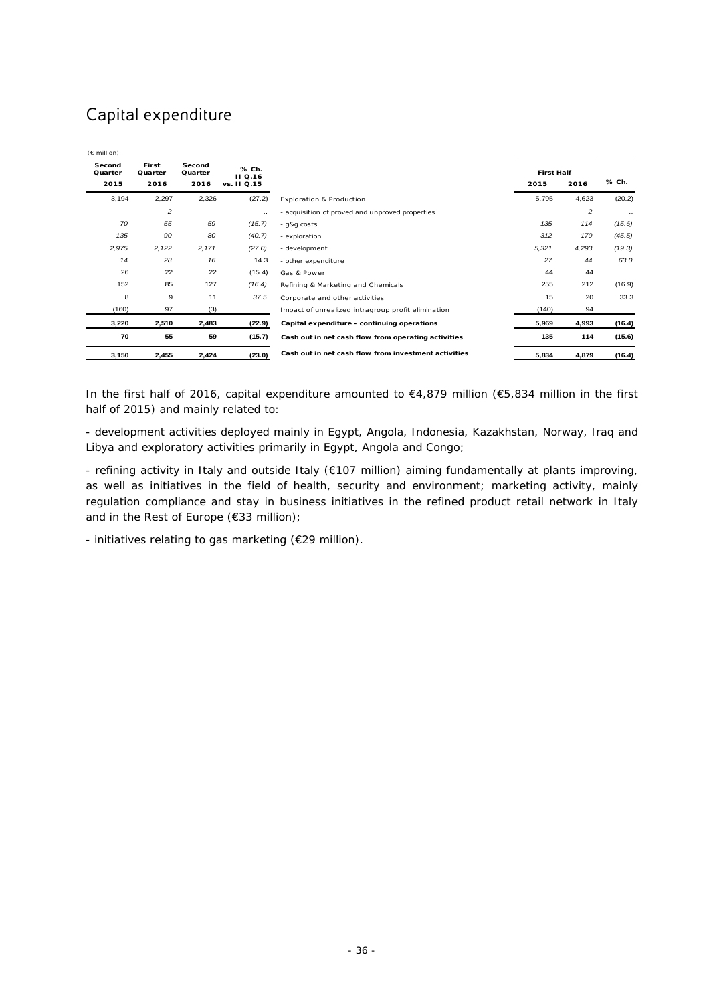# Capital expenditure

| $(E \text{ million})$     |                          |                           |                                        |                                                      |                           |                |           |
|---------------------------|--------------------------|---------------------------|----------------------------------------|------------------------------------------------------|---------------------------|----------------|-----------|
| Second<br>Quarter<br>2015 | First<br>Quarter<br>2016 | Second<br>Quarter<br>2016 | % Ch.<br><b>II</b> Q.16<br>vs. II Q.15 |                                                      | <b>First Half</b><br>2015 | 2016           | % Ch.     |
| 3,194                     | 2,297                    | 2,326                     | (27.2)                                 | Exploration & Production                             | 5,795                     | 4,623          | (20.2)    |
|                           | $\overline{c}$           |                           | $\ddotsc$                              | - acquisition of proved and unproved properties      |                           | $\overline{c}$ | $\ddotsc$ |
| 70                        | 55                       | 59                        | (15.7)                                 | - g&g costs                                          | 135                       | 114            | (15.6)    |
| 135                       | 90                       | 80                        | (40.7)                                 | - exploration                                        | 312                       | 170            | (45.5)    |
| 2,975                     | 2,122                    | 2,171                     | (27.0)                                 | - development                                        | 5,321                     | 4,293          | (19.3)    |
| 14                        | 28                       | 16                        | 14.3                                   | - other expenditure                                  | 27                        | 44             | 63.0      |
| 26                        | 22                       | 22                        | (15.4)                                 | Gas & Power                                          | 44                        | 44             |           |
| 152                       | 85                       | 127                       | (16.4)                                 | Refining & Marketing and Chemicals                   | 255                       | 212            | (16.9)    |
| 8                         | 9                        | 11                        | 37.5                                   | Corporate and other activities                       | 15                        | 20             | 33.3      |
| (160)                     | 97                       | (3)                       |                                        | Impact of unrealized intragroup profit elimination   | (140)                     | 94             |           |
| 3,220                     | 2,510                    | 2,483                     | (22.9)                                 | Capital expenditure - continuing operations          | 5,969                     | 4,993          | (16.4)    |
| 70                        | 55                       | 59                        | (15.7)                                 | Cash out in net cash flow from operating activities  | 135                       | 114            | (15.6)    |
| 3,150                     | 2,455                    | 2,424                     | (23.0)                                 | Cash out in net cash flow from investment activities | 5,834                     | 4,879          | (16.4)    |

In the first half of 2016, capital expenditure amounted to €4,879 million (€5,834 million in the first half of 2015) and mainly related to:

- development activities deployed mainly in Egypt, Angola, Indonesia, Kazakhstan, Norway, Iraq and Libya and exploratory activities primarily in Egypt, Angola and Congo;

- refining activity in Italy and outside Italy (€107 million) aiming fundamentally at plants improving, as well as initiatives in the field of health, security and environment; marketing activity, mainly regulation compliance and stay in business initiatives in the refined product retail network in Italy and in the Rest of Europe (€33 million);

- initiatives relating to gas marketing (€29 million).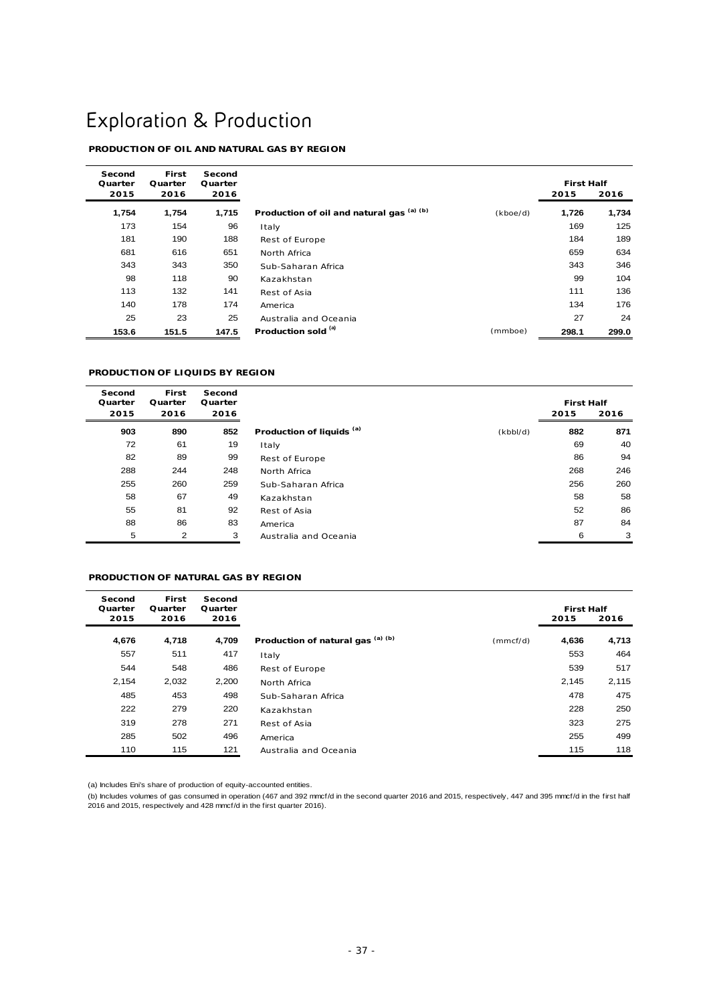# Exploration & Production

### **PRODUCTION OF OIL AND NATURAL GAS BY REGION**

| Second<br>Quarter | <b>First</b><br>Quarter | Second<br>Quarter |                                           |          |       | <b>First Half</b> |  |
|-------------------|-------------------------|-------------------|-------------------------------------------|----------|-------|-------------------|--|
| 2015              | 2016                    | 2016              |                                           |          | 2015  | 2016              |  |
| 1,754             | 1,754                   | 1,715             | Production of oil and natural gas (a) (b) | (kboe/d) | 1,726 | 1,734             |  |
| 173               | 154                     | 96                | Italy                                     |          | 169   | 125               |  |
| 181               | 190                     | 188               | Rest of Europe                            |          | 184   | 189               |  |
| 681               | 616                     | 651               | North Africa                              |          | 659   | 634               |  |
| 343               | 343                     | 350               | Sub-Saharan Africa                        |          | 343   | 346               |  |
| 98                | 118                     | 90                | Kazakhstan                                |          | 99    | 104               |  |
| 113               | 132                     | 141               | Rest of Asia                              |          | 111   | 136               |  |
| 140               | 178                     | 174               | America                                   |          | 134   | 176               |  |
| 25                | 23                      | 25                | Australia and Oceania                     |          | 27    | 24                |  |
| 153.6             | 151.5                   | 147.5             | Production sold (a)                       | (mmboe)  | 298.1 | 299.0             |  |

#### **PRODUCTION OF LIQUIDS BY REGION**

| Second<br>Quarter | <b>First</b><br>Quarter | Second<br>Quarter |                                      |          |      | <b>First Half</b> |  |
|-------------------|-------------------------|-------------------|--------------------------------------|----------|------|-------------------|--|
| 2015              | 2016                    | 2016              |                                      |          | 2015 | 2016              |  |
| 903               | 890                     | 852               | Production of liquids <sup>(a)</sup> | (kbbI/d) | 882  | 871               |  |
| 72                | 61                      | 19                | Italy                                |          | 69   | 40                |  |
| 82                | 89                      | 99                | Rest of Europe                       |          | 86   | 94                |  |
| 288               | 244                     | 248               | North Africa                         |          | 268  | 246               |  |
| 255               | 260                     | 259               | Sub-Saharan Africa                   |          | 256  | 260               |  |
| 58                | 67                      | 49                | Kazakhstan                           |          | 58   | 58                |  |
| 55                | 81                      | 92                | Rest of Asia                         |          | 52   | 86                |  |
| 88                | 86                      | 83                | America                              |          | 87   | 84                |  |
| 5                 | 2                       | 3                 | Australia and Oceania                |          | 6    | 3                 |  |

#### **PRODUCTION OF NATURAL GAS BY REGION**

| Second<br>Quarter | <b>First</b><br>Quarter | Second<br>Quarter |                                   |          | <b>First Half</b> |       |
|-------------------|-------------------------|-------------------|-----------------------------------|----------|-------------------|-------|
| 2015              | 2016                    | 2016              |                                   |          | 2015              | 2016  |
| 4,676             | 4,718                   | 4,709             | Production of natural gas (a) (b) | (mmcf/d) | 4,636             | 4,713 |
| 557               | 511                     | 417               | Italy                             |          | 553               | 464   |
| 544               | 548                     | 486               | Rest of Europe                    |          | 539               | 517   |
| 2,154             | 2,032                   | 2,200             | North Africa                      |          | 2,145             | 2,115 |
| 485               | 453                     | 498               | Sub-Saharan Africa                |          | 478               | 475   |
| 222               | 279                     | 220               | Kazakhstan                        |          | 228               | 250   |
| 319               | 278                     | 271               | Rest of Asia                      |          | 323               | 275   |
| 285               | 502                     | 496               | America                           |          | 255               | 499   |
| 110               | 115                     | 121               | Australia and Oceania             |          | 115               | 118   |

(a) Includes Eni's share of production of equity-accounted entities.

(b) Includes volumes of gas consumed in operation (467 and 392 mmcf/d in the second quarter 2016 and 2015, respectively, 447 and 395 mmcf/d in the first half<br>2016 and 2015, respectively and 428 mmcf/d in the first quarter